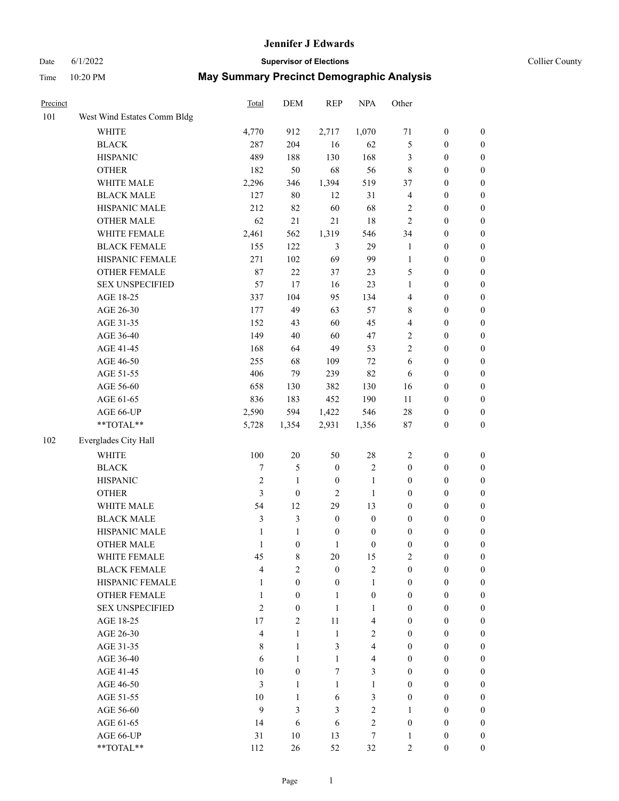#### Date 6/1/2022 **Supervisor of Elections Supervisor of Elections** Collier County

| Precinct |                             | Total          | DEM                 | <b>REP</b>       | <b>NPA</b>              | Other                                |                                      |                  |
|----------|-----------------------------|----------------|---------------------|------------------|-------------------------|--------------------------------------|--------------------------------------|------------------|
| 101      | West Wind Estates Comm Bldg |                |                     |                  |                         |                                      |                                      |                  |
|          | <b>WHITE</b>                | 4,770          | 912                 | 2,717            | 1,070                   | 71                                   | $\boldsymbol{0}$                     | $\boldsymbol{0}$ |
|          | <b>BLACK</b>                | 287            | 204                 | 16               | 62                      | 5                                    | $\boldsymbol{0}$                     | $\boldsymbol{0}$ |
|          | <b>HISPANIC</b>             | 489            | 188                 | 130              | 168                     | 3                                    | $\boldsymbol{0}$                     | $\boldsymbol{0}$ |
|          | <b>OTHER</b>                | 182            | 50                  | 68               | 56                      | $\,$ 8 $\,$                          | $\boldsymbol{0}$                     | $\boldsymbol{0}$ |
|          | WHITE MALE                  | 2,296          | 346                 | 1,394            | 519                     | 37                                   | $\boldsymbol{0}$                     | $\boldsymbol{0}$ |
|          | <b>BLACK MALE</b>           | 127            | 80                  | 12               | 31                      | $\overline{4}$                       | $\boldsymbol{0}$                     | $\boldsymbol{0}$ |
|          | HISPANIC MALE               | 212            | 82                  | 60               | 68                      | $\overline{c}$                       | $\boldsymbol{0}$                     | $\boldsymbol{0}$ |
|          | <b>OTHER MALE</b>           | 62             | 21                  | 21               | 18                      | $\mathbf{2}$                         | $\boldsymbol{0}$                     | $\boldsymbol{0}$ |
|          | WHITE FEMALE                | 2,461          | 562                 | 1,319            | 546                     | 34                                   | $\boldsymbol{0}$                     | $\boldsymbol{0}$ |
|          | <b>BLACK FEMALE</b>         | 155            | 122                 | $\mathfrak{Z}$   | 29                      | $\mathbf{1}$                         | $\boldsymbol{0}$                     | $\boldsymbol{0}$ |
|          | HISPANIC FEMALE             | 271            | 102                 | 69               | 99                      | $\mathbf{1}$                         | $\boldsymbol{0}$                     | 0                |
|          | <b>OTHER FEMALE</b>         | 87             | 22                  | 37               | 23                      | 5                                    | $\boldsymbol{0}$                     | 0                |
|          | <b>SEX UNSPECIFIED</b>      | 57             | 17                  | 16               | 23                      | $\mathbf{1}$                         | $\boldsymbol{0}$                     | $\boldsymbol{0}$ |
|          | AGE 18-25                   | 337            | 104                 | 95               | 134                     | 4                                    | $\boldsymbol{0}$                     | $\boldsymbol{0}$ |
|          | AGE 26-30                   | 177            | 49                  | 63               | 57                      | 8                                    | $\boldsymbol{0}$                     | $\boldsymbol{0}$ |
|          | AGE 31-35                   | 152            | 43                  | 60               | 45                      | 4                                    | $\boldsymbol{0}$                     | $\boldsymbol{0}$ |
|          | AGE 36-40                   | 149            | 40                  | 60               | 47                      | $\overline{c}$                       | $\boldsymbol{0}$                     | $\boldsymbol{0}$ |
|          | AGE 41-45                   | 168            | 64                  | 49               | 53                      | $\mathfrak{2}$                       | $\boldsymbol{0}$                     | $\boldsymbol{0}$ |
|          | AGE 46-50                   | 255            | 68                  | 109              | 72                      | 6                                    | $\boldsymbol{0}$                     | $\boldsymbol{0}$ |
|          | AGE 51-55                   | 406            | 79                  | 239              | 82                      | 6                                    | $\boldsymbol{0}$                     | $\boldsymbol{0}$ |
|          | AGE 56-60                   | 658            | 130                 | 382              | 130                     | 16                                   | $\boldsymbol{0}$                     | 0                |
|          | AGE 61-65                   | 836            | 183                 | 452              | 190                     | 11                                   | $\boldsymbol{0}$                     | 0                |
|          | AGE 66-UP                   | 2,590          | 594                 | 1,422            | 546                     | 28                                   | $\boldsymbol{0}$                     | $\boldsymbol{0}$ |
|          | $**TOTAL**$                 | 5,728          | 1,354               | 2,931            | 1,356                   | $87\,$                               | $\boldsymbol{0}$                     | $\boldsymbol{0}$ |
| 102      | Everglades City Hall        |                |                     |                  |                         |                                      |                                      |                  |
|          | <b>WHITE</b>                | 100            | $20\,$              | 50               | $28\,$                  | $\overline{2}$                       | $\boldsymbol{0}$                     | $\boldsymbol{0}$ |
|          | <b>BLACK</b>                | $\tau$         | 5                   | $\boldsymbol{0}$ | $\overline{\mathbf{c}}$ | $\boldsymbol{0}$                     | $\boldsymbol{0}$                     | $\boldsymbol{0}$ |
|          | <b>HISPANIC</b>             | $\sqrt{2}$     | $\mathbf{1}$        | $\boldsymbol{0}$ | $\mathbf{1}$            | $\boldsymbol{0}$                     | $\boldsymbol{0}$                     | $\boldsymbol{0}$ |
|          | <b>OTHER</b>                | 3              | $\boldsymbol{0}$    | $\overline{2}$   | 1                       | $\boldsymbol{0}$                     | $\boldsymbol{0}$                     | $\boldsymbol{0}$ |
|          | WHITE MALE                  | 54             | 12                  | 29               | 13                      |                                      |                                      | $\boldsymbol{0}$ |
|          | <b>BLACK MALE</b>           | 3              | 3                   | $\boldsymbol{0}$ | $\boldsymbol{0}$        | $\boldsymbol{0}$<br>$\boldsymbol{0}$ | $\boldsymbol{0}$<br>$\boldsymbol{0}$ | $\boldsymbol{0}$ |
|          | HISPANIC MALE               | $\mathbf{1}$   | $\mathbf{1}$        | $\boldsymbol{0}$ | $\boldsymbol{0}$        | $\boldsymbol{0}$                     | $\boldsymbol{0}$                     | $\boldsymbol{0}$ |
|          | <b>OTHER MALE</b>           | 1              | $\boldsymbol{0}$    | 1                | $\boldsymbol{0}$        | $\boldsymbol{0}$                     | $\boldsymbol{0}$                     | $\boldsymbol{0}$ |
|          | WHITE FEMALE                |                |                     | 20               | 15                      | 2                                    | $\boldsymbol{0}$                     | 0                |
|          | <b>BLACK FEMALE</b>         | 45<br>4        | 8<br>$\overline{c}$ | $\boldsymbol{0}$ | $\overline{c}$          | $\boldsymbol{0}$                     | $\boldsymbol{0}$                     | $\overline{0}$   |
|          | HISPANIC FEMALE             | 1              | $\overline{0}$      | $\boldsymbol{0}$ | $\mathbf{1}$            | $\boldsymbol{0}$                     | $\boldsymbol{0}$                     | $\overline{0}$   |
|          | <b>OTHER FEMALE</b>         | 1              | $\overline{0}$      | $\mathbf{1}$     | $\boldsymbol{0}$        | $\boldsymbol{0}$                     | $\boldsymbol{0}$                     | $\overline{0}$   |
|          | <b>SEX UNSPECIFIED</b>      | $\overline{c}$ | $\overline{0}$      | $\mathbf{1}$     | $\mathbf{1}$            | $\boldsymbol{0}$                     | $\boldsymbol{0}$                     | $\overline{0}$   |
|          | AGE 18-25                   | 17             | $\overline{2}$      | 11               | 4                       | $\boldsymbol{0}$                     | $\boldsymbol{0}$                     | $\overline{0}$   |
|          | AGE 26-30                   | $\overline{4}$ | $\mathbf{1}$        | $\mathbf{1}$     | $\overline{c}$          | $\boldsymbol{0}$                     | $\boldsymbol{0}$                     | $\overline{0}$   |
|          | AGE 31-35                   | $\,$ 8 $\,$    | $\mathbf{1}$        | 3                | $\overline{4}$          | $\boldsymbol{0}$                     | $\boldsymbol{0}$                     | $\overline{0}$   |
|          | AGE 36-40                   | 6              | $\mathbf{1}$        | $\mathbf{1}$     | $\overline{\mathbf{4}}$ | $\boldsymbol{0}$                     | $\boldsymbol{0}$                     | $\overline{0}$   |
|          | AGE 41-45                   | 10             | $\overline{0}$      | $\overline{7}$   | 3                       | $\boldsymbol{0}$                     | $\boldsymbol{0}$                     | 0                |
|          | AGE 46-50                   | 3              | $\mathbf{1}$        | $\mathbf{1}$     | $\mathbf{1}$            | $\boldsymbol{0}$                     | $\boldsymbol{0}$                     | $\overline{0}$   |
|          | AGE 51-55                   | 10             | $\mathbf{1}$        | 6                | 3                       | $\boldsymbol{0}$                     | $\boldsymbol{0}$                     | $\overline{0}$   |
|          | AGE 56-60                   | 9              | 3                   | 3                | $\overline{c}$          | 1                                    | $\boldsymbol{0}$                     | $\overline{0}$   |
|          | AGE 61-65                   | 14             | 6                   | 6                | $\mathbf{2}$            | $\boldsymbol{0}$                     | $\boldsymbol{0}$                     | $\overline{0}$   |
|          | AGE 66-UP                   | 31             | 10                  | 13               | $\tau$                  | $\mathbf{1}$                         | $\boldsymbol{0}$                     | $\boldsymbol{0}$ |
|          | **TOTAL**                   | 112            | 26                  | 52               | 32                      | $\mathbf{2}$                         | $\boldsymbol{0}$                     | $\boldsymbol{0}$ |
|          |                             |                |                     |                  |                         |                                      |                                      |                  |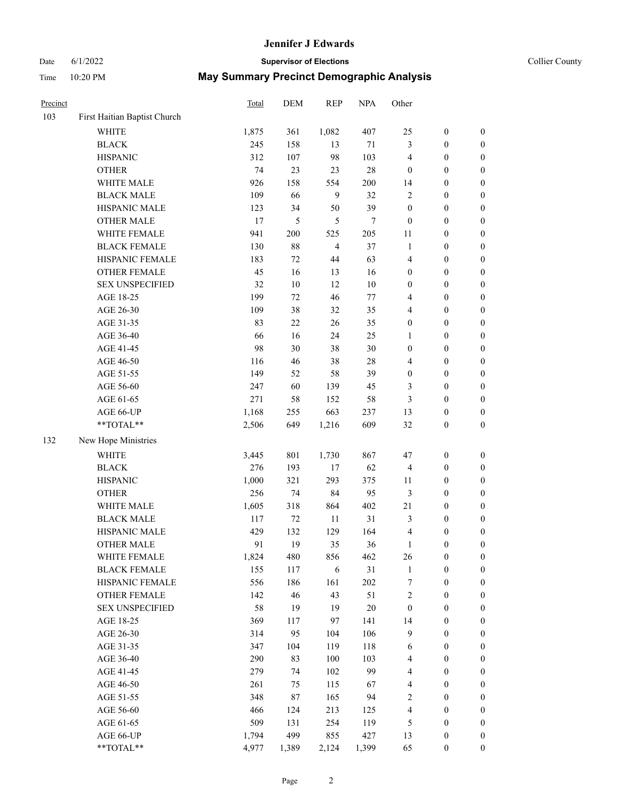#### Date 6/1/2022 **Supervisor of Elections** Collier County

| $\boldsymbol{0}$<br>$\boldsymbol{0}$<br>$\boldsymbol{0}$<br>$\boldsymbol{0}$ | $\boldsymbol{0}$<br>$\boldsymbol{0}$                                                                                                                                                                                                                                                                                                                                 |
|------------------------------------------------------------------------------|----------------------------------------------------------------------------------------------------------------------------------------------------------------------------------------------------------------------------------------------------------------------------------------------------------------------------------------------------------------------|
|                                                                              |                                                                                                                                                                                                                                                                                                                                                                      |
|                                                                              |                                                                                                                                                                                                                                                                                                                                                                      |
|                                                                              |                                                                                                                                                                                                                                                                                                                                                                      |
|                                                                              | $\boldsymbol{0}$                                                                                                                                                                                                                                                                                                                                                     |
|                                                                              | $\boldsymbol{0}$                                                                                                                                                                                                                                                                                                                                                     |
|                                                                              | $\boldsymbol{0}$                                                                                                                                                                                                                                                                                                                                                     |
| $\boldsymbol{0}$                                                             | $\boldsymbol{0}$                                                                                                                                                                                                                                                                                                                                                     |
| $\boldsymbol{0}$                                                             | $\boldsymbol{0}$                                                                                                                                                                                                                                                                                                                                                     |
| $\boldsymbol{0}$                                                             | $\boldsymbol{0}$                                                                                                                                                                                                                                                                                                                                                     |
| $\boldsymbol{0}$                                                             | $\boldsymbol{0}$                                                                                                                                                                                                                                                                                                                                                     |
| $\boldsymbol{0}$                                                             | $\boldsymbol{0}$                                                                                                                                                                                                                                                                                                                                                     |
| $\boldsymbol{0}$                                                             | 0                                                                                                                                                                                                                                                                                                                                                                    |
| $\boldsymbol{0}$                                                             | $\boldsymbol{0}$                                                                                                                                                                                                                                                                                                                                                     |
| $\boldsymbol{0}$                                                             | $\boldsymbol{0}$                                                                                                                                                                                                                                                                                                                                                     |
| $\boldsymbol{0}$                                                             | $\boldsymbol{0}$                                                                                                                                                                                                                                                                                                                                                     |
| $\boldsymbol{0}$                                                             | $\boldsymbol{0}$                                                                                                                                                                                                                                                                                                                                                     |
| $\boldsymbol{0}$                                                             | $\boldsymbol{0}$                                                                                                                                                                                                                                                                                                                                                     |
| $\boldsymbol{0}$                                                             | $\boldsymbol{0}$                                                                                                                                                                                                                                                                                                                                                     |
| $\boldsymbol{0}$                                                             | $\boldsymbol{0}$                                                                                                                                                                                                                                                                                                                                                     |
| $\boldsymbol{0}$                                                             | $\boldsymbol{0}$                                                                                                                                                                                                                                                                                                                                                     |
| $\boldsymbol{0}$                                                             | $\boldsymbol{0}$                                                                                                                                                                                                                                                                                                                                                     |
| $\boldsymbol{0}$                                                             | 0                                                                                                                                                                                                                                                                                                                                                                    |
| $\boldsymbol{0}$                                                             | 0                                                                                                                                                                                                                                                                                                                                                                    |
| $\boldsymbol{0}$                                                             | $\boldsymbol{0}$                                                                                                                                                                                                                                                                                                                                                     |
| $\boldsymbol{0}$                                                             | $\boldsymbol{0}$                                                                                                                                                                                                                                                                                                                                                     |
|                                                                              |                                                                                                                                                                                                                                                                                                                                                                      |
|                                                                              | $\boldsymbol{0}$                                                                                                                                                                                                                                                                                                                                                     |
|                                                                              | $\boldsymbol{0}$                                                                                                                                                                                                                                                                                                                                                     |
|                                                                              | $\boldsymbol{0}$                                                                                                                                                                                                                                                                                                                                                     |
|                                                                              | $\boldsymbol{0}$                                                                                                                                                                                                                                                                                                                                                     |
|                                                                              | $\boldsymbol{0}$                                                                                                                                                                                                                                                                                                                                                     |
|                                                                              | $\boldsymbol{0}$                                                                                                                                                                                                                                                                                                                                                     |
|                                                                              | $\boldsymbol{0}$                                                                                                                                                                                                                                                                                                                                                     |
|                                                                              | $\boldsymbol{0}$                                                                                                                                                                                                                                                                                                                                                     |
| $\boldsymbol{0}$                                                             | 0                                                                                                                                                                                                                                                                                                                                                                    |
|                                                                              | $\boldsymbol{0}$                                                                                                                                                                                                                                                                                                                                                     |
|                                                                              | $\boldsymbol{0}$                                                                                                                                                                                                                                                                                                                                                     |
|                                                                              | $\overline{0}$                                                                                                                                                                                                                                                                                                                                                       |
| $\boldsymbol{0}$                                                             | $\overline{0}$                                                                                                                                                                                                                                                                                                                                                       |
|                                                                              | $\overline{0}$                                                                                                                                                                                                                                                                                                                                                       |
|                                                                              | $\overline{0}$                                                                                                                                                                                                                                                                                                                                                       |
|                                                                              | 0                                                                                                                                                                                                                                                                                                                                                                    |
|                                                                              | 0                                                                                                                                                                                                                                                                                                                                                                    |
| $\boldsymbol{0}$                                                             | 0                                                                                                                                                                                                                                                                                                                                                                    |
|                                                                              | 0                                                                                                                                                                                                                                                                                                                                                                    |
|                                                                              | $\boldsymbol{0}$                                                                                                                                                                                                                                                                                                                                                     |
| $\boldsymbol{0}$                                                             | $\boldsymbol{0}$                                                                                                                                                                                                                                                                                                                                                     |
| $\boldsymbol{0}$                                                             | $\boldsymbol{0}$                                                                                                                                                                                                                                                                                                                                                     |
| $\boldsymbol{0}$                                                             | $\boldsymbol{0}$                                                                                                                                                                                                                                                                                                                                                     |
| $\boldsymbol{0}$                                                             | $\boldsymbol{0}$                                                                                                                                                                                                                                                                                                                                                     |
|                                                                              | $\boldsymbol{0}$<br>$\boldsymbol{0}$<br>$\boldsymbol{0}$<br>$\boldsymbol{0}$<br>$\boldsymbol{0}$<br>$\boldsymbol{0}$<br>$\boldsymbol{0}$<br>$\boldsymbol{0}$<br>$\boldsymbol{0}$<br>$\boldsymbol{0}$<br>$\boldsymbol{0}$<br>$\boldsymbol{0}$<br>$\boldsymbol{0}$<br>$\boldsymbol{0}$<br>$\boldsymbol{0}$<br>$\boldsymbol{0}$<br>$\boldsymbol{0}$<br>$\boldsymbol{0}$ |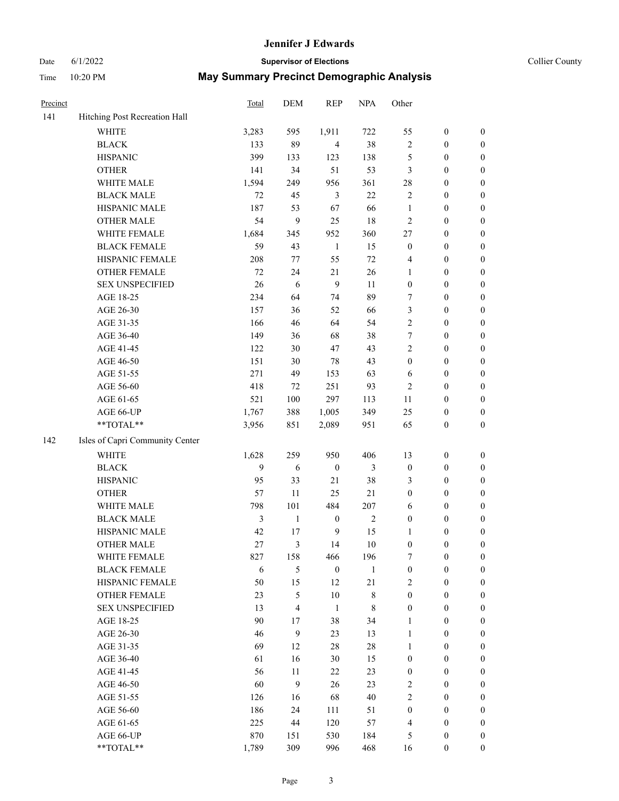#### Date 6/1/2022 **Supervisor of Elections** Collier County

| Precinct |                                 | Total | DEM          | <b>REP</b>       | <b>NPA</b>   | Other            |                  |                  |
|----------|---------------------------------|-------|--------------|------------------|--------------|------------------|------------------|------------------|
| 141      | Hitching Post Recreation Hall   |       |              |                  |              |                  |                  |                  |
|          | <b>WHITE</b>                    | 3,283 | 595          | 1,911            | 722          | 55               | $\boldsymbol{0}$ | $\boldsymbol{0}$ |
|          | <b>BLACK</b>                    | 133   | 89           | $\overline{4}$   | 38           | $\sqrt{2}$       | $\boldsymbol{0}$ | $\boldsymbol{0}$ |
|          | <b>HISPANIC</b>                 | 399   | 133          | 123              | 138          | 5                | $\boldsymbol{0}$ | $\boldsymbol{0}$ |
|          | <b>OTHER</b>                    | 141   | 34           | 51               | 53           | 3                | $\boldsymbol{0}$ | $\boldsymbol{0}$ |
|          | WHITE MALE                      | 1,594 | 249          | 956              | 361          | 28               | $\boldsymbol{0}$ | $\boldsymbol{0}$ |
|          | <b>BLACK MALE</b>               | 72    | 45           | $\mathfrak{Z}$   | 22           | $\overline{c}$   | $\boldsymbol{0}$ | $\boldsymbol{0}$ |
|          | HISPANIC MALE                   | 187   | 53           | 67               | 66           | $\mathbf{1}$     | $\boldsymbol{0}$ | $\boldsymbol{0}$ |
|          | <b>OTHER MALE</b>               | 54    | 9            | 25               | $18\,$       | $\mathfrak{2}$   | $\boldsymbol{0}$ | $\boldsymbol{0}$ |
|          | WHITE FEMALE                    | 1,684 | 345          | 952              | 360          | 27               | $\boldsymbol{0}$ | $\boldsymbol{0}$ |
|          | <b>BLACK FEMALE</b>             | 59    | 43           | $\mathbf{1}$     | 15           | $\boldsymbol{0}$ | $\boldsymbol{0}$ | $\boldsymbol{0}$ |
|          | HISPANIC FEMALE                 | 208   | 77           | 55               | $72\,$       | 4                | $\boldsymbol{0}$ | 0                |
|          | OTHER FEMALE                    | 72    | 24           | 21               | 26           | 1                | $\boldsymbol{0}$ | $\boldsymbol{0}$ |
|          | <b>SEX UNSPECIFIED</b>          | 26    | $\sqrt{6}$   | 9                | 11           | $\boldsymbol{0}$ | $\boldsymbol{0}$ | $\boldsymbol{0}$ |
|          | AGE 18-25                       | 234   | 64           | 74               | 89           | 7                | $\boldsymbol{0}$ | $\boldsymbol{0}$ |
|          | AGE 26-30                       | 157   | 36           | 52               | 66           | 3                | $\boldsymbol{0}$ | $\boldsymbol{0}$ |
|          | AGE 31-35                       | 166   | 46           | 64               | 54           | $\sqrt{2}$       | $\boldsymbol{0}$ | $\boldsymbol{0}$ |
|          | AGE 36-40                       | 149   | 36           | 68               | 38           | 7                | $\boldsymbol{0}$ | $\boldsymbol{0}$ |
|          | AGE 41-45                       | 122   | 30           | 47               | 43           | $\overline{2}$   | $\boldsymbol{0}$ | $\boldsymbol{0}$ |
|          | AGE 46-50                       | 151   | 30           | 78               | 43           | $\boldsymbol{0}$ | $\boldsymbol{0}$ | $\boldsymbol{0}$ |
|          | AGE 51-55                       | 271   | 49           | 153              | 63           | 6                | $\boldsymbol{0}$ | $\boldsymbol{0}$ |
|          | AGE 56-60                       | 418   | 72           | 251              | 93           | $\overline{c}$   | $\boldsymbol{0}$ | 0                |
|          | AGE 61-65                       | 521   | 100          | 297              | 113          | 11               | $\boldsymbol{0}$ | 0                |
|          | AGE 66-UP                       | 1,767 | 388          | 1,005            | 349          | 25               | $\boldsymbol{0}$ | $\boldsymbol{0}$ |
|          | **TOTAL**                       | 3,956 | 851          | 2,089            | 951          | 65               | $\boldsymbol{0}$ | $\boldsymbol{0}$ |
| 142      | Isles of Capri Community Center |       |              |                  |              |                  |                  |                  |
|          | WHITE                           | 1,628 | 259          | 950              | 406          | 13               | $\boldsymbol{0}$ | $\boldsymbol{0}$ |
|          | <b>BLACK</b>                    | 9     | $\sqrt{6}$   | $\boldsymbol{0}$ | 3            | $\boldsymbol{0}$ | $\boldsymbol{0}$ | $\boldsymbol{0}$ |
|          | <b>HISPANIC</b>                 | 95    | 33           | 21               | 38           | 3                | $\boldsymbol{0}$ | $\boldsymbol{0}$ |
|          | <b>OTHER</b>                    | 57    | 11           | 25               | 21           | $\boldsymbol{0}$ | $\boldsymbol{0}$ | $\boldsymbol{0}$ |
|          | WHITE MALE                      | 798   | 101          | 484              | 207          | 6                | $\boldsymbol{0}$ | $\boldsymbol{0}$ |
|          | <b>BLACK MALE</b>               | 3     | $\mathbf{1}$ | $\boldsymbol{0}$ | $\sqrt{2}$   | $\boldsymbol{0}$ | $\boldsymbol{0}$ | $\boldsymbol{0}$ |
|          | HISPANIC MALE                   | 42    | 17           | $\overline{9}$   | 15           | 1                | $\boldsymbol{0}$ | $\boldsymbol{0}$ |
|          | <b>OTHER MALE</b>               | 27    | 3            | 14               | 10           | $\boldsymbol{0}$ | $\boldsymbol{0}$ | $\boldsymbol{0}$ |
|          | WHITE FEMALE                    | 827   | 158          | 466              | 196          | 7                | $\boldsymbol{0}$ | 0                |
|          | <b>BLACK FEMALE</b>             | 6     | 5            | $\boldsymbol{0}$ | $\mathbf{1}$ | $\boldsymbol{0}$ | $\boldsymbol{0}$ | $\boldsymbol{0}$ |
|          | HISPANIC FEMALE                 | 50    | 15           | 12               | 21           | 2                | $\boldsymbol{0}$ | $\overline{0}$   |
|          | OTHER FEMALE                    | 23    | 5            | 10               | 8            | $\boldsymbol{0}$ | $\boldsymbol{0}$ | $\overline{0}$   |
|          | <b>SEX UNSPECIFIED</b>          | 13    | 4            | $\mathbf{1}$     | 8            | $\boldsymbol{0}$ | $\boldsymbol{0}$ | $\overline{0}$   |
|          | AGE 18-25                       | 90    | 17           | 38               | 34           | 1                | $\boldsymbol{0}$ | $\theta$         |
|          | AGE 26-30                       | 46    | 9            | 23               | 13           | $\mathbf{1}$     | $\boldsymbol{0}$ | $\overline{0}$   |
|          | AGE 31-35                       | 69    | 12           | 28               | $28\,$       | $\mathbf{1}$     | $\boldsymbol{0}$ | 0                |
|          | AGE 36-40                       | 61    | 16           | 30               | 15           | $\boldsymbol{0}$ | $\boldsymbol{0}$ | 0                |
|          | AGE 41-45                       | 56    | 11           | 22               | 23           | $\boldsymbol{0}$ | $\boldsymbol{0}$ | 0                |
|          | AGE 46-50                       | 60    | 9            | 26               | 23           | 2                | $\boldsymbol{0}$ | 0                |
|          | AGE 51-55                       | 126   | 16           | 68               | 40           | $\overline{2}$   | $\boldsymbol{0}$ | $\overline{0}$   |
|          | AGE 56-60                       | 186   | 24           | 111              | 51           | $\boldsymbol{0}$ | $\boldsymbol{0}$ | $\overline{0}$   |
|          | AGE 61-65                       | 225   | 44           | 120              | 57           | 4                | $\boldsymbol{0}$ | $\overline{0}$   |
|          | AGE 66-UP                       | 870   | 151          | 530              | 184          | 5                | $\boldsymbol{0}$ | $\boldsymbol{0}$ |
|          | **TOTAL**                       | 1,789 | 309          | 996              | 468          | 16               | $\boldsymbol{0}$ | $\boldsymbol{0}$ |
|          |                                 |       |              |                  |              |                  |                  |                  |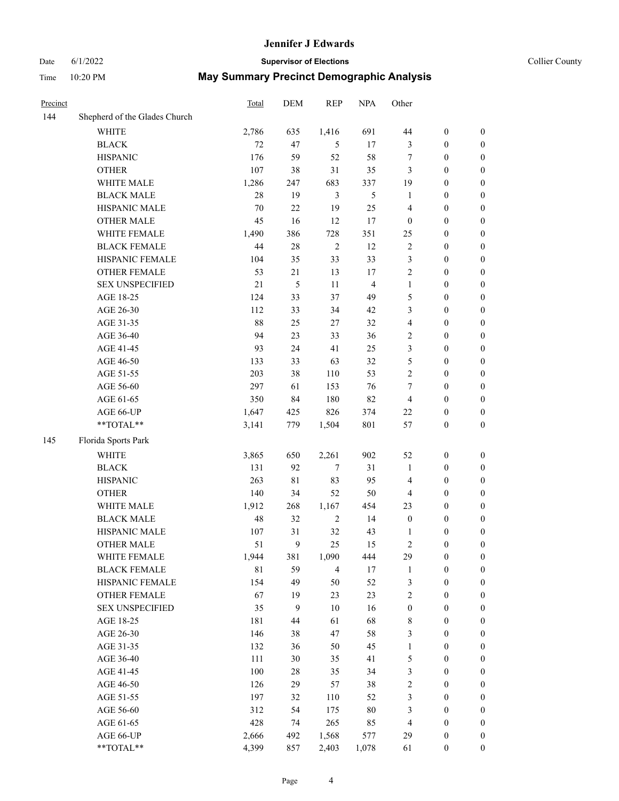# Date 6/1/2022 **Supervisor of Elections Supervisor of Elections** Collier County

| Precinct |                                                           | Total       | DEM | <b>REP</b>     | <b>NPA</b>              | Other            |                  |                  |
|----------|-----------------------------------------------------------|-------------|-----|----------------|-------------------------|------------------|------------------|------------------|
| 144      | Shepherd of the Glades Church                             |             |     |                |                         |                  |                  |                  |
|          | <b>WHITE</b>                                              | 2,786       | 635 | 1,416          | 691                     | 44               | $\boldsymbol{0}$ | $\boldsymbol{0}$ |
|          | <b>BLACK</b>                                              | 72          | 47  | 5              | 17                      | 3                | $\boldsymbol{0}$ | $\boldsymbol{0}$ |
|          | <b>HISPANIC</b>                                           | 176         | 59  | 52             | 58                      | 7                | $\boldsymbol{0}$ | $\boldsymbol{0}$ |
|          | <b>OTHER</b>                                              | 107         | 38  | 31             | 35                      | 3                | $\boldsymbol{0}$ | $\boldsymbol{0}$ |
|          | WHITE MALE                                                | 1,286       | 247 | 683            | 337                     | 19               | $\boldsymbol{0}$ | $\boldsymbol{0}$ |
|          | <b>BLACK MALE</b>                                         | 28          | 19  | 3              | 5                       | $\mathbf{1}$     | $\boldsymbol{0}$ | $\boldsymbol{0}$ |
|          | HISPANIC MALE                                             | $70\,$      | 22  | 19             | 25                      | 4                | $\boldsymbol{0}$ | $\boldsymbol{0}$ |
|          | <b>OTHER MALE</b>                                         | 45          | 16  | 12             | 17                      | $\boldsymbol{0}$ | $\boldsymbol{0}$ | $\boldsymbol{0}$ |
|          | WHITE FEMALE                                              | 1,490       | 386 | 728            | 351                     | 25               | $\boldsymbol{0}$ | $\boldsymbol{0}$ |
|          | <b>BLACK FEMALE</b>                                       | 44          | 28  | $\sqrt{2}$     | 12                      | 2                | $\boldsymbol{0}$ | 0                |
|          | HISPANIC FEMALE                                           | 104         | 35  | 33             | 33                      | 3                | $\boldsymbol{0}$ | 0                |
|          | <b>OTHER FEMALE</b>                                       | 53          | 21  | 13             | $17\,$                  | $\mathfrak{2}$   | $\boldsymbol{0}$ | 0                |
|          | <b>SEX UNSPECIFIED</b>                                    | 21          | 5   | 11             | $\overline{\mathbf{4}}$ | $\mathbf{1}$     | $\boldsymbol{0}$ | $\boldsymbol{0}$ |
|          | AGE 18-25                                                 | 124         | 33  | 37             | 49                      | 5                | $\boldsymbol{0}$ | $\boldsymbol{0}$ |
|          | AGE 26-30                                                 | 112         | 33  | 34             | 42                      | 3                | $\boldsymbol{0}$ | $\boldsymbol{0}$ |
|          | AGE 31-35                                                 | 88          | 25  | $27\,$         | 32                      | 4                | $\boldsymbol{0}$ | $\boldsymbol{0}$ |
|          | AGE 36-40                                                 | 94          | 23  | 33             | 36                      | 2                | $\boldsymbol{0}$ | $\boldsymbol{0}$ |
|          | AGE 41-45                                                 | 93          | 24  | 41             | 25                      | 3                | $\boldsymbol{0}$ | $\boldsymbol{0}$ |
|          | AGE 46-50                                                 | 133         | 33  | 63             | 32                      | 5                | $\boldsymbol{0}$ | $\boldsymbol{0}$ |
|          | AGE 51-55                                                 | 203         | 38  | 110            | 53                      | $\sqrt{2}$       | $\boldsymbol{0}$ | $\boldsymbol{0}$ |
|          | AGE 56-60                                                 | 297         | 61  | 153            | 76                      | 7                | $\boldsymbol{0}$ | 0                |
|          | AGE 61-65                                                 | 350         | 84  | 180            | 82                      | $\overline{4}$   | $\boldsymbol{0}$ | 0                |
|          | AGE 66-UP                                                 | 1,647       | 425 | 826            | 374                     | 22               | $\boldsymbol{0}$ | $\boldsymbol{0}$ |
|          | $\mathrm{*}\mathrm{*}\mathrm{TOTAL} \mathrm{*}\mathrm{*}$ | 3,141       | 779 | 1,504          | 801                     | 57               | $\boldsymbol{0}$ | $\boldsymbol{0}$ |
| 145      | Florida Sports Park                                       |             |     |                |                         |                  |                  |                  |
|          | <b>WHITE</b>                                              | 3,865       | 650 | 2,261          | 902                     | 52               | $\boldsymbol{0}$ | $\boldsymbol{0}$ |
|          | <b>BLACK</b>                                              | 131         | 92  | $\tau$         | 31                      | $\mathbf{1}$     | $\boldsymbol{0}$ | $\boldsymbol{0}$ |
|          | <b>HISPANIC</b>                                           | 263         | 81  | 83             | 95                      | 4                | $\boldsymbol{0}$ | $\boldsymbol{0}$ |
|          | <b>OTHER</b>                                              | 140         | 34  | 52             | 50                      | 4                | $\boldsymbol{0}$ | $\boldsymbol{0}$ |
|          | WHITE MALE                                                | 1,912       | 268 | 1,167          | 454                     | 23               | $\boldsymbol{0}$ | $\boldsymbol{0}$ |
|          | <b>BLACK MALE</b>                                         | 48          | 32  | $\sqrt{2}$     | 14                      | $\boldsymbol{0}$ | $\boldsymbol{0}$ | $\boldsymbol{0}$ |
|          | HISPANIC MALE                                             | 107         | 31  | 32             | 43                      | 1                | $\boldsymbol{0}$ | $\boldsymbol{0}$ |
|          | <b>OTHER MALE</b>                                         | 51          | 9   | 25             | 15                      | 2                | $\boldsymbol{0}$ | $\boldsymbol{0}$ |
|          | WHITE FEMALE                                              | 1,944       | 381 | 1,090          | 444                     | 29               | $\boldsymbol{0}$ | 0                |
|          | <b>BLACK FEMALE</b>                                       | $8\sqrt{1}$ | 59  | $\overline{4}$ | 17                      | $\mathbf{1}$     | $\boldsymbol{0}$ | $\boldsymbol{0}$ |
|          | HISPANIC FEMALE                                           | 154         | 49  | 50             | 52                      | 3                | $\boldsymbol{0}$ | $\boldsymbol{0}$ |
|          | OTHER FEMALE                                              | 67          | 19  | 23             | 23                      | 2                | $\boldsymbol{0}$ | $\overline{0}$   |
|          | <b>SEX UNSPECIFIED</b>                                    | 35          | 9   | $10\,$         | 16                      | $\boldsymbol{0}$ | $\boldsymbol{0}$ | $\overline{0}$   |
|          | AGE 18-25                                                 | 181         | 44  | 61             | 68                      | $\,$ 8 $\,$      | $\boldsymbol{0}$ | $\overline{0}$   |
|          | AGE 26-30                                                 | 146         | 38  | 47             | 58                      | 3                | $\boldsymbol{0}$ | 0                |
|          | AGE 31-35                                                 | 132         | 36  | 50             | 45                      | $\mathbf{1}$     | $\boldsymbol{0}$ | 0                |
|          | AGE 36-40                                                 | 111         | 30  | 35             | 41                      | 5                | $\boldsymbol{0}$ | 0                |
|          | AGE 41-45                                                 | 100         | 28  | 35             | 34                      | 3                | $\boldsymbol{0}$ | 0                |
|          | AGE 46-50                                                 | 126         | 29  | 57             | 38                      | 2                | $\boldsymbol{0}$ | 0                |
|          | AGE 51-55                                                 | 197         | 32  | 110            | 52                      | 3                | $\boldsymbol{0}$ | $\boldsymbol{0}$ |
|          | AGE 56-60                                                 | 312         | 54  | 175            | $80\,$                  | 3                | $\boldsymbol{0}$ | $\boldsymbol{0}$ |
|          | AGE 61-65                                                 | 428         | 74  | 265            | 85                      | $\overline{4}$   | $\boldsymbol{0}$ | $\boldsymbol{0}$ |
|          | AGE 66-UP                                                 | 2,666       | 492 | 1,568          | 577                     | 29               | $\boldsymbol{0}$ | 0                |
|          | **TOTAL**                                                 | 4,399       | 857 | 2,403          | 1,078                   | 61               | $\boldsymbol{0}$ | $\boldsymbol{0}$ |
|          |                                                           |             |     |                |                         |                  |                  |                  |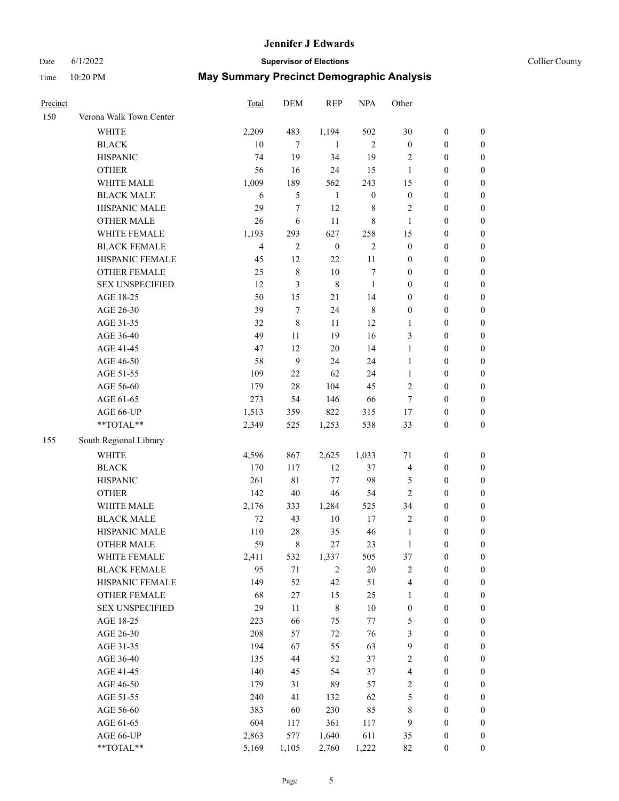#### Date 6/1/2022 **Supervisor of Elections Supervisor of Elections** Collier County

| Precinct |                         | Total          | DEM              | <b>REP</b>       | <b>NPA</b>       | Other            |                  |                  |
|----------|-------------------------|----------------|------------------|------------------|------------------|------------------|------------------|------------------|
| 150      | Verona Walk Town Center |                |                  |                  |                  |                  |                  |                  |
|          | <b>WHITE</b>            | 2,209          | 483              | 1,194            | 502              | 30               | $\boldsymbol{0}$ | $\boldsymbol{0}$ |
|          | <b>BLACK</b>            | 10             | $\tau$           | -1               | $\mathfrak{2}$   | $\boldsymbol{0}$ | $\boldsymbol{0}$ | $\boldsymbol{0}$ |
|          | <b>HISPANIC</b>         | 74             | 19               | 34               | 19               | 2                | $\boldsymbol{0}$ | $\boldsymbol{0}$ |
|          | <b>OTHER</b>            | 56             | 16               | 24               | 15               | $\mathbf{1}$     | $\boldsymbol{0}$ | $\boldsymbol{0}$ |
|          | WHITE MALE              | 1,009          | 189              | 562              | 243              | 15               | $\boldsymbol{0}$ | $\boldsymbol{0}$ |
|          | <b>BLACK MALE</b>       | 6              | 5                | $\mathbf{1}$     | $\boldsymbol{0}$ | $\boldsymbol{0}$ | $\boldsymbol{0}$ | $\boldsymbol{0}$ |
|          | HISPANIC MALE           | 29             | $\tau$           | 12               | 8                | $\overline{c}$   | $\boldsymbol{0}$ | $\boldsymbol{0}$ |
|          | <b>OTHER MALE</b>       | 26             | 6                | 11               | 8                | $\mathbf{1}$     | $\boldsymbol{0}$ | $\boldsymbol{0}$ |
|          | WHITE FEMALE            | 1,193          | 293              | 627              | 258              | 15               | $\boldsymbol{0}$ | $\boldsymbol{0}$ |
|          | <b>BLACK FEMALE</b>     | $\overline{4}$ | $\overline{c}$   | $\boldsymbol{0}$ | $\sqrt{2}$       | $\boldsymbol{0}$ | $\boldsymbol{0}$ | $\boldsymbol{0}$ |
|          | HISPANIC FEMALE         | 45             | 12               | 22               | 11               | $\boldsymbol{0}$ | $\boldsymbol{0}$ | 0                |
|          | <b>OTHER FEMALE</b>     | 25             | $\,$ 8 $\,$      | 10               | $\tau$           | $\boldsymbol{0}$ | $\boldsymbol{0}$ | $\boldsymbol{0}$ |
|          | <b>SEX UNSPECIFIED</b>  | 12             | 3                | $\,8\,$          | 1                | $\boldsymbol{0}$ | $\boldsymbol{0}$ | $\boldsymbol{0}$ |
|          | AGE 18-25               | 50             | 15               | 21               | 14               | $\boldsymbol{0}$ | $\boldsymbol{0}$ | $\boldsymbol{0}$ |
|          | AGE 26-30               | 39             | 7                | 24               | $\,$ 8 $\,$      | $\boldsymbol{0}$ | $\boldsymbol{0}$ | $\boldsymbol{0}$ |
|          | AGE 31-35               | 32             | 8                | 11               | 12               | $\mathbf{1}$     | $\boldsymbol{0}$ | $\boldsymbol{0}$ |
|          | AGE 36-40               | 49             | 11               | 19               | 16               | 3                | $\boldsymbol{0}$ | $\boldsymbol{0}$ |
|          | AGE 41-45               | 47             | 12               | $20\,$           | 14               | $\mathbf{1}$     | $\boldsymbol{0}$ | $\boldsymbol{0}$ |
|          | AGE 46-50               | 58             | $\boldsymbol{9}$ | 24               | 24               | $\mathbf{1}$     | $\boldsymbol{0}$ | $\boldsymbol{0}$ |
|          | AGE 51-55               | 109            | 22               | 62               | 24               | $\mathbf{1}$     | $\boldsymbol{0}$ | $\boldsymbol{0}$ |
|          | AGE 56-60               | 179            | 28               | 104              | 45               | $\overline{c}$   | $\boldsymbol{0}$ | 0                |
|          | AGE 61-65               | 273            | 54               | 146              | 66               | $\tau$           | $\boldsymbol{0}$ | 0                |
|          | AGE 66-UP               | 1,513          | 359              | 822              | 315              | 17               | $\boldsymbol{0}$ | $\boldsymbol{0}$ |
|          | $**TOTAL**$             | 2,349          | 525              | 1,253            | 538              | 33               | $\boldsymbol{0}$ | $\boldsymbol{0}$ |
| 155      | South Regional Library  |                |                  |                  |                  |                  |                  |                  |
|          | WHITE                   | 4,596          | 867              | 2,625            | 1,033            | $71\,$           | $\boldsymbol{0}$ | $\boldsymbol{0}$ |
|          | <b>BLACK</b>            | 170            | 117              | 12               | 37               | $\overline{4}$   | $\boldsymbol{0}$ | $\boldsymbol{0}$ |
|          | <b>HISPANIC</b>         | 261            | 81               | 77               | 98               | 5                | $\boldsymbol{0}$ | $\boldsymbol{0}$ |
|          | <b>OTHER</b>            | 142            | $40\,$           | $46\,$           | 54               | $\mathfrak{2}$   | $\boldsymbol{0}$ | $\boldsymbol{0}$ |
|          | WHITE MALE              | 2,176          | 333              | 1,284            | 525              | 34               | $\boldsymbol{0}$ | $\boldsymbol{0}$ |
|          | <b>BLACK MALE</b>       | $72\,$         | 43               | $10\,$           | $17\,$           | $\overline{2}$   | $\boldsymbol{0}$ | $\boldsymbol{0}$ |
|          | HISPANIC MALE           | 110            | $28\,$           | 35               | 46               | $\mathbf{1}$     | $\boldsymbol{0}$ | $\boldsymbol{0}$ |
|          | <b>OTHER MALE</b>       | 59             | 8                | 27               | 23               | $\mathbf{1}$     | $\boldsymbol{0}$ | $\boldsymbol{0}$ |
|          | WHITE FEMALE            | 2,411          | 532              | 1,337            | 505              | 37               | $\boldsymbol{0}$ | 0                |
|          | <b>BLACK FEMALE</b>     | 95             | $71\,$           | $\overline{2}$   | $20\,$           | $\sqrt{2}$       | $\boldsymbol{0}$ | $\boldsymbol{0}$ |
|          | HISPANIC FEMALE         | 149            | 52               | 42               | 51               | 4                | $\boldsymbol{0}$ | $\overline{0}$   |
|          | OTHER FEMALE            | 68             | 27               | 15               | 25               | $\mathbf{1}$     | $\boldsymbol{0}$ | $\overline{0}$   |
|          | <b>SEX UNSPECIFIED</b>  | 29             | 11               | $\,8\,$          | $10\,$           | $\boldsymbol{0}$ | $\boldsymbol{0}$ | 0                |
|          | AGE 18-25               | 223            | 66               | 75               | 77               | 5                | $\boldsymbol{0}$ | $\overline{0}$   |
|          | AGE 26-30               | 208            | 57               | $72\,$           | 76               | 3                | $\boldsymbol{0}$ | 0                |
|          | AGE 31-35               | 194            | 67               | 55               | 63               | 9                | $\boldsymbol{0}$ | 0                |
|          | AGE 36-40               | 135            | 44               | 52               | 37               | $\boldsymbol{2}$ | $\boldsymbol{0}$ | 0                |
|          | AGE 41-45               | 140            | 45               | 54               | 37               | $\overline{4}$   | $\boldsymbol{0}$ | 0                |
|          | AGE 46-50               | 179            | 31               | 89               | 57               | $\overline{c}$   | $\boldsymbol{0}$ | 0                |
|          | AGE 51-55               | 240            | 41               | 132              | 62               | 5                | $\boldsymbol{0}$ | $\boldsymbol{0}$ |
|          | AGE 56-60               | 383            | 60               | 230              | 85               | 8                | $\boldsymbol{0}$ | $\boldsymbol{0}$ |
|          | AGE 61-65               | 604            | 117              | 361              | 117              | $\overline{9}$   | $\boldsymbol{0}$ | $\boldsymbol{0}$ |
|          | AGE 66-UP               | 2,863          | 577              | 1,640            | 611              | 35               | $\boldsymbol{0}$ | 0                |
|          | **TOTAL**               | 5,169          | 1,105            | 2,760            | 1,222            | 82               | $\boldsymbol{0}$ | $\boldsymbol{0}$ |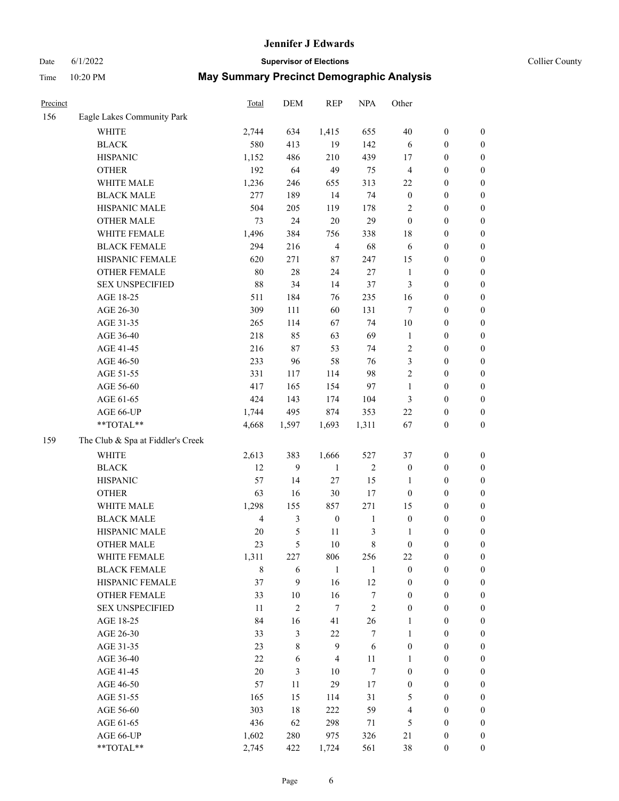# Date 6/1/2022 **Supervisor of Elections Supervisor of Elections** Collier County

|                            | Total                                                                                                                                                                                                                                                                                                                                                                                                                                                           | DEM                                                                                                                                                                                               | <b>REP</b>                                                                                                                               | <b>NPA</b>                                                                                                                                               | Other                                                                                                                                          |                                                                                                                                                                                                  |                                                                                                                                                                                                                                              |
|----------------------------|-----------------------------------------------------------------------------------------------------------------------------------------------------------------------------------------------------------------------------------------------------------------------------------------------------------------------------------------------------------------------------------------------------------------------------------------------------------------|---------------------------------------------------------------------------------------------------------------------------------------------------------------------------------------------------|------------------------------------------------------------------------------------------------------------------------------------------|----------------------------------------------------------------------------------------------------------------------------------------------------------|------------------------------------------------------------------------------------------------------------------------------------------------|--------------------------------------------------------------------------------------------------------------------------------------------------------------------------------------------------|----------------------------------------------------------------------------------------------------------------------------------------------------------------------------------------------------------------------------------------------|
| Eagle Lakes Community Park |                                                                                                                                                                                                                                                                                                                                                                                                                                                                 |                                                                                                                                                                                                   |                                                                                                                                          |                                                                                                                                                          |                                                                                                                                                |                                                                                                                                                                                                  |                                                                                                                                                                                                                                              |
| <b>WHITE</b>               | 2,744                                                                                                                                                                                                                                                                                                                                                                                                                                                           | 634                                                                                                                                                                                               | 1,415                                                                                                                                    | 655                                                                                                                                                      | 40                                                                                                                                             | $\boldsymbol{0}$                                                                                                                                                                                 | 0                                                                                                                                                                                                                                            |
| <b>BLACK</b>               | 580                                                                                                                                                                                                                                                                                                                                                                                                                                                             | 413                                                                                                                                                                                               | 19                                                                                                                                       | 142                                                                                                                                                      | 6                                                                                                                                              | $\boldsymbol{0}$                                                                                                                                                                                 | $\boldsymbol{0}$                                                                                                                                                                                                                             |
| <b>HISPANIC</b>            |                                                                                                                                                                                                                                                                                                                                                                                                                                                                 | 486                                                                                                                                                                                               | 210                                                                                                                                      | 439                                                                                                                                                      | 17                                                                                                                                             | $\boldsymbol{0}$                                                                                                                                                                                 | $\boldsymbol{0}$                                                                                                                                                                                                                             |
| <b>OTHER</b>               | 192                                                                                                                                                                                                                                                                                                                                                                                                                                                             | 64                                                                                                                                                                                                | 49                                                                                                                                       | 75                                                                                                                                                       | 4                                                                                                                                              | $\boldsymbol{0}$                                                                                                                                                                                 | $\boldsymbol{0}$                                                                                                                                                                                                                             |
| WHITE MALE                 | 1,236                                                                                                                                                                                                                                                                                                                                                                                                                                                           | 246                                                                                                                                                                                               | 655                                                                                                                                      | 313                                                                                                                                                      | 22                                                                                                                                             | $\boldsymbol{0}$                                                                                                                                                                                 | $\boldsymbol{0}$                                                                                                                                                                                                                             |
|                            | 277                                                                                                                                                                                                                                                                                                                                                                                                                                                             |                                                                                                                                                                                                   | 14                                                                                                                                       | 74                                                                                                                                                       |                                                                                                                                                | $\boldsymbol{0}$                                                                                                                                                                                 | $\boldsymbol{0}$                                                                                                                                                                                                                             |
|                            |                                                                                                                                                                                                                                                                                                                                                                                                                                                                 |                                                                                                                                                                                                   |                                                                                                                                          |                                                                                                                                                          | $\overline{c}$                                                                                                                                 | $\boldsymbol{0}$                                                                                                                                                                                 | $\boldsymbol{0}$                                                                                                                                                                                                                             |
| <b>OTHER MALE</b>          | 73                                                                                                                                                                                                                                                                                                                                                                                                                                                              |                                                                                                                                                                                                   |                                                                                                                                          |                                                                                                                                                          | $\boldsymbol{0}$                                                                                                                               |                                                                                                                                                                                                  | $\boldsymbol{0}$                                                                                                                                                                                                                             |
|                            |                                                                                                                                                                                                                                                                                                                                                                                                                                                                 |                                                                                                                                                                                                   |                                                                                                                                          |                                                                                                                                                          |                                                                                                                                                |                                                                                                                                                                                                  | $\boldsymbol{0}$                                                                                                                                                                                                                             |
| <b>BLACK FEMALE</b>        | 294                                                                                                                                                                                                                                                                                                                                                                                                                                                             | 216                                                                                                                                                                                               | $\overline{4}$                                                                                                                           | 68                                                                                                                                                       | 6                                                                                                                                              | $\boldsymbol{0}$                                                                                                                                                                                 | 0                                                                                                                                                                                                                                            |
|                            |                                                                                                                                                                                                                                                                                                                                                                                                                                                                 |                                                                                                                                                                                                   |                                                                                                                                          |                                                                                                                                                          |                                                                                                                                                | $\boldsymbol{0}$                                                                                                                                                                                 | 0                                                                                                                                                                                                                                            |
| <b>OTHER FEMALE</b>        | 80                                                                                                                                                                                                                                                                                                                                                                                                                                                              | 28                                                                                                                                                                                                | 24                                                                                                                                       | 27                                                                                                                                                       | $\mathbf{1}$                                                                                                                                   | $\boldsymbol{0}$                                                                                                                                                                                 | 0                                                                                                                                                                                                                                            |
|                            |                                                                                                                                                                                                                                                                                                                                                                                                                                                                 | 34                                                                                                                                                                                                | 14                                                                                                                                       |                                                                                                                                                          |                                                                                                                                                | $\boldsymbol{0}$                                                                                                                                                                                 | $\boldsymbol{0}$                                                                                                                                                                                                                             |
| AGE 18-25                  | 511                                                                                                                                                                                                                                                                                                                                                                                                                                                             | 184                                                                                                                                                                                               | 76                                                                                                                                       | 235                                                                                                                                                      |                                                                                                                                                | $\boldsymbol{0}$                                                                                                                                                                                 | $\boldsymbol{0}$                                                                                                                                                                                                                             |
| AGE 26-30                  | 309                                                                                                                                                                                                                                                                                                                                                                                                                                                             | 111                                                                                                                                                                                               | 60                                                                                                                                       | 131                                                                                                                                                      | 7                                                                                                                                              | $\boldsymbol{0}$                                                                                                                                                                                 | $\boldsymbol{0}$                                                                                                                                                                                                                             |
|                            |                                                                                                                                                                                                                                                                                                                                                                                                                                                                 |                                                                                                                                                                                                   | 67                                                                                                                                       | 74                                                                                                                                                       |                                                                                                                                                | $\boldsymbol{0}$                                                                                                                                                                                 | $\boldsymbol{0}$                                                                                                                                                                                                                             |
|                            |                                                                                                                                                                                                                                                                                                                                                                                                                                                                 |                                                                                                                                                                                                   |                                                                                                                                          |                                                                                                                                                          | $\mathbf{1}$                                                                                                                                   | $\boldsymbol{0}$                                                                                                                                                                                 | $\boldsymbol{0}$                                                                                                                                                                                                                             |
|                            |                                                                                                                                                                                                                                                                                                                                                                                                                                                                 |                                                                                                                                                                                                   |                                                                                                                                          | 74                                                                                                                                                       |                                                                                                                                                |                                                                                                                                                                                                  | $\boldsymbol{0}$                                                                                                                                                                                                                             |
|                            |                                                                                                                                                                                                                                                                                                                                                                                                                                                                 | 96                                                                                                                                                                                                | 58                                                                                                                                       | 76                                                                                                                                                       | 3                                                                                                                                              | $\boldsymbol{0}$                                                                                                                                                                                 | $\boldsymbol{0}$                                                                                                                                                                                                                             |
|                            |                                                                                                                                                                                                                                                                                                                                                                                                                                                                 |                                                                                                                                                                                                   |                                                                                                                                          |                                                                                                                                                          |                                                                                                                                                | $\boldsymbol{0}$                                                                                                                                                                                 | $\boldsymbol{0}$                                                                                                                                                                                                                             |
|                            |                                                                                                                                                                                                                                                                                                                                                                                                                                                                 |                                                                                                                                                                                                   | 154                                                                                                                                      | 97                                                                                                                                                       | $\mathbf{1}$                                                                                                                                   | $\boldsymbol{0}$                                                                                                                                                                                 | 0                                                                                                                                                                                                                                            |
| AGE 61-65                  | 424                                                                                                                                                                                                                                                                                                                                                                                                                                                             | 143                                                                                                                                                                                               | 174                                                                                                                                      |                                                                                                                                                          | 3                                                                                                                                              | $\boldsymbol{0}$                                                                                                                                                                                 | 0                                                                                                                                                                                                                                            |
|                            |                                                                                                                                                                                                                                                                                                                                                                                                                                                                 | 495                                                                                                                                                                                               | 874                                                                                                                                      | 353                                                                                                                                                      | 22                                                                                                                                             | $\boldsymbol{0}$                                                                                                                                                                                 | 0                                                                                                                                                                                                                                            |
| $**TOTAL**$                | 4,668                                                                                                                                                                                                                                                                                                                                                                                                                                                           | 1,597                                                                                                                                                                                             | 1,693                                                                                                                                    | 1,311                                                                                                                                                    | 67                                                                                                                                             | $\boldsymbol{0}$                                                                                                                                                                                 | $\boldsymbol{0}$                                                                                                                                                                                                                             |
|                            |                                                                                                                                                                                                                                                                                                                                                                                                                                                                 |                                                                                                                                                                                                   |                                                                                                                                          |                                                                                                                                                          |                                                                                                                                                |                                                                                                                                                                                                  |                                                                                                                                                                                                                                              |
|                            |                                                                                                                                                                                                                                                                                                                                                                                                                                                                 |                                                                                                                                                                                                   |                                                                                                                                          |                                                                                                                                                          |                                                                                                                                                |                                                                                                                                                                                                  | $\boldsymbol{0}$                                                                                                                                                                                                                             |
|                            |                                                                                                                                                                                                                                                                                                                                                                                                                                                                 |                                                                                                                                                                                                   |                                                                                                                                          |                                                                                                                                                          |                                                                                                                                                |                                                                                                                                                                                                  | $\boldsymbol{0}$                                                                                                                                                                                                                             |
|                            |                                                                                                                                                                                                                                                                                                                                                                                                                                                                 |                                                                                                                                                                                                   |                                                                                                                                          |                                                                                                                                                          |                                                                                                                                                |                                                                                                                                                                                                  | $\boldsymbol{0}$                                                                                                                                                                                                                             |
|                            |                                                                                                                                                                                                                                                                                                                                                                                                                                                                 |                                                                                                                                                                                                   |                                                                                                                                          |                                                                                                                                                          |                                                                                                                                                |                                                                                                                                                                                                  | $\boldsymbol{0}$                                                                                                                                                                                                                             |
|                            |                                                                                                                                                                                                                                                                                                                                                                                                                                                                 |                                                                                                                                                                                                   |                                                                                                                                          |                                                                                                                                                          |                                                                                                                                                |                                                                                                                                                                                                  | $\boldsymbol{0}$                                                                                                                                                                                                                             |
|                            |                                                                                                                                                                                                                                                                                                                                                                                                                                                                 |                                                                                                                                                                                                   |                                                                                                                                          |                                                                                                                                                          |                                                                                                                                                |                                                                                                                                                                                                  | $\boldsymbol{0}$                                                                                                                                                                                                                             |
|                            |                                                                                                                                                                                                                                                                                                                                                                                                                                                                 |                                                                                                                                                                                                   |                                                                                                                                          |                                                                                                                                                          |                                                                                                                                                |                                                                                                                                                                                                  | $\boldsymbol{0}$                                                                                                                                                                                                                             |
|                            |                                                                                                                                                                                                                                                                                                                                                                                                                                                                 |                                                                                                                                                                                                   |                                                                                                                                          |                                                                                                                                                          |                                                                                                                                                |                                                                                                                                                                                                  | $\boldsymbol{0}$                                                                                                                                                                                                                             |
|                            |                                                                                                                                                                                                                                                                                                                                                                                                                                                                 |                                                                                                                                                                                                   |                                                                                                                                          |                                                                                                                                                          |                                                                                                                                                |                                                                                                                                                                                                  | 0                                                                                                                                                                                                                                            |
| <b>BLACK FEMALE</b>        |                                                                                                                                                                                                                                                                                                                                                                                                                                                                 |                                                                                                                                                                                                   | $\mathbf{1}$                                                                                                                             | 1                                                                                                                                                        | $\boldsymbol{0}$                                                                                                                               | $\boldsymbol{0}$                                                                                                                                                                                 | $\overline{0}$                                                                                                                                                                                                                               |
|                            |                                                                                                                                                                                                                                                                                                                                                                                                                                                                 | 9                                                                                                                                                                                                 |                                                                                                                                          |                                                                                                                                                          | $\boldsymbol{0}$                                                                                                                               | $\boldsymbol{0}$                                                                                                                                                                                 | $\overline{0}$                                                                                                                                                                                                                               |
|                            |                                                                                                                                                                                                                                                                                                                                                                                                                                                                 |                                                                                                                                                                                                   |                                                                                                                                          |                                                                                                                                                          | $\boldsymbol{0}$                                                                                                                               | $\boldsymbol{0}$                                                                                                                                                                                 | $\overline{0}$                                                                                                                                                                                                                               |
| <b>SEX UNSPECIFIED</b>     | 11                                                                                                                                                                                                                                                                                                                                                                                                                                                              | $\overline{c}$                                                                                                                                                                                    | $\tau$                                                                                                                                   | $\overline{c}$                                                                                                                                           | $\boldsymbol{0}$                                                                                                                               | $\boldsymbol{0}$                                                                                                                                                                                 | $\overline{0}$                                                                                                                                                                                                                               |
|                            | 84                                                                                                                                                                                                                                                                                                                                                                                                                                                              | 16                                                                                                                                                                                                | 41                                                                                                                                       | 26                                                                                                                                                       | $\mathbf{1}$                                                                                                                                   | $\boldsymbol{0}$                                                                                                                                                                                 | $\overline{0}$                                                                                                                                                                                                                               |
| AGE 26-30                  |                                                                                                                                                                                                                                                                                                                                                                                                                                                                 |                                                                                                                                                                                                   | 22                                                                                                                                       | $\tau$                                                                                                                                                   | $\mathbf{1}$                                                                                                                                   | $\boldsymbol{0}$                                                                                                                                                                                 | $\overline{0}$                                                                                                                                                                                                                               |
| AGE 31-35                  | 23                                                                                                                                                                                                                                                                                                                                                                                                                                                              | $\,$ 8 $\,$                                                                                                                                                                                       | 9                                                                                                                                        | 6                                                                                                                                                        | $\boldsymbol{0}$                                                                                                                               | $\boldsymbol{0}$                                                                                                                                                                                 | $\overline{0}$                                                                                                                                                                                                                               |
|                            |                                                                                                                                                                                                                                                                                                                                                                                                                                                                 | 6                                                                                                                                                                                                 | $\overline{4}$                                                                                                                           |                                                                                                                                                          | 1                                                                                                                                              | $\boldsymbol{0}$                                                                                                                                                                                 | 0                                                                                                                                                                                                                                            |
| AGE 41-45                  | 20                                                                                                                                                                                                                                                                                                                                                                                                                                                              | 3                                                                                                                                                                                                 | 10                                                                                                                                       | $\tau$                                                                                                                                                   | $\boldsymbol{0}$                                                                                                                               | $\boldsymbol{0}$                                                                                                                                                                                 | 0                                                                                                                                                                                                                                            |
| AGE 46-50                  | 57                                                                                                                                                                                                                                                                                                                                                                                                                                                              | 11                                                                                                                                                                                                | 29                                                                                                                                       | 17                                                                                                                                                       | $\boldsymbol{0}$                                                                                                                               | $\boldsymbol{0}$                                                                                                                                                                                 | $\boldsymbol{0}$                                                                                                                                                                                                                             |
| AGE 51-55                  | 165                                                                                                                                                                                                                                                                                                                                                                                                                                                             | 15                                                                                                                                                                                                | 114                                                                                                                                      | 31                                                                                                                                                       | 5                                                                                                                                              | $\boldsymbol{0}$                                                                                                                                                                                 | $\overline{0}$                                                                                                                                                                                                                               |
| AGE 56-60                  | 303                                                                                                                                                                                                                                                                                                                                                                                                                                                             | 18                                                                                                                                                                                                | 222                                                                                                                                      | 59                                                                                                                                                       | 4                                                                                                                                              | $\boldsymbol{0}$                                                                                                                                                                                 | $\overline{0}$                                                                                                                                                                                                                               |
| AGE 61-65                  | 436                                                                                                                                                                                                                                                                                                                                                                                                                                                             | 62                                                                                                                                                                                                | 298                                                                                                                                      | 71                                                                                                                                                       | 5                                                                                                                                              | $\boldsymbol{0}$                                                                                                                                                                                 | $\overline{0}$                                                                                                                                                                                                                               |
| AGE 66-UP                  | 1,602                                                                                                                                                                                                                                                                                                                                                                                                                                                           | 280                                                                                                                                                                                               | 975                                                                                                                                      | 326                                                                                                                                                      | 21                                                                                                                                             | $\boldsymbol{0}$                                                                                                                                                                                 | $\boldsymbol{0}$                                                                                                                                                                                                                             |
| **TOTAL**                  | 2,745                                                                                                                                                                                                                                                                                                                                                                                                                                                           | 422                                                                                                                                                                                               | 1,724                                                                                                                                    | 561                                                                                                                                                      | 38                                                                                                                                             | $\boldsymbol{0}$                                                                                                                                                                                 | $\boldsymbol{0}$                                                                                                                                                                                                                             |
|                            | <b>BLACK MALE</b><br>HISPANIC MALE<br>WHITE FEMALE<br>HISPANIC FEMALE<br><b>SEX UNSPECIFIED</b><br>AGE 31-35<br>AGE 36-40<br>AGE 41-45<br>AGE 46-50<br>AGE 51-55<br>AGE 56-60<br>AGE 66-UP<br>The Club & Spa at Fiddler's Creek<br><b>WHITE</b><br><b>BLACK</b><br><b>HISPANIC</b><br><b>OTHER</b><br>WHITE MALE<br><b>BLACK MALE</b><br>HISPANIC MALE<br><b>OTHER MALE</b><br>WHITE FEMALE<br>HISPANIC FEMALE<br><b>OTHER FEMALE</b><br>AGE 18-25<br>AGE 36-40 | 1,152<br>504<br>1,496<br>620<br>88<br>265<br>218<br>216<br>233<br>331<br>417<br>1,744<br>2,613<br>12<br>57<br>63<br>1,298<br>$\overline{4}$<br>20<br>23<br>1,311<br>8<br>37<br>33<br>33<br>$22\,$ | 189<br>205<br>24<br>384<br>271<br>114<br>85<br>87<br>117<br>165<br>383<br>9<br>14<br>16<br>155<br>3<br>5<br>5<br>227<br>6<br>$10\,$<br>3 | 119<br>$20\,$<br>756<br>$87\,$<br>63<br>53<br>114<br>1,666<br>$\mathbf{1}$<br>$27\,$<br>$30\,$<br>857<br>$\boldsymbol{0}$<br>11<br>10<br>806<br>16<br>16 | 178<br>29<br>338<br>247<br>37<br>69<br>98<br>104<br>527<br>$\sqrt{2}$<br>15<br>17<br>271<br>$\mathbf{1}$<br>3<br>8<br>256<br>$12\,$<br>7<br>11 | $\boldsymbol{0}$<br>18<br>15<br>3<br>16<br>10<br>$\sqrt{2}$<br>$\sqrt{2}$<br>37<br>$\boldsymbol{0}$<br>$\mathbf{1}$<br>$\boldsymbol{0}$<br>15<br>$\boldsymbol{0}$<br>1<br>$\boldsymbol{0}$<br>22 | $\boldsymbol{0}$<br>$\boldsymbol{0}$<br>$\boldsymbol{0}$<br>$\boldsymbol{0}$<br>$\boldsymbol{0}$<br>$\boldsymbol{0}$<br>$\boldsymbol{0}$<br>$\boldsymbol{0}$<br>$\boldsymbol{0}$<br>$\boldsymbol{0}$<br>$\boldsymbol{0}$<br>$\boldsymbol{0}$ |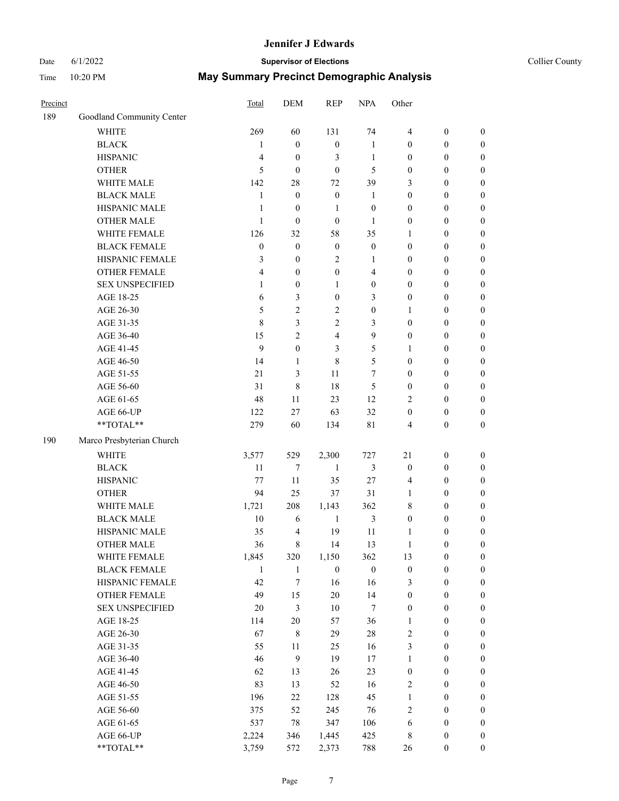#### Date 6/1/2022 **Supervisor of Elections Supervisor of Elections** Collier County

| Precinct |                           | Total            | DEM              | <b>REP</b>       | <b>NPA</b>       | Other            |                  |                  |
|----------|---------------------------|------------------|------------------|------------------|------------------|------------------|------------------|------------------|
| 189      | Goodland Community Center |                  |                  |                  |                  |                  |                  |                  |
|          | <b>WHITE</b>              | 269              | 60               | 131              | 74               | $\overline{4}$   | $\boldsymbol{0}$ | $\boldsymbol{0}$ |
|          | <b>BLACK</b>              | $\mathbf{1}$     | $\boldsymbol{0}$ | $\boldsymbol{0}$ | 1                | $\mathbf{0}$     | $\boldsymbol{0}$ | $\boldsymbol{0}$ |
|          | <b>HISPANIC</b>           | $\overline{4}$   | $\boldsymbol{0}$ | 3                | $\mathbf{1}$     | $\boldsymbol{0}$ | $\boldsymbol{0}$ | $\boldsymbol{0}$ |
|          | <b>OTHER</b>              | 5                | $\boldsymbol{0}$ | $\mathbf{0}$     | 5                | $\boldsymbol{0}$ | $\boldsymbol{0}$ | $\boldsymbol{0}$ |
|          | WHITE MALE                | 142              | 28               | 72               | 39               | 3                | $\boldsymbol{0}$ | $\boldsymbol{0}$ |
|          | <b>BLACK MALE</b>         | $\mathbf{1}$     | $\boldsymbol{0}$ | $\boldsymbol{0}$ | 1                | $\boldsymbol{0}$ | $\boldsymbol{0}$ | $\boldsymbol{0}$ |
|          | HISPANIC MALE             | $\mathbf{1}$     | $\boldsymbol{0}$ | 1                | $\boldsymbol{0}$ | $\boldsymbol{0}$ | $\boldsymbol{0}$ | $\boldsymbol{0}$ |
|          | <b>OTHER MALE</b>         | $\mathbf{1}$     | $\boldsymbol{0}$ | $\boldsymbol{0}$ | 1                | $\boldsymbol{0}$ | $\boldsymbol{0}$ | $\boldsymbol{0}$ |
|          | WHITE FEMALE              | 126              | 32               | 58               | 35               | $\mathbf{1}$     | $\boldsymbol{0}$ | $\boldsymbol{0}$ |
|          | <b>BLACK FEMALE</b>       | $\boldsymbol{0}$ | $\boldsymbol{0}$ | $\boldsymbol{0}$ | $\boldsymbol{0}$ | $\boldsymbol{0}$ | $\boldsymbol{0}$ | $\boldsymbol{0}$ |
|          | HISPANIC FEMALE           | 3                | $\boldsymbol{0}$ | $\sqrt{2}$       | 1                | $\boldsymbol{0}$ | $\boldsymbol{0}$ | 0                |
|          | <b>OTHER FEMALE</b>       | $\overline{4}$   | $\boldsymbol{0}$ | $\boldsymbol{0}$ | 4                | $\boldsymbol{0}$ | $\boldsymbol{0}$ | $\boldsymbol{0}$ |
|          | <b>SEX UNSPECIFIED</b>    | 1                | $\boldsymbol{0}$ | 1                | $\boldsymbol{0}$ | $\boldsymbol{0}$ | $\boldsymbol{0}$ | $\boldsymbol{0}$ |
|          | AGE 18-25                 | 6                | 3                | $\boldsymbol{0}$ | 3                | $\boldsymbol{0}$ | $\boldsymbol{0}$ | $\boldsymbol{0}$ |
|          | AGE 26-30                 | 5                | $\mathbf{2}$     | $\sqrt{2}$       | $\boldsymbol{0}$ | $\mathbf{1}$     | $\boldsymbol{0}$ | $\boldsymbol{0}$ |
|          | AGE 31-35                 | $\,$ 8 $\,$      | 3                | $\overline{2}$   | 3                | $\boldsymbol{0}$ | $\boldsymbol{0}$ | $\boldsymbol{0}$ |
|          | AGE 36-40                 | 15               | $\overline{2}$   | $\overline{4}$   | 9                | $\boldsymbol{0}$ | $\boldsymbol{0}$ | $\boldsymbol{0}$ |
|          | AGE 41-45                 | $\mathbf{9}$     | $\boldsymbol{0}$ | 3                | 5                | $\mathbf{1}$     | $\boldsymbol{0}$ | $\boldsymbol{0}$ |
|          | AGE 46-50                 | 14               | 1                | 8                | 5                | $\boldsymbol{0}$ | $\boldsymbol{0}$ | $\boldsymbol{0}$ |
|          | AGE 51-55                 | 21               | 3                | 11               | 7                | $\boldsymbol{0}$ | $\boldsymbol{0}$ |                  |
|          |                           |                  |                  |                  |                  |                  |                  | $\boldsymbol{0}$ |
|          | AGE 56-60                 | 31               | $\,8\,$          | 18               | 5                | $\boldsymbol{0}$ | $\boldsymbol{0}$ | $\boldsymbol{0}$ |
|          | AGE 61-65                 | 48               | 11               | 23               | 12               | $\overline{2}$   | $\boldsymbol{0}$ | $\boldsymbol{0}$ |
|          | AGE 66-UP<br>**TOTAL**    | 122              | 27               | 63               | 32               | $\boldsymbol{0}$ | $\boldsymbol{0}$ | $\boldsymbol{0}$ |
|          |                           | 279              | 60               | 134              | 81               | 4                | $\boldsymbol{0}$ | $\boldsymbol{0}$ |
| 190      | Marco Presbyterian Church |                  |                  |                  |                  |                  |                  |                  |
|          | <b>WHITE</b>              | 3,577            | 529              | 2,300            | 727              | 21               | $\boldsymbol{0}$ | $\boldsymbol{0}$ |
|          | <b>BLACK</b>              | 11               | 7                | $\mathbf{1}$     | 3                | $\boldsymbol{0}$ | $\boldsymbol{0}$ | $\boldsymbol{0}$ |
|          | <b>HISPANIC</b>           | 77               | 11               | 35               | 27               | 4                | $\boldsymbol{0}$ | $\boldsymbol{0}$ |
|          | <b>OTHER</b>              | 94               | 25               | 37               | 31               | $\mathbf{1}$     | $\boldsymbol{0}$ | $\boldsymbol{0}$ |
|          | WHITE MALE                | 1,721            | 208              | 1,143            | 362              | 8                | $\boldsymbol{0}$ | $\boldsymbol{0}$ |
|          | <b>BLACK MALE</b>         | $10\,$           | 6                | $\mathbf{1}$     | 3                | $\boldsymbol{0}$ | $\mathbf{0}$     | $\boldsymbol{0}$ |
|          | HISPANIC MALE             | 35               | $\overline{4}$   | 19               | 11               | 1                | $\boldsymbol{0}$ | $\boldsymbol{0}$ |
|          | <b>OTHER MALE</b>         | 36               | 8                | 14               | 13               | $\mathbf{1}$     | $\boldsymbol{0}$ | $\boldsymbol{0}$ |
|          | WHITE FEMALE              | 1,845            | 320              | 1,150            | 362              | 13               | 0                | $\theta$         |
|          | <b>BLACK FEMALE</b>       | $\mathbf{1}$     | $\mathbf{1}$     | $\boldsymbol{0}$ | $\boldsymbol{0}$ | $\boldsymbol{0}$ | $\boldsymbol{0}$ | $\boldsymbol{0}$ |
|          | HISPANIC FEMALE           | 42               | 7                | 16               | 16               | 3                | $\boldsymbol{0}$ | $\boldsymbol{0}$ |
|          | <b>OTHER FEMALE</b>       | 49               | 15               | $20\,$           | 14               | $\boldsymbol{0}$ | $\mathbf{0}$     | $\boldsymbol{0}$ |
|          | <b>SEX UNSPECIFIED</b>    | $20\,$           | 3                | 10               | 7                | $\boldsymbol{0}$ | $\boldsymbol{0}$ | $\overline{0}$   |
|          | AGE 18-25                 | 114              | $20\,$           | 57               | 36               | $\mathbf{1}$     | $\mathbf{0}$     | $\overline{0}$   |
|          | AGE 26-30                 | 67               | $\,$ 8 $\,$      | 29               | $28\,$           | $\sqrt{2}$       | $\boldsymbol{0}$ | $\overline{0}$   |
|          | AGE 31-35                 | 55               | $11\,$           | 25               | 16               | $\mathfrak{Z}$   | $\boldsymbol{0}$ | $\theta$         |
|          | AGE 36-40                 | 46               | $\mathbf{9}$     | 19               | 17               | $\mathbf{1}$     | $\boldsymbol{0}$ | 0                |
|          | AGE 41-45                 | 62               | 13               | 26               | 23               | $\boldsymbol{0}$ | $\mathbf{0}$     | 0                |
|          | AGE 46-50                 | 83               | 13               | 52               | 16               | $\sqrt{2}$       | $\boldsymbol{0}$ | $\boldsymbol{0}$ |
|          | AGE 51-55                 | 196              | 22               | 128              | 45               | $\mathbf{1}$     | $\boldsymbol{0}$ | $\boldsymbol{0}$ |
|          | AGE 56-60                 | 375              | 52               | 245              | 76               | $\sqrt{2}$       | $\mathbf{0}$     | $\boldsymbol{0}$ |
|          | AGE 61-65                 | 537              | 78               | 347              | 106              | 6                | $\mathbf{0}$     | $\boldsymbol{0}$ |
|          | AGE 66-UP                 | 2,224            | 346              | 1,445            | 425              | $\,$ 8 $\,$      | $\boldsymbol{0}$ | $\boldsymbol{0}$ |
|          | **TOTAL**                 | 3,759            | 572              | 2,373            | 788              | 26               | $\boldsymbol{0}$ | $\boldsymbol{0}$ |
|          |                           |                  |                  |                  |                  |                  |                  |                  |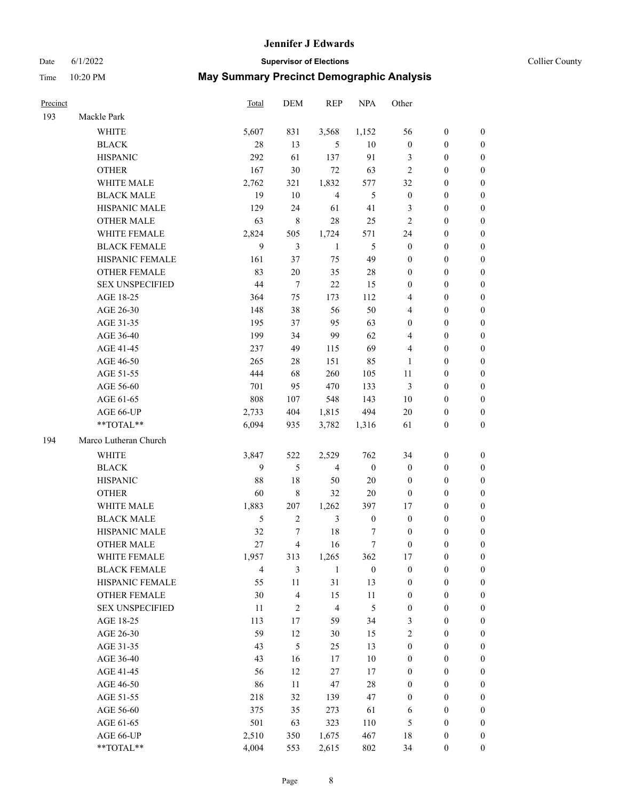Date 6/1/2022 **Supervisor of Elections** Collier County

| Precinct |                        | Total | DEM                     | <b>REP</b>     | <b>NPA</b>       | Other            |                  |                  |
|----------|------------------------|-------|-------------------------|----------------|------------------|------------------|------------------|------------------|
| 193      | Mackle Park            |       |                         |                |                  |                  |                  |                  |
|          | <b>WHITE</b>           | 5,607 | 831                     | 3,568          | 1,152            | 56               | $\boldsymbol{0}$ | $\boldsymbol{0}$ |
|          | <b>BLACK</b>           | 28    | 13                      | 5              | 10               | $\boldsymbol{0}$ | $\boldsymbol{0}$ | $\boldsymbol{0}$ |
|          | <b>HISPANIC</b>        | 292   | 61                      | 137            | 91               | 3                | $\boldsymbol{0}$ | $\boldsymbol{0}$ |
|          | <b>OTHER</b>           | 167   | 30                      | 72             | 63               | $\mathfrak{2}$   | $\boldsymbol{0}$ | $\boldsymbol{0}$ |
|          | WHITE MALE             | 2,762 | 321                     | 1,832          | 577              | 32               | $\boldsymbol{0}$ | $\boldsymbol{0}$ |
|          | <b>BLACK MALE</b>      | 19    | 10                      | $\overline{4}$ | 5                | $\boldsymbol{0}$ | $\boldsymbol{0}$ | $\boldsymbol{0}$ |
|          | HISPANIC MALE          | 129   | 24                      | 61             | 41               | 3                | $\boldsymbol{0}$ | $\boldsymbol{0}$ |
|          | <b>OTHER MALE</b>      | 63    | $\,$ 8 $\,$             | 28             | 25               | $\mathbf{2}$     | $\boldsymbol{0}$ | $\boldsymbol{0}$ |
|          | WHITE FEMALE           | 2,824 | 505                     | 1,724          | 571              | 24               | $\boldsymbol{0}$ | $\boldsymbol{0}$ |
|          | <b>BLACK FEMALE</b>    | 9     | 3                       | $\mathbf{1}$   | 5                | $\boldsymbol{0}$ | $\boldsymbol{0}$ | 0                |
|          | HISPANIC FEMALE        | 161   | 37                      | 75             | 49               | 0                | $\boldsymbol{0}$ | 0                |
|          | <b>OTHER FEMALE</b>    | 83    | 20                      | 35             | 28               | $\boldsymbol{0}$ | $\boldsymbol{0}$ | 0                |
|          | <b>SEX UNSPECIFIED</b> | 44    | $\tau$                  | 22             | 15               | $\boldsymbol{0}$ | $\boldsymbol{0}$ | $\boldsymbol{0}$ |
|          | AGE 18-25              | 364   | 75                      | 173            | 112              | 4                | $\boldsymbol{0}$ | $\boldsymbol{0}$ |
|          | AGE 26-30              | 148   | 38                      | 56             | 50               | 4                | $\boldsymbol{0}$ | $\boldsymbol{0}$ |
|          | AGE 31-35              | 195   | 37                      | 95             | 63               | $\boldsymbol{0}$ | $\boldsymbol{0}$ | $\boldsymbol{0}$ |
|          | AGE 36-40              | 199   | 34                      | 99             | 62               | 4                | $\boldsymbol{0}$ | $\boldsymbol{0}$ |
|          | AGE 41-45              | 237   | 49                      | 115            | 69               | 4                | $\boldsymbol{0}$ | $\boldsymbol{0}$ |
|          | AGE 46-50              | 265   | 28                      | 151            | 85               | $\mathbf{1}$     | $\boldsymbol{0}$ | $\boldsymbol{0}$ |
|          | AGE 51-55              | 444   | 68                      | 260            | 105              | 11               | $\boldsymbol{0}$ | 0                |
|          | AGE 56-60              | 701   | 95                      | 470            | 133              | 3                | $\boldsymbol{0}$ | 0                |
|          | AGE 61-65              | 808   | 107                     | 548            | 143              | 10               | $\boldsymbol{0}$ | 0                |
|          | AGE 66-UP              | 2,733 | 404                     | 1,815          | 494              | $20\,$           | $\boldsymbol{0}$ | 0                |
|          | **TOTAL**              | 6,094 | 935                     | 3,782          | 1,316            | 61               | $\boldsymbol{0}$ | $\boldsymbol{0}$ |
| 194      | Marco Lutheran Church  |       |                         |                |                  |                  |                  |                  |
|          | <b>WHITE</b>           | 3,847 | 522                     | 2,529          | 762              | 34               | $\boldsymbol{0}$ | $\boldsymbol{0}$ |
|          | <b>BLACK</b>           | 9     | 5                       | $\overline{4}$ | $\boldsymbol{0}$ | $\boldsymbol{0}$ | $\boldsymbol{0}$ | $\boldsymbol{0}$ |
|          | <b>HISPANIC</b>        | 88    | 18                      | 50             | $20\,$           | $\boldsymbol{0}$ | $\boldsymbol{0}$ | $\boldsymbol{0}$ |
|          | <b>OTHER</b>           | 60    | $\,8\,$                 | 32             | $20\,$           | $\boldsymbol{0}$ | $\boldsymbol{0}$ | $\boldsymbol{0}$ |
|          | WHITE MALE             | 1,883 | 207                     | 1,262          | 397              | 17               | $\boldsymbol{0}$ | $\boldsymbol{0}$ |
|          | <b>BLACK MALE</b>      | 5     | $\overline{c}$          | 3              | $\boldsymbol{0}$ | $\boldsymbol{0}$ | $\boldsymbol{0}$ | $\boldsymbol{0}$ |
|          | HISPANIC MALE          | 32    | 7                       | 18             | 7                | $\boldsymbol{0}$ | $\boldsymbol{0}$ | 0                |
|          | <b>OTHER MALE</b>      | 27    | $\overline{\mathbf{4}}$ | 16             | $\tau$           | $\boldsymbol{0}$ | $\boldsymbol{0}$ | $\boldsymbol{0}$ |
|          | WHITE FEMALE           | 1,957 | 313                     | 1,265          | 362              | 17               | $\boldsymbol{0}$ | 0                |
|          | <b>BLACK FEMALE</b>    | 4     | 3                       | $\mathbf{1}$   | $\boldsymbol{0}$ | $\boldsymbol{0}$ | $\boldsymbol{0}$ | $\overline{0}$   |
|          | HISPANIC FEMALE        | 55    | $11\,$                  | 31             | 13               | $\boldsymbol{0}$ | $\boldsymbol{0}$ | $\overline{0}$   |
|          | <b>OTHER FEMALE</b>    | 30    | $\overline{\mathbf{4}}$ | 15             | $11\,$           | $\boldsymbol{0}$ | $\boldsymbol{0}$ | $\overline{0}$   |
|          | <b>SEX UNSPECIFIED</b> | 11    | $\overline{c}$          | $\overline{4}$ | 5                | $\boldsymbol{0}$ | $\boldsymbol{0}$ | 0                |
|          | AGE 18-25              | 113   | 17                      | 59             | 34               | 3                | $\boldsymbol{0}$ | 0                |
|          | AGE 26-30              | 59    | 12                      | 30             | 15               | 2                | $\boldsymbol{0}$ | 0                |
|          | AGE 31-35              | 43    | 5                       | 25             | 13               | $\boldsymbol{0}$ | $\boldsymbol{0}$ | 0                |
|          | AGE 36-40              | 43    | 16                      | 17             | $10\,$           | $\boldsymbol{0}$ | $\boldsymbol{0}$ | 0                |
|          | AGE 41-45              | 56    | 12                      | 27             | 17               | $\boldsymbol{0}$ | $\boldsymbol{0}$ | 0                |
|          | AGE 46-50              | 86    | 11                      | 47             | $28\,$           | $\boldsymbol{0}$ | $\boldsymbol{0}$ | 0                |
|          | AGE 51-55              | 218   | 32                      | 139            | 47               | $\boldsymbol{0}$ | $\boldsymbol{0}$ | 0                |
|          | AGE 56-60              | 375   | 35                      | 273            | 61               | 6                | $\boldsymbol{0}$ | 0                |
|          | AGE 61-65              | 501   | 63                      | 323            | 110              | 5                | $\boldsymbol{0}$ | 0                |
|          | AGE 66-UP              | 2,510 | 350                     | 1,675          | 467              | 18               | $\boldsymbol{0}$ | 0                |
|          | **TOTAL**              | 4,004 | 553                     | 2,615          | 802              | 34               | $\boldsymbol{0}$ | $\boldsymbol{0}$ |
|          |                        |       |                         |                |                  |                  |                  |                  |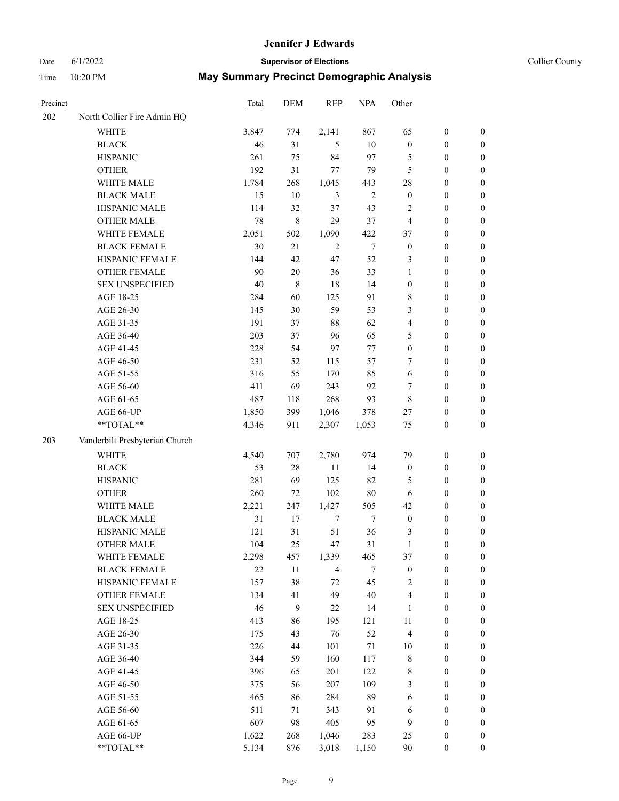# Date 6/1/2022 **Supervisor of Elections Supervisor of Elections** Collier County

| <b>Precinct</b> |                                | Total | DEM    | <b>REP</b>     | <b>NPA</b> | Other            |                  |                  |
|-----------------|--------------------------------|-------|--------|----------------|------------|------------------|------------------|------------------|
| 202             | North Collier Fire Admin HQ    |       |        |                |            |                  |                  |                  |
|                 | <b>WHITE</b>                   | 3,847 | 774    | 2,141          | 867        | 65               | $\boldsymbol{0}$ | $\boldsymbol{0}$ |
|                 | <b>BLACK</b>                   | 46    | 31     | 5              | 10         | $\boldsymbol{0}$ | $\boldsymbol{0}$ | $\boldsymbol{0}$ |
|                 | <b>HISPANIC</b>                | 261   | 75     | 84             | 97         | 5                | $\boldsymbol{0}$ | $\boldsymbol{0}$ |
|                 | <b>OTHER</b>                   | 192   | 31     | 77             | 79         | 5                | $\boldsymbol{0}$ | $\boldsymbol{0}$ |
|                 | WHITE MALE                     | 1,784 | 268    | 1,045          | 443        | 28               | $\boldsymbol{0}$ | $\boldsymbol{0}$ |
|                 | <b>BLACK MALE</b>              | 15    | 10     | 3              | $\sqrt{2}$ | $\boldsymbol{0}$ | $\boldsymbol{0}$ | $\boldsymbol{0}$ |
|                 | HISPANIC MALE                  | 114   | 32     | 37             | 43         | $\overline{c}$   | $\boldsymbol{0}$ | $\boldsymbol{0}$ |
|                 | <b>OTHER MALE</b>              | 78    | 8      | 29             | 37         | $\overline{4}$   | $\boldsymbol{0}$ | $\boldsymbol{0}$ |
|                 | WHITE FEMALE                   | 2,051 | 502    | 1,090          | 422        | 37               | $\boldsymbol{0}$ | $\boldsymbol{0}$ |
|                 | <b>BLACK FEMALE</b>            | 30    | 21     | $\overline{2}$ | $\tau$     | $\boldsymbol{0}$ | $\boldsymbol{0}$ | 0                |
|                 | HISPANIC FEMALE                | 144   | 42     | 47             | 52         | 3                | $\boldsymbol{0}$ | 0                |
|                 | <b>OTHER FEMALE</b>            | 90    | $20\,$ | 36             | 33         | $\mathbf{1}$     | $\boldsymbol{0}$ | 0                |
|                 | <b>SEX UNSPECIFIED</b>         | 40    | 8      | 18             | 14         | $\boldsymbol{0}$ | $\boldsymbol{0}$ | $\boldsymbol{0}$ |
|                 | AGE 18-25                      | 284   | 60     | 125            | 91         | 8                | $\boldsymbol{0}$ | $\boldsymbol{0}$ |
|                 | AGE 26-30                      | 145   | 30     | 59             | 53         | 3                | $\boldsymbol{0}$ | $\boldsymbol{0}$ |
|                 | AGE 31-35                      | 191   | 37     | 88             | 62         | 4                | $\boldsymbol{0}$ | $\boldsymbol{0}$ |
|                 | AGE 36-40                      | 203   | 37     | 96             | 65         | 5                | $\boldsymbol{0}$ | $\boldsymbol{0}$ |
|                 | AGE 41-45                      | 228   | 54     | 97             | 77         | $\boldsymbol{0}$ | $\boldsymbol{0}$ | $\boldsymbol{0}$ |
|                 | AGE 46-50                      | 231   | 52     | 115            | 57         | 7                | $\boldsymbol{0}$ | $\boldsymbol{0}$ |
|                 | AGE 51-55                      | 316   | 55     | 170            | 85         | 6                | $\boldsymbol{0}$ | $\boldsymbol{0}$ |
|                 | AGE 56-60                      | 411   | 69     | 243            | 92         | 7                | $\boldsymbol{0}$ | 0                |
|                 | AGE 61-65                      | 487   | 118    | 268            | 93         | $\,$ 8 $\,$      | $\boldsymbol{0}$ | 0                |
|                 | AGE 66-UP                      | 1,850 | 399    | 1,046          | 378        | 27               | $\boldsymbol{0}$ | 0                |
|                 | $**TOTAL**$                    | 4,346 | 911    | 2,307          | 1,053      | $75\,$           | $\boldsymbol{0}$ | $\boldsymbol{0}$ |
| 203             | Vanderbilt Presbyterian Church |       |        |                |            |                  |                  |                  |
|                 | <b>WHITE</b>                   | 4,540 | 707    | 2,780          | 974        | 79               | $\boldsymbol{0}$ | $\boldsymbol{0}$ |
|                 | <b>BLACK</b>                   | 53    | 28     | $11\,$         | 14         | $\boldsymbol{0}$ | $\boldsymbol{0}$ | $\boldsymbol{0}$ |
|                 | <b>HISPANIC</b>                | 281   | 69     | 125            | 82         | 5                | $\boldsymbol{0}$ | $\boldsymbol{0}$ |
|                 | <b>OTHER</b>                   | 260   | 72     | 102            | $80\,$     | 6                | $\boldsymbol{0}$ | $\boldsymbol{0}$ |
|                 | WHITE MALE                     | 2,221 | 247    | 1,427          | 505        | 42               | $\boldsymbol{0}$ | $\boldsymbol{0}$ |
|                 | <b>BLACK MALE</b>              | 31    | 17     | $\tau$         | $\tau$     | $\boldsymbol{0}$ | $\boldsymbol{0}$ | $\boldsymbol{0}$ |
|                 | HISPANIC MALE                  | 121   | 31     | 51             | 36         | 3                | $\boldsymbol{0}$ | 0                |
|                 | <b>OTHER MALE</b>              | 104   | 25     | 47             | 31         | $\mathbf{1}$     | $\boldsymbol{0}$ | 0                |
|                 | WHITE FEMALE                   | 2,298 | 457    | 1,339          | 465        | 37               | $\boldsymbol{0}$ | 0                |
|                 | <b>BLACK FEMALE</b>            | 22    | 11     | $\overline{4}$ | $\tau$     | $\boldsymbol{0}$ | $\boldsymbol{0}$ | $\boldsymbol{0}$ |
|                 | HISPANIC FEMALE                | 157   | 38     | 72             | 45         | $\overline{c}$   | $\boldsymbol{0}$ | $\overline{0}$   |
|                 | <b>OTHER FEMALE</b>            | 134   | 41     | 49             | 40         | 4                | $\boldsymbol{0}$ | $\overline{0}$   |
|                 | <b>SEX UNSPECIFIED</b>         | 46    | 9      | $22\,$         | 14         | $\mathbf{1}$     | $\boldsymbol{0}$ | $\overline{0}$   |
|                 | AGE 18-25                      | 413   | 86     | 195            | 121        | $11\,$           | $\boldsymbol{0}$ | $\overline{0}$   |
|                 | AGE 26-30                      | 175   | 43     | 76             | 52         | $\overline{4}$   | $\boldsymbol{0}$ | 0                |
|                 | AGE 31-35                      | 226   | 44     | 101            | $71\,$     | $10\,$           | $\boldsymbol{0}$ | 0                |
|                 | AGE 36-40                      | 344   | 59     | 160            | 117        | 8                | $\boldsymbol{0}$ | 0                |
|                 | AGE 41-45                      | 396   | 65     | 201            | 122        | 8                | $\boldsymbol{0}$ | 0                |
|                 | AGE 46-50                      | 375   | 56     | 207            | 109        | 3                | $\boldsymbol{0}$ | 0                |
|                 | AGE 51-55                      | 465   | 86     | 284            | 89         | 6                | $\boldsymbol{0}$ | $\boldsymbol{0}$ |
|                 | AGE 56-60                      | 511   | 71     | 343            | 91         | 6                | $\boldsymbol{0}$ | $\boldsymbol{0}$ |
|                 | AGE 61-65                      | 607   | 98     | 405            | 95         | 9                | $\boldsymbol{0}$ | $\overline{0}$   |
|                 | AGE 66-UP                      | 1,622 | 268    | 1,046          | 283        | 25               | $\boldsymbol{0}$ | 0                |
|                 | **TOTAL**                      | 5,134 | 876    | 3,018          | 1,150      | 90               | $\boldsymbol{0}$ | $\boldsymbol{0}$ |
|                 |                                |       |        |                |            |                  |                  |                  |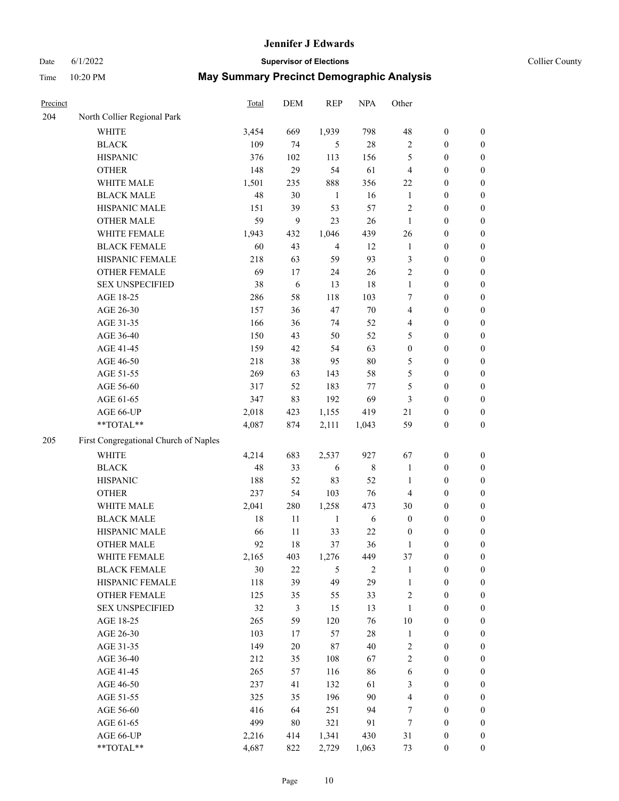#### Date 6/1/2022 **Supervisor of Elections Supervisor of Elections** Collier County

| Precinct |                                       | Total | DEM    | <b>REP</b>     | <b>NPA</b>     | Other            |                  |                  |
|----------|---------------------------------------|-------|--------|----------------|----------------|------------------|------------------|------------------|
| 204      | North Collier Regional Park           |       |        |                |                |                  |                  |                  |
|          | <b>WHITE</b>                          | 3,454 | 669    | 1,939          | 798            | 48               | $\boldsymbol{0}$ | $\boldsymbol{0}$ |
|          | <b>BLACK</b>                          | 109   | 74     | 5              | $28\,$         | $\sqrt{2}$       | $\boldsymbol{0}$ | $\boldsymbol{0}$ |
|          | <b>HISPANIC</b>                       | 376   | 102    | 113            | 156            | 5                | $\boldsymbol{0}$ | $\boldsymbol{0}$ |
|          | <b>OTHER</b>                          | 148   | 29     | 54             | 61             | $\overline{4}$   | $\boldsymbol{0}$ | $\boldsymbol{0}$ |
|          | WHITE MALE                            | 1,501 | 235    | 888            | 356            | 22               | $\boldsymbol{0}$ | $\boldsymbol{0}$ |
|          | <b>BLACK MALE</b>                     | 48    | 30     | $\mathbf{1}$   | 16             | $\mathbf{1}$     | $\boldsymbol{0}$ | $\boldsymbol{0}$ |
|          | HISPANIC MALE                         | 151   | 39     | 53             | 57             | $\overline{c}$   | $\boldsymbol{0}$ | $\boldsymbol{0}$ |
|          | <b>OTHER MALE</b>                     | 59    | 9      | 23             | 26             | $\mathbf{1}$     | $\boldsymbol{0}$ | $\boldsymbol{0}$ |
|          | WHITE FEMALE                          | 1,943 | 432    | 1,046          | 439            | 26               | $\boldsymbol{0}$ | $\boldsymbol{0}$ |
|          | <b>BLACK FEMALE</b>                   | 60    | 43     | $\overline{4}$ | 12             | $\mathbf{1}$     | $\boldsymbol{0}$ | $\boldsymbol{0}$ |
|          | HISPANIC FEMALE                       | 218   | 63     | 59             | 93             | 3                | $\boldsymbol{0}$ | 0                |
|          | <b>OTHER FEMALE</b>                   | 69    | 17     | 24             | 26             | $\mathfrak{2}$   | $\boldsymbol{0}$ | $\boldsymbol{0}$ |
|          | <b>SEX UNSPECIFIED</b>                | 38    | 6      | 13             | 18             | $\mathbf{1}$     | $\boldsymbol{0}$ | $\boldsymbol{0}$ |
|          | AGE 18-25                             | 286   | 58     | 118            | 103            | 7                | $\boldsymbol{0}$ | $\boldsymbol{0}$ |
|          | AGE 26-30                             | 157   | 36     | 47             | 70             | 4                | $\boldsymbol{0}$ | $\boldsymbol{0}$ |
|          | AGE 31-35                             | 166   | 36     | 74             | 52             | 4                | $\boldsymbol{0}$ | $\boldsymbol{0}$ |
|          | AGE 36-40                             | 150   | 43     | 50             | 52             | 5                | $\boldsymbol{0}$ | $\boldsymbol{0}$ |
|          | AGE 41-45                             | 159   | 42     | 54             | 63             | $\boldsymbol{0}$ | $\boldsymbol{0}$ | $\boldsymbol{0}$ |
|          | AGE 46-50                             | 218   | 38     | 95             | $80\,$         | 5                | $\boldsymbol{0}$ | $\boldsymbol{0}$ |
|          | AGE 51-55                             | 269   | 63     | 143            | 58             | 5                | $\boldsymbol{0}$ | $\boldsymbol{0}$ |
|          | AGE 56-60                             | 317   | 52     | 183            | 77             | 5                | $\boldsymbol{0}$ | 0                |
|          | AGE 61-65                             | 347   | 83     | 192            | 69             | 3                | $\boldsymbol{0}$ | 0                |
|          | AGE 66-UP                             | 2,018 | 423    | 1,155          | 419            | 21               | $\boldsymbol{0}$ | $\boldsymbol{0}$ |
|          | **TOTAL**                             | 4,087 | 874    | 2,111          | 1,043          | 59               | $\boldsymbol{0}$ | $\boldsymbol{0}$ |
| 205      | First Congregational Church of Naples |       |        |                |                |                  |                  |                  |
|          | <b>WHITE</b>                          | 4,214 | 683    | 2,537          | 927            | 67               | $\boldsymbol{0}$ | $\boldsymbol{0}$ |
|          | <b>BLACK</b>                          | 48    | 33     | 6              | 8              | $\mathbf{1}$     | $\boldsymbol{0}$ | $\boldsymbol{0}$ |
|          | <b>HISPANIC</b>                       | 188   | 52     | 83             | 52             | $\mathbf{1}$     | $\boldsymbol{0}$ | $\boldsymbol{0}$ |
|          | <b>OTHER</b>                          | 237   | 54     | 103            | 76             | 4                | $\boldsymbol{0}$ | $\boldsymbol{0}$ |
|          | WHITE MALE                            | 2,041 | 280    | 1,258          | 473            | 30               | $\boldsymbol{0}$ | $\boldsymbol{0}$ |
|          | <b>BLACK MALE</b>                     | 18    | $11\,$ | $\mathbf{1}$   | $\sqrt{6}$     | $\boldsymbol{0}$ | $\boldsymbol{0}$ | $\boldsymbol{0}$ |
|          | HISPANIC MALE                         | 66    | 11     | 33             | 22             | $\boldsymbol{0}$ | $\boldsymbol{0}$ | $\boldsymbol{0}$ |
|          | <b>OTHER MALE</b>                     | 92    | 18     | 37             | 36             | 1                | $\boldsymbol{0}$ | $\boldsymbol{0}$ |
|          | WHITE FEMALE                          | 2,165 | 403    | 1,276          | 449            | 37               | $\boldsymbol{0}$ | 0                |
|          | <b>BLACK FEMALE</b>                   | 30    | 22     | 5              | $\overline{c}$ | $\mathbf{1}$     | $\boldsymbol{0}$ | $\boldsymbol{0}$ |
|          | HISPANIC FEMALE                       | 118   | 39     | 49             | 29             | $\mathbf{1}$     | $\boldsymbol{0}$ | $\boldsymbol{0}$ |
|          | OTHER FEMALE                          | 125   | 35     | 55             | 33             | $\sqrt{2}$       | $\boldsymbol{0}$ | $\overline{0}$   |
|          | <b>SEX UNSPECIFIED</b>                | 32    | 3      | 15             | 13             | $\mathbf{1}$     | $\boldsymbol{0}$ | 0                |
|          | AGE 18-25                             | 265   | 59     | 120            | 76             | $10\,$           | $\boldsymbol{0}$ | $\overline{0}$   |
|          | AGE 26-30                             | 103   | 17     | 57             | $28\,$         | $\mathbf{1}$     | $\boldsymbol{0}$ | 0                |
|          | AGE 31-35                             | 149   | $20\,$ | 87             | 40             | 2                | $\boldsymbol{0}$ | 0                |
|          | AGE 36-40                             | 212   | 35     | 108            | 67             | $\sqrt{2}$       | $\boldsymbol{0}$ | 0                |
|          | AGE 41-45                             | 265   | 57     | 116            | 86             | 6                | $\boldsymbol{0}$ | 0                |
|          | AGE 46-50                             | 237   | 41     | 132            | 61             | 3                | $\boldsymbol{0}$ | 0                |
|          | AGE 51-55                             | 325   | 35     | 196            | 90             | 4                | $\boldsymbol{0}$ | $\boldsymbol{0}$ |
|          | AGE 56-60                             | 416   | 64     | 251            | 94             | 7                | $\boldsymbol{0}$ | $\boldsymbol{0}$ |
|          | AGE 61-65                             | 499   | $80\,$ | 321            | 91             | 7                | $\boldsymbol{0}$ | $\boldsymbol{0}$ |
|          | AGE 66-UP                             | 2,216 | 414    | 1,341          | 430            | 31               | $\boldsymbol{0}$ | 0                |
|          | **TOTAL**                             | 4,687 | 822    | 2,729          | 1,063          | 73               | $\boldsymbol{0}$ | $\boldsymbol{0}$ |
|          |                                       |       |        |                |                |                  |                  |                  |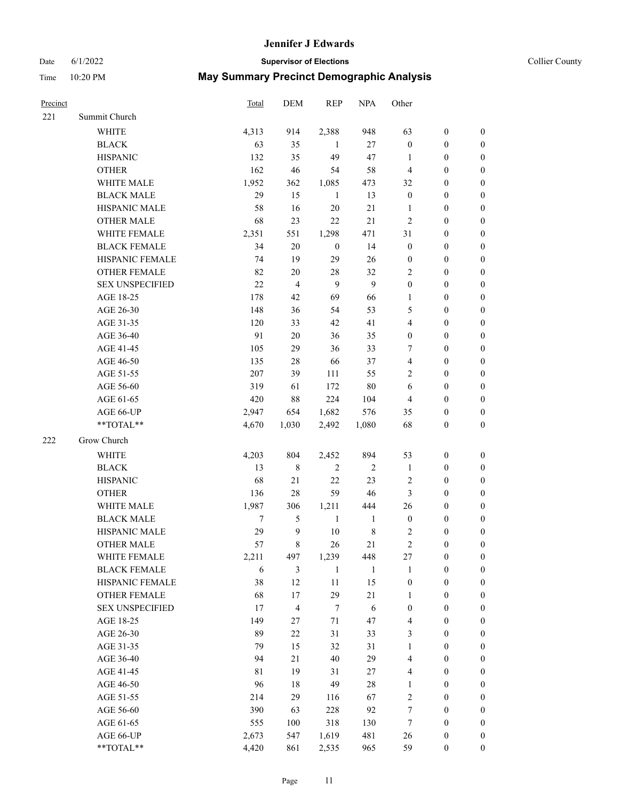# Date 6/1/2022 **Supervisor of Elections Supervisor of Elections** Collier County

| Precinct |                        | Total | DEM            | <b>REP</b>       | <b>NPA</b>   | Other            |                  |                  |
|----------|------------------------|-------|----------------|------------------|--------------|------------------|------------------|------------------|
| 221      | Summit Church          |       |                |                  |              |                  |                  |                  |
|          | <b>WHITE</b>           | 4,313 | 914            | 2,388            | 948          | 63               | $\boldsymbol{0}$ | $\boldsymbol{0}$ |
|          | <b>BLACK</b>           | 63    | 35             | -1               | 27           | $\boldsymbol{0}$ | $\boldsymbol{0}$ | $\boldsymbol{0}$ |
|          | <b>HISPANIC</b>        | 132   | 35             | 49               | 47           | 1                | $\boldsymbol{0}$ | $\boldsymbol{0}$ |
|          | <b>OTHER</b>           | 162   | 46             | 54               | 58           | $\overline{4}$   | $\boldsymbol{0}$ | $\boldsymbol{0}$ |
|          | WHITE MALE             | 1,952 | 362            | 1,085            | 473          | 32               | $\boldsymbol{0}$ | $\boldsymbol{0}$ |
|          | <b>BLACK MALE</b>      | 29    | 15             | $\mathbf{1}$     | 13           | $\boldsymbol{0}$ | $\boldsymbol{0}$ | $\boldsymbol{0}$ |
|          | HISPANIC MALE          | 58    | 16             | 20               | 21           | $\mathbf{1}$     | $\boldsymbol{0}$ | $\boldsymbol{0}$ |
|          | <b>OTHER MALE</b>      | 68    | 23             | 22               | 21           | $\overline{c}$   | $\boldsymbol{0}$ | $\boldsymbol{0}$ |
|          | <b>WHITE FEMALE</b>    | 2,351 | 551            | 1,298            | 471          | 31               | $\boldsymbol{0}$ | $\boldsymbol{0}$ |
|          | <b>BLACK FEMALE</b>    | 34    | $20\,$         | $\boldsymbol{0}$ | 14           | $\boldsymbol{0}$ | $\boldsymbol{0}$ | 0                |
|          | HISPANIC FEMALE        | 74    | 19             | 29               | 26           | $\boldsymbol{0}$ | $\boldsymbol{0}$ | 0                |
|          | <b>OTHER FEMALE</b>    | 82    | 20             | $28\,$           | 32           | $\mathfrak{2}$   | $\boldsymbol{0}$ | 0                |
|          | <b>SEX UNSPECIFIED</b> | 22    | $\overline{4}$ | 9                | 9            | $\boldsymbol{0}$ | $\boldsymbol{0}$ | $\boldsymbol{0}$ |
|          | AGE 18-25              | 178   | 42             | 69               | 66           | 1                | $\boldsymbol{0}$ | $\boldsymbol{0}$ |
|          | AGE 26-30              | 148   | 36             | 54               | 53           | 5                | $\boldsymbol{0}$ | $\boldsymbol{0}$ |
|          | AGE 31-35              | 120   | 33             | $42\,$           | 41           | 4                | $\boldsymbol{0}$ | $\boldsymbol{0}$ |
|          | AGE 36-40              | 91    | 20             | 36               | 35           | $\boldsymbol{0}$ | $\boldsymbol{0}$ | $\boldsymbol{0}$ |
|          | AGE 41-45              | 105   | 29             | 36               | 33           | 7                | $\boldsymbol{0}$ | $\boldsymbol{0}$ |
|          | AGE 46-50              | 135   | 28             | 66               | 37           | 4                | $\boldsymbol{0}$ | $\boldsymbol{0}$ |
|          | AGE 51-55              | 207   | 39             | 111              | 55           | $\mathfrak{2}$   | $\boldsymbol{0}$ | 0                |
|          | AGE 56-60              | 319   | 61             | 172              | 80           | 6                | $\boldsymbol{0}$ | 0                |
|          | AGE 61-65              | 420   | 88             | 224              | 104          | $\overline{4}$   | $\boldsymbol{0}$ | 0                |
|          | AGE 66-UP              | 2,947 | 654            | 1,682            | 576          | 35               | $\boldsymbol{0}$ | 0                |
|          | **TOTAL**              | 4,670 | 1,030          | 2,492            | 1,080        | 68               | $\boldsymbol{0}$ | $\boldsymbol{0}$ |
|          |                        |       |                |                  |              |                  |                  |                  |
| 222      | Grow Church            |       |                |                  |              |                  |                  |                  |
|          | <b>WHITE</b>           | 4,203 | 804            | 2,452            | 894          | 53               | $\boldsymbol{0}$ | $\boldsymbol{0}$ |
|          | <b>BLACK</b>           | 13    | 8              | $\sqrt{2}$       | $\sqrt{2}$   | $\mathbf{1}$     | $\boldsymbol{0}$ | $\boldsymbol{0}$ |
|          | <b>HISPANIC</b>        | 68    | 21             | 22               | 23           | 2                | $\boldsymbol{0}$ | $\boldsymbol{0}$ |
|          | <b>OTHER</b>           | 136   | 28             | 59               | 46           | $\mathfrak{Z}$   | $\boldsymbol{0}$ | $\boldsymbol{0}$ |
|          | WHITE MALE             | 1,987 | 306            | 1,211            | 444          | 26               | $\boldsymbol{0}$ | $\boldsymbol{0}$ |
|          | <b>BLACK MALE</b>      | 7     | 5              | $\mathbf{1}$     | $\mathbf{1}$ | $\boldsymbol{0}$ | $\boldsymbol{0}$ | $\boldsymbol{0}$ |
|          | HISPANIC MALE          | 29    | 9              | $10\,$           | $\,$ $\,$    | 2                | $\boldsymbol{0}$ | 0                |
|          | <b>OTHER MALE</b>      | 57    | 8              | 26               | 21           | $\mathfrak{2}$   | $\boldsymbol{0}$ | 0                |
|          | WHITE FEMALE           | 2,211 | 497            | 1,239            | 448          | 27               | $\boldsymbol{0}$ | 0                |
|          | <b>BLACK FEMALE</b>    | 6     | 3              | $\mathbf{1}$     | $\mathbf{1}$ | $\mathbf{1}$     | $\boldsymbol{0}$ | $\boldsymbol{0}$ |
|          | HISPANIC FEMALE        | 38    | 12             | $11\,$           | 15           | $\boldsymbol{0}$ | $\boldsymbol{0}$ | $\overline{0}$   |
|          | OTHER FEMALE           | 68    | 17             | 29               | $21\,$       | $\mathbf{1}$     | $\boldsymbol{0}$ | $\overline{0}$   |
|          | <b>SEX UNSPECIFIED</b> | 17    | 4              | $\tau$           | 6            | $\boldsymbol{0}$ | $\boldsymbol{0}$ | $\overline{0}$   |
|          | AGE 18-25              | 149   | 27             | $71\,$           | 47           | 4                | $\boldsymbol{0}$ | $\overline{0}$   |
|          | AGE 26-30              | 89    | $22\,$         | 31               | 33           | 3                | $\boldsymbol{0}$ | 0                |
|          | AGE 31-35              | 79    | 15             | 32               | 31           | $\mathbf{1}$     | $\boldsymbol{0}$ | 0                |
|          | AGE 36-40              | 94    | 21             | 40               | 29           | 4                | $\boldsymbol{0}$ | 0                |
|          | AGE 41-45              | 81    | 19             | 31               | 27           | 4                | $\boldsymbol{0}$ | 0                |
|          | AGE 46-50              | 96    | 18             | 49               | $28\,$       | $\mathbf{1}$     | $\boldsymbol{0}$ | 0                |
|          | AGE 51-55              | 214   | 29             | 116              | 67           | $\sqrt{2}$       | $\boldsymbol{0}$ | $\boldsymbol{0}$ |
|          | AGE 56-60              | 390   | 63             | 228              | 92           | 7                | $\boldsymbol{0}$ | $\boldsymbol{0}$ |
|          | AGE 61-65              | 555   | 100            | 318              | 130          | 7                | $\boldsymbol{0}$ | $\overline{0}$   |
|          | AGE 66-UP              | 2,673 | 547            | 1,619            | 481          | 26               | $\boldsymbol{0}$ | 0                |
|          | **TOTAL**              | 4,420 | 861            | 2,535            | 965          | 59               | $\boldsymbol{0}$ | $\boldsymbol{0}$ |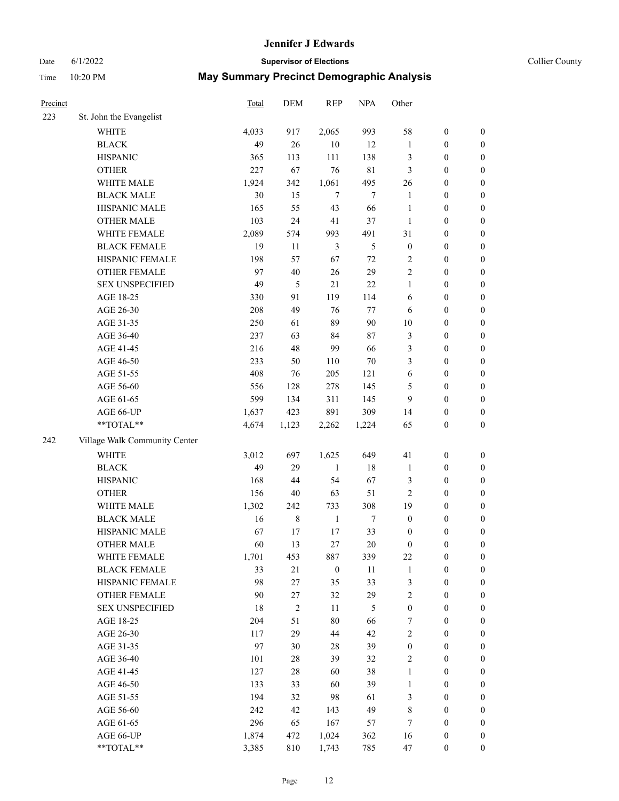# Date 6/1/2022 **Supervisor of Elections** Collier County

| Precinct |                                                           | Total | <b>DEM</b>  | <b>REP</b>       | <b>NPA</b>  | Other            |                  |                  |
|----------|-----------------------------------------------------------|-------|-------------|------------------|-------------|------------------|------------------|------------------|
| 223      | St. John the Evangelist                                   |       |             |                  |             |                  |                  |                  |
|          | <b>WHITE</b>                                              | 4,033 | 917         | 2,065            | 993         | 58               | $\boldsymbol{0}$ | 0                |
|          | <b>BLACK</b>                                              | 49    | 26          | $10\,$           | 12          | $\mathbf{1}$     | $\boldsymbol{0}$ | $\boldsymbol{0}$ |
|          | <b>HISPANIC</b>                                           | 365   | 113         | 111              | 138         | 3                | $\boldsymbol{0}$ | $\boldsymbol{0}$ |
|          | <b>OTHER</b>                                              | 227   | 67          | 76               | $8\sqrt{1}$ | 3                | $\boldsymbol{0}$ | $\boldsymbol{0}$ |
|          | WHITE MALE                                                | 1,924 | 342         | 1,061            | 495         | 26               | $\boldsymbol{0}$ | $\boldsymbol{0}$ |
|          | <b>BLACK MALE</b>                                         | 30    | 15          | $\tau$           | 7           | $\mathbf{1}$     | $\boldsymbol{0}$ | $\boldsymbol{0}$ |
|          | HISPANIC MALE                                             | 165   | 55          | 43               | 66          | $\mathbf{1}$     | $\boldsymbol{0}$ | $\boldsymbol{0}$ |
|          | <b>OTHER MALE</b>                                         | 103   | 24          | 41               | 37          | $\mathbf{1}$     | $\boldsymbol{0}$ | $\boldsymbol{0}$ |
|          | WHITE FEMALE                                              | 2,089 | 574         | 993              | 491         | 31               | $\boldsymbol{0}$ | $\boldsymbol{0}$ |
|          | <b>BLACK FEMALE</b>                                       | 19    | 11          | $\mathfrak{Z}$   | 5           | $\boldsymbol{0}$ | $\boldsymbol{0}$ | 0                |
|          | HISPANIC FEMALE                                           | 198   | 57          | 67               | $72\,$      | 2                | $\boldsymbol{0}$ | 0                |
|          | OTHER FEMALE                                              | 97    | 40          | 26               | 29          | $\overline{c}$   | $\boldsymbol{0}$ | $\boldsymbol{0}$ |
|          | <b>SEX UNSPECIFIED</b>                                    | 49    | 5           | 21               | 22          | $\mathbf{1}$     | $\boldsymbol{0}$ | $\boldsymbol{0}$ |
|          | AGE 18-25                                                 | 330   | 91          | 119              | 114         | 6                | $\boldsymbol{0}$ | $\boldsymbol{0}$ |
|          | AGE 26-30                                                 | 208   | 49          | 76               | $77 \,$     | 6                | $\boldsymbol{0}$ | $\boldsymbol{0}$ |
|          | AGE 31-35                                                 | 250   | 61          | 89               | 90          | 10               | $\boldsymbol{0}$ | $\boldsymbol{0}$ |
|          | AGE 36-40                                                 | 237   | 63          | 84               | 87          | 3                | $\boldsymbol{0}$ | $\boldsymbol{0}$ |
|          | AGE 41-45                                                 | 216   | 48          | 99               | 66          | 3                | $\boldsymbol{0}$ | $\boldsymbol{0}$ |
|          | AGE 46-50                                                 | 233   | 50          | 110              | 70          | 3                | $\boldsymbol{0}$ | $\boldsymbol{0}$ |
|          | AGE 51-55                                                 | 408   | 76          | 205              | 121         | 6                | $\boldsymbol{0}$ | $\boldsymbol{0}$ |
|          | AGE 56-60                                                 | 556   | 128         | 278              | 145         | 5                | $\boldsymbol{0}$ | 0                |
|          | AGE 61-65                                                 | 599   | 134         | 311              | 145         | 9                | $\boldsymbol{0}$ | 0                |
|          | AGE 66-UP                                                 | 1,637 | 423         | 891              | 309         | 14               | $\boldsymbol{0}$ | $\boldsymbol{0}$ |
|          | $\mathrm{*}\mathrm{*}\mathrm{TOTAL} \mathrm{*}\mathrm{*}$ | 4,674 | 1,123       | 2,262            | 1,224       | 65               | $\boldsymbol{0}$ | $\boldsymbol{0}$ |
| 242      | Village Walk Community Center                             |       |             |                  |             |                  |                  |                  |
|          | <b>WHITE</b>                                              | 3,012 | 697         | 1,625            | 649         | 41               | $\boldsymbol{0}$ | $\boldsymbol{0}$ |
|          | <b>BLACK</b>                                              | 49    | 29          | $\mathbf{1}$     | 18          | $\mathbf{1}$     | $\boldsymbol{0}$ | $\boldsymbol{0}$ |
|          | <b>HISPANIC</b>                                           | 168   | 44          | 54               | 67          | 3                | $\boldsymbol{0}$ | $\boldsymbol{0}$ |
|          | <b>OTHER</b>                                              | 156   | 40          | 63               | 51          | $\overline{c}$   | $\boldsymbol{0}$ | $\boldsymbol{0}$ |
|          | WHITE MALE                                                | 1,302 | 242         | 733              | 308         | 19               | $\boldsymbol{0}$ | $\boldsymbol{0}$ |
|          | <b>BLACK MALE</b>                                         | 16    | $\,$ 8 $\,$ | $\mathbf{1}$     | $\tau$      | $\boldsymbol{0}$ | $\boldsymbol{0}$ | $\boldsymbol{0}$ |
|          | HISPANIC MALE                                             | 67    | 17          | 17               | 33          | $\boldsymbol{0}$ | $\boldsymbol{0}$ | 0                |
|          | <b>OTHER MALE</b>                                         | 60    | 13          | 27               | 20          | $\boldsymbol{0}$ | $\boldsymbol{0}$ | $\boldsymbol{0}$ |
|          | WHITE FEMALE                                              | 1,701 | 453         | 887              | 339         | 22               | 0                | 0                |
|          | <b>BLACK FEMALE</b>                                       | 33    | 21          | $\boldsymbol{0}$ | 11          | $\mathbf{1}$     | $\boldsymbol{0}$ | $\overline{0}$   |
|          | HISPANIC FEMALE                                           | 98    | $27\,$      | 35               | 33          | 3                | $\boldsymbol{0}$ | $\overline{0}$   |
|          | OTHER FEMALE                                              | 90    | $27\,$      | 32               | 29          | 2                | $\boldsymbol{0}$ | $\overline{0}$   |
|          | <b>SEX UNSPECIFIED</b>                                    | 18    | $\sqrt{2}$  | 11               | 5           | $\boldsymbol{0}$ | $\boldsymbol{0}$ | 0                |
|          | AGE 18-25                                                 | 204   | 51          | 80               | 66          | 7                | $\boldsymbol{0}$ | $\overline{0}$   |
|          | AGE 26-30                                                 | 117   | 29          | 44               | 42          | $\overline{c}$   | $\boldsymbol{0}$ | 0                |
|          | AGE 31-35                                                 | 97    | 30          | 28               | 39          | $\boldsymbol{0}$ | $\boldsymbol{0}$ | 0                |
|          | AGE 36-40                                                 | 101   | 28          | 39               | 32          | 2                | $\boldsymbol{0}$ | 0                |
|          | AGE 41-45                                                 | 127   | 28          | 60               | 38          | $\mathbf{1}$     | $\boldsymbol{0}$ | 0                |
|          | AGE 46-50                                                 | 133   | 33          | 60               | 39          | $\mathbf{1}$     | $\boldsymbol{0}$ | 0                |
|          | AGE 51-55                                                 | 194   | 32          | 98               | 61          | 3                | $\boldsymbol{0}$ | 0                |
|          | AGE 56-60                                                 | 242   | 42          | 143              | 49          | 8                | $\boldsymbol{0}$ | $\overline{0}$   |
|          | AGE 61-65                                                 | 296   | 65          | 167              | 57          | 7                | $\boldsymbol{0}$ | $\overline{0}$   |
|          | AGE 66-UP                                                 | 1,874 | 472         | 1,024            | 362         | 16               | $\boldsymbol{0}$ | 0                |
|          | **TOTAL**                                                 | 3,385 | 810         | 1,743            | 785         | 47               | $\boldsymbol{0}$ | $\boldsymbol{0}$ |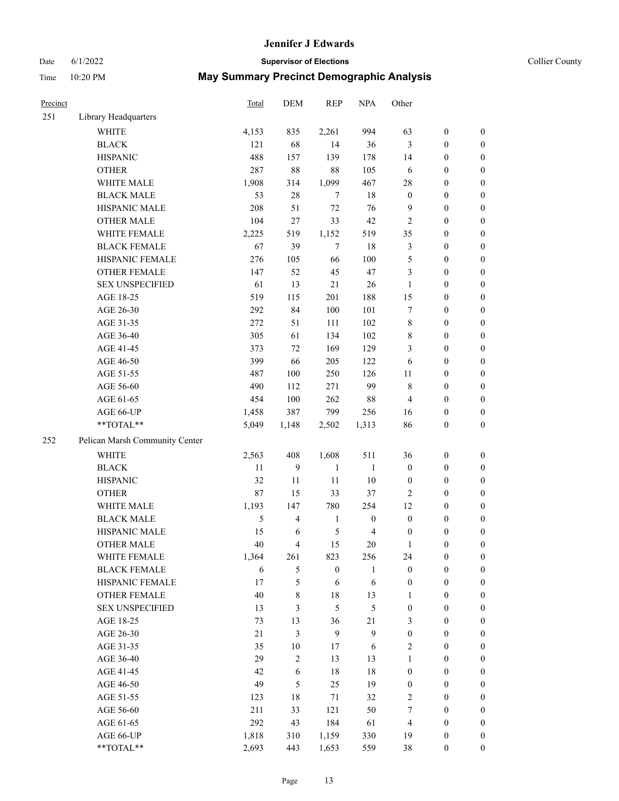# Date 6/1/2022 **Supervisor of Elections Supervisor of Elections** Collier County

| Precinct |                                | <b>Total</b> | DEM                     | <b>REP</b>       | <b>NPA</b>       | Other            |                  |                  |
|----------|--------------------------------|--------------|-------------------------|------------------|------------------|------------------|------------------|------------------|
| 251      | Library Headquarters           |              |                         |                  |                  |                  |                  |                  |
|          | <b>WHITE</b>                   | 4,153        | 835                     | 2,261            | 994              | 63               | $\boldsymbol{0}$ | $\boldsymbol{0}$ |
|          | <b>BLACK</b>                   | 121          | 68                      | 14               | 36               | $\mathfrak{Z}$   | $\boldsymbol{0}$ | $\boldsymbol{0}$ |
|          | <b>HISPANIC</b>                | 488          | 157                     | 139              | 178              | 14               | $\boldsymbol{0}$ | $\boldsymbol{0}$ |
|          | <b>OTHER</b>                   | 287          | 88                      | 88               | 105              | 6                | $\boldsymbol{0}$ | $\boldsymbol{0}$ |
|          | WHITE MALE                     | 1,908        | 314                     | 1,099            | 467              | 28               | $\boldsymbol{0}$ | $\boldsymbol{0}$ |
|          | <b>BLACK MALE</b>              | 53           | 28                      | $\tau$           | 18               | $\boldsymbol{0}$ | $\boldsymbol{0}$ | $\boldsymbol{0}$ |
|          | HISPANIC MALE                  | 208          | 51                      | 72               | 76               | $\overline{9}$   | $\boldsymbol{0}$ | $\boldsymbol{0}$ |
|          | <b>OTHER MALE</b>              | 104          | 27                      | 33               | 42               | $\overline{c}$   | $\boldsymbol{0}$ | $\boldsymbol{0}$ |
|          | WHITE FEMALE                   | 2,225        | 519                     | 1,152            | 519              | 35               | $\boldsymbol{0}$ | $\boldsymbol{0}$ |
|          | <b>BLACK FEMALE</b>            | 67           | 39                      | $\tau$           | 18               | 3                | $\boldsymbol{0}$ | $\boldsymbol{0}$ |
|          | HISPANIC FEMALE                | 276          | 105                     | 66               | 100              | 5                | $\boldsymbol{0}$ | 0                |
|          | <b>OTHER FEMALE</b>            | 147          | 52                      | 45               | 47               | 3                | $\boldsymbol{0}$ | $\boldsymbol{0}$ |
|          | <b>SEX UNSPECIFIED</b>         | 61           | 13                      | $21\,$           | 26               | $\mathbf{1}$     | $\boldsymbol{0}$ | $\boldsymbol{0}$ |
|          | AGE 18-25                      | 519          | 115                     | 201              | 188              | 15               | $\boldsymbol{0}$ | $\boldsymbol{0}$ |
|          | AGE 26-30                      | 292          | 84                      | 100              | 101              | 7                | $\boldsymbol{0}$ | $\boldsymbol{0}$ |
|          | AGE 31-35                      | 272          | 51                      | 111              | 102              | $\,$ $\,$        | $\boldsymbol{0}$ | $\boldsymbol{0}$ |
|          | AGE 36-40                      | 305          | 61                      | 134              | 102              | 8                | $\boldsymbol{0}$ | $\boldsymbol{0}$ |
|          | AGE 41-45                      | 373          | 72                      | 169              | 129              | 3                | $\boldsymbol{0}$ | $\boldsymbol{0}$ |
|          | AGE 46-50                      | 399          | 66                      | 205              | 122              | 6                | $\boldsymbol{0}$ | $\boldsymbol{0}$ |
|          | AGE 51-55                      | 487          | 100                     | 250              | 126              | 11               | $\boldsymbol{0}$ | $\boldsymbol{0}$ |
|          | AGE 56-60                      | 490          | 112                     | 271              | 99               | $\,8\,$          | $\boldsymbol{0}$ | 0                |
|          | AGE 61-65                      | 454          | 100                     | 262              | $88\,$           | $\overline{4}$   | $\boldsymbol{0}$ | $\boldsymbol{0}$ |
|          | AGE 66-UP                      | 1,458        | 387                     | 799              | 256              | 16               | $\boldsymbol{0}$ | $\boldsymbol{0}$ |
|          | **TOTAL**                      | 5,049        | 1,148                   | 2,502            | 1,313            | 86               | $\boldsymbol{0}$ | $\boldsymbol{0}$ |
| 252      | Pelican Marsh Community Center |              |                         |                  |                  |                  |                  |                  |
|          | WHITE                          | 2,563        | 408                     | 1,608            | 511              | 36               | $\boldsymbol{0}$ | $\boldsymbol{0}$ |
|          | <b>BLACK</b>                   | 11           | 9                       | $\mathbf{1}$     | $\mathbf{1}$     | $\boldsymbol{0}$ | $\boldsymbol{0}$ | $\boldsymbol{0}$ |
|          | <b>HISPANIC</b>                | 32           | 11                      | 11               | 10               | $\boldsymbol{0}$ | $\boldsymbol{0}$ | $\boldsymbol{0}$ |
|          | <b>OTHER</b>                   | $87\,$       | 15                      | 33               | 37               | $\overline{c}$   | $\boldsymbol{0}$ | $\boldsymbol{0}$ |
|          | WHITE MALE                     | 1,193        | 147                     | 780              | 254              | 12               | $\boldsymbol{0}$ | $\boldsymbol{0}$ |
|          | <b>BLACK MALE</b>              | 5            | $\overline{\mathbf{4}}$ | $\mathbf{1}$     | $\boldsymbol{0}$ | $\boldsymbol{0}$ | $\boldsymbol{0}$ | $\boldsymbol{0}$ |
|          | HISPANIC MALE                  | 15           | 6                       | $\sqrt{5}$       | $\overline{4}$   | $\boldsymbol{0}$ | $\boldsymbol{0}$ | $\boldsymbol{0}$ |
|          | <b>OTHER MALE</b>              | 40           | 4                       | 15               | 20               | $\mathbf{1}$     | $\boldsymbol{0}$ | $\boldsymbol{0}$ |
|          | WHITE FEMALE                   | 1,364        | 261                     | 823              | 256              | 24               | $\boldsymbol{0}$ | 0                |
|          | <b>BLACK FEMALE</b>            | 6            | 5                       | $\boldsymbol{0}$ | $\mathbf{1}$     | $\boldsymbol{0}$ | $\boldsymbol{0}$ | $\boldsymbol{0}$ |
|          | HISPANIC FEMALE                | 17           | 5                       | 6                | 6                | $\boldsymbol{0}$ | $\boldsymbol{0}$ | $\overline{0}$   |
|          | <b>OTHER FEMALE</b>            | 40           | 8                       | $18\,$           | 13               | $\mathbf{1}$     | $\boldsymbol{0}$ | $\overline{0}$   |
|          | <b>SEX UNSPECIFIED</b>         | 13           | 3                       | 5                | 5                | $\boldsymbol{0}$ | $\boldsymbol{0}$ | $\overline{0}$   |
|          | AGE 18-25                      | 73           | 13                      | 36               | 21               | 3                | $\boldsymbol{0}$ | $\overline{0}$   |
|          | AGE 26-30                      | 21           | 3                       | $\mathbf{9}$     | $\mathbf{9}$     | $\boldsymbol{0}$ | $\boldsymbol{0}$ | $\overline{0}$   |
|          | AGE 31-35                      | 35           | $10\,$                  | 17               | $\sqrt{6}$       | $\mathfrak{2}$   | $\boldsymbol{0}$ | 0                |
|          | AGE 36-40                      | 29           | $\overline{c}$          | 13               | 13               | $\mathbf{1}$     | $\boldsymbol{0}$ | 0                |
|          | AGE 41-45                      | 42           | 6                       | 18               | 18               | $\boldsymbol{0}$ | $\boldsymbol{0}$ | 0                |
|          | AGE 46-50                      | 49           | 5                       | 25               | 19               | $\boldsymbol{0}$ | $\boldsymbol{0}$ | 0                |
|          | AGE 51-55                      | 123          | 18                      | 71               | 32               | $\overline{c}$   | $\boldsymbol{0}$ | $\boldsymbol{0}$ |
|          | AGE 56-60                      | 211          | 33                      | 121              | 50               | 7                | $\boldsymbol{0}$ | $\boldsymbol{0}$ |
|          | AGE 61-65                      | 292          | 43                      | 184              | 61               | $\overline{4}$   | $\boldsymbol{0}$ | $\overline{0}$   |
|          | AGE 66-UP                      | 1,818        | 310                     | 1,159            | 330              | 19               | $\boldsymbol{0}$ | $\boldsymbol{0}$ |
|          | **TOTAL**                      | 2,693        | 443                     | 1,653            | 559              | 38               | $\boldsymbol{0}$ | $\boldsymbol{0}$ |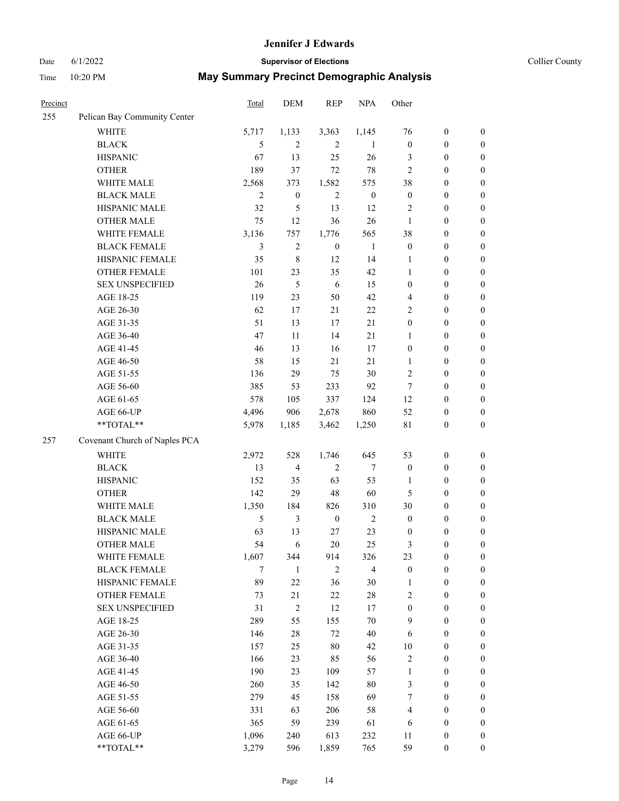# Date 6/1/2022 **Supervisor of Elections Supervisor of Elections** Collier County

| <b>Precinct</b> |                               | <b>Total</b> | DEM              | <b>REP</b>       | <b>NPA</b>       | Other            |                  |                  |
|-----------------|-------------------------------|--------------|------------------|------------------|------------------|------------------|------------------|------------------|
| 255             | Pelican Bay Community Center  |              |                  |                  |                  |                  |                  |                  |
|                 | <b>WHITE</b>                  | 5,717        | 1,133            | 3,363            | 1,145            | 76               | $\boldsymbol{0}$ | $\boldsymbol{0}$ |
|                 | <b>BLACK</b>                  | 5            | 2                | 2                | 1                | $\mathbf{0}$     | $\boldsymbol{0}$ | $\boldsymbol{0}$ |
|                 | <b>HISPANIC</b>               | 67           | 13               | 25               | 26               | 3                | $\boldsymbol{0}$ | $\boldsymbol{0}$ |
|                 | <b>OTHER</b>                  | 189          | 37               | 72               | $78\,$           | $\overline{c}$   | $\boldsymbol{0}$ | $\boldsymbol{0}$ |
|                 | WHITE MALE                    | 2,568        | 373              | 1,582            | 575              | 38               | $\boldsymbol{0}$ | $\boldsymbol{0}$ |
|                 | <b>BLACK MALE</b>             | $\mathbf{2}$ | $\boldsymbol{0}$ | $\overline{2}$   | $\boldsymbol{0}$ | $\boldsymbol{0}$ | $\boldsymbol{0}$ | $\boldsymbol{0}$ |
|                 | HISPANIC MALE                 | 32           | 5                | 13               | 12               | $\overline{c}$   | $\boldsymbol{0}$ | $\boldsymbol{0}$ |
|                 | <b>OTHER MALE</b>             | 75           | 12               | 36               | 26               | $\mathbf{1}$     | $\boldsymbol{0}$ | $\boldsymbol{0}$ |
|                 | WHITE FEMALE                  | 3,136        | 757              | 1,776            | 565              | 38               | $\boldsymbol{0}$ | $\boldsymbol{0}$ |
|                 | <b>BLACK FEMALE</b>           | 3            | $\overline{c}$   | $\boldsymbol{0}$ | $\mathbf{1}$     | $\boldsymbol{0}$ | $\boldsymbol{0}$ | $\boldsymbol{0}$ |
|                 | HISPANIC FEMALE               | 35           | 8                | 12               | 14               | 1                | $\boldsymbol{0}$ | 0                |
|                 | <b>OTHER FEMALE</b>           | 101          | 23               | 35               | 42               | $\mathbf{1}$     | $\boldsymbol{0}$ | 0                |
|                 | <b>SEX UNSPECIFIED</b>        | 26           | 5                | 6                | 15               | $\boldsymbol{0}$ | $\boldsymbol{0}$ | $\boldsymbol{0}$ |
|                 | AGE 18-25                     | 119          | 23               | 50               | 42               | 4                | $\boldsymbol{0}$ | $\boldsymbol{0}$ |
|                 | AGE 26-30                     | 62           | 17               | 21               | $22\,$           | $\overline{c}$   | $\boldsymbol{0}$ | $\boldsymbol{0}$ |
|                 | AGE 31-35                     | 51           | 13               | 17               | 21               | $\boldsymbol{0}$ | $\boldsymbol{0}$ | $\boldsymbol{0}$ |
|                 | AGE 36-40                     | 47           | 11               | 14               | 21               | $\mathbf{1}$     | $\boldsymbol{0}$ | $\boldsymbol{0}$ |
|                 | AGE 41-45                     | 46           | 13               | 16               | 17               | $\boldsymbol{0}$ | $\boldsymbol{0}$ | $\boldsymbol{0}$ |
|                 | AGE 46-50                     | 58           | 15               | 21               | 21               | 1                | $\boldsymbol{0}$ | $\boldsymbol{0}$ |
|                 | AGE 51-55                     | 136          | 29               | 75               | $30\,$           | $\overline{c}$   | $\boldsymbol{0}$ | $\boldsymbol{0}$ |
|                 | AGE 56-60                     | 385          | 53               | 233              | 92               | 7                | $\boldsymbol{0}$ | 0                |
|                 | AGE 61-65                     | 578          | 105              | 337              | 124              | 12               | $\boldsymbol{0}$ | 0                |
|                 | AGE 66-UP                     | 4,496        | 906              | 2,678            | 860              | 52               | $\boldsymbol{0}$ | $\boldsymbol{0}$ |
|                 | **TOTAL**                     | 5,978        | 1,185            | 3,462            | 1,250            | $8\sqrt{1}$      | $\boldsymbol{0}$ | $\boldsymbol{0}$ |
| 257             | Covenant Church of Naples PCA |              |                  |                  |                  |                  |                  |                  |
|                 | WHITE                         | 2,972        | 528              | 1,746            | 645              | 53               | $\boldsymbol{0}$ | $\boldsymbol{0}$ |
|                 | <b>BLACK</b>                  | 13           | 4                | $\sqrt{2}$       | 7                | $\boldsymbol{0}$ | $\boldsymbol{0}$ | $\boldsymbol{0}$ |
|                 | <b>HISPANIC</b>               | 152          | 35               | 63               | 53               | $\mathbf{1}$     | $\boldsymbol{0}$ | $\boldsymbol{0}$ |
|                 | <b>OTHER</b>                  | 142          | 29               | $48\,$           | 60               | 5                | $\boldsymbol{0}$ | $\boldsymbol{0}$ |
|                 | WHITE MALE                    | 1,350        | 184              | 826              | 310              | 30               | $\boldsymbol{0}$ | $\boldsymbol{0}$ |
|                 | <b>BLACK MALE</b>             | 5            | 3                | $\boldsymbol{0}$ | $\overline{2}$   | $\boldsymbol{0}$ | $\boldsymbol{0}$ | $\boldsymbol{0}$ |
|                 | HISPANIC MALE                 | 63           | 13               | 27               | 23               | $\boldsymbol{0}$ | $\boldsymbol{0}$ | $\boldsymbol{0}$ |
|                 | <b>OTHER MALE</b>             | 54           | 6                | 20               | 25               | 3                | $\boldsymbol{0}$ | $\boldsymbol{0}$ |
|                 | WHITE FEMALE                  | 1,607        | 344              | 914              | 326              | 23               | $\boldsymbol{0}$ | 0                |
|                 | <b>BLACK FEMALE</b>           | 7            | $\mathbf{1}$     | $\mathfrak{2}$   | $\overline{4}$   | $\boldsymbol{0}$ | $\boldsymbol{0}$ | $\boldsymbol{0}$ |
|                 | HISPANIC FEMALE               | 89           | $22\,$           | 36               | 30               | $\mathbf{1}$     | $\boldsymbol{0}$ | $\overline{0}$   |
|                 | OTHER FEMALE                  | 73           | 21               | $22\,$           | $28\,$           | $\overline{c}$   | $\boldsymbol{0}$ | $\overline{0}$   |
|                 | <b>SEX UNSPECIFIED</b>        | 31           | $\overline{c}$   | 12               | 17               | $\boldsymbol{0}$ | $\boldsymbol{0}$ | $\overline{0}$   |
|                 | AGE 18-25                     | 289          | 55               | 155              | $70\,$           | 9                | $\boldsymbol{0}$ | $\overline{0}$   |
|                 | AGE 26-30                     | 146          | 28               | 72               | $40\,$           | 6                | $\boldsymbol{0}$ | $\overline{0}$   |
|                 | AGE 31-35                     | 157          | 25               | $80\,$           | 42               | $10\,$           | $\boldsymbol{0}$ | 0                |
|                 | AGE 36-40                     | 166          | 23               | 85               | 56               | $\overline{c}$   | $\boldsymbol{0}$ | 0                |
|                 | AGE 41-45                     | 190          | 23               | 109              | 57               | $\mathbf{1}$     | $\boldsymbol{0}$ | 0                |
|                 | AGE 46-50                     | 260          | 35               | 142              | $80\,$           | 3                | $\boldsymbol{0}$ | 0                |
|                 | AGE 51-55                     | 279          | 45               | 158              | 69               | 7                | $\boldsymbol{0}$ | $\overline{0}$   |
|                 | AGE 56-60                     | 331          | 63               | 206              | 58               | 4                | $\boldsymbol{0}$ | $\overline{0}$   |
|                 | AGE 61-65                     | 365          | 59               | 239              | 61               | 6                | $\boldsymbol{0}$ | $\overline{0}$   |
|                 | AGE 66-UP                     | 1,096        | 240              | 613              | 232              | 11               | $\boldsymbol{0}$ | $\boldsymbol{0}$ |
|                 | **TOTAL**                     | 3,279        | 596              | 1,859            | 765              | 59               | $\boldsymbol{0}$ | $\boldsymbol{0}$ |
|                 |                               |              |                  |                  |                  |                  |                  |                  |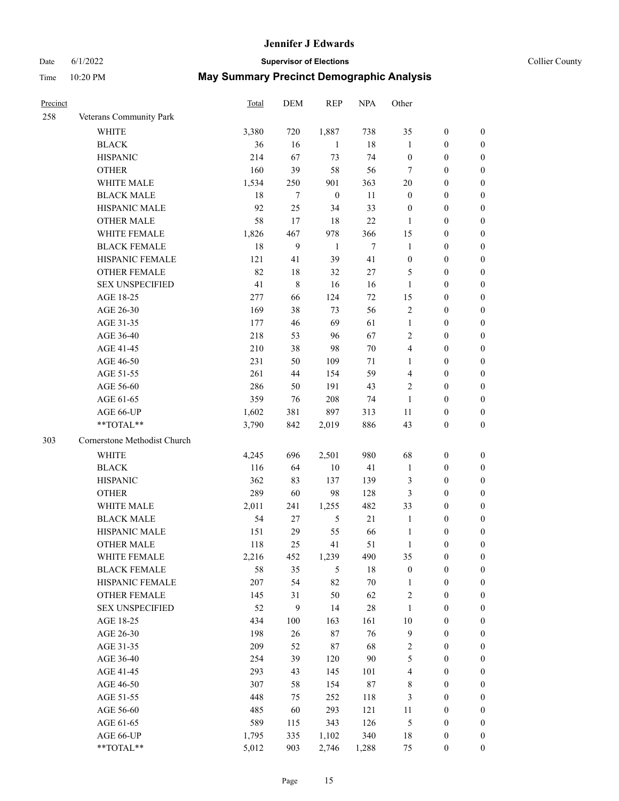#### Date 6/1/2022 **Supervisor of Elections Supervisor of Elections** Collier County

| <b>Precinct</b> |                              | Total | <b>DEM</b> | <b>REP</b>       | <b>NPA</b> | Other            |                  |                  |
|-----------------|------------------------------|-------|------------|------------------|------------|------------------|------------------|------------------|
| 258             | Veterans Community Park      |       |            |                  |            |                  |                  |                  |
|                 | <b>WHITE</b>                 | 3,380 | 720        | 1,887            | 738        | 35               | $\boldsymbol{0}$ | $\boldsymbol{0}$ |
|                 | <b>BLACK</b>                 | 36    | 16         | 1                | 18         | 1                | $\boldsymbol{0}$ | $\boldsymbol{0}$ |
|                 | <b>HISPANIC</b>              | 214   | 67         | 73               | 74         | $\boldsymbol{0}$ | $\boldsymbol{0}$ | $\boldsymbol{0}$ |
|                 | <b>OTHER</b>                 | 160   | 39         | 58               | 56         | 7                | $\boldsymbol{0}$ | $\boldsymbol{0}$ |
|                 | WHITE MALE                   | 1,534 | 250        | 901              | 363        | 20               | $\boldsymbol{0}$ | $\boldsymbol{0}$ |
|                 | <b>BLACK MALE</b>            | 18    | 7          | $\boldsymbol{0}$ | 11         | $\boldsymbol{0}$ | $\boldsymbol{0}$ | $\boldsymbol{0}$ |
|                 | HISPANIC MALE                | 92    | 25         | 34               | 33         | $\boldsymbol{0}$ | $\boldsymbol{0}$ | $\boldsymbol{0}$ |
|                 | <b>OTHER MALE</b>            | 58    | 17         | 18               | 22         | $\mathbf{1}$     | $\boldsymbol{0}$ | $\boldsymbol{0}$ |
|                 | WHITE FEMALE                 | 1,826 | 467        | 978              | 366        | 15               | $\boldsymbol{0}$ | $\boldsymbol{0}$ |
|                 | <b>BLACK FEMALE</b>          | 18    | 9          | $\mathbf{1}$     | $\tau$     | $\mathbf{1}$     | $\boldsymbol{0}$ | 0                |
|                 | HISPANIC FEMALE              | 121   | 41         | 39               | 41         | $\boldsymbol{0}$ | $\boldsymbol{0}$ | 0                |
|                 | <b>OTHER FEMALE</b>          | 82    | 18         | 32               | 27         | 5                | $\boldsymbol{0}$ | 0                |
|                 | <b>SEX UNSPECIFIED</b>       | 41    | 8          | 16               | 16         | $\mathbf{1}$     | $\boldsymbol{0}$ | $\boldsymbol{0}$ |
|                 | AGE 18-25                    | 277   | 66         | 124              | 72         | 15               | $\boldsymbol{0}$ | $\boldsymbol{0}$ |
|                 | AGE 26-30                    | 169   | 38         | 73               | 56         | $\overline{c}$   | $\boldsymbol{0}$ | $\boldsymbol{0}$ |
|                 | AGE 31-35                    | 177   | 46         | 69               | 61         | $\mathbf{1}$     | $\boldsymbol{0}$ | $\boldsymbol{0}$ |
|                 | AGE 36-40                    | 218   | 53         | 96               | 67         | $\overline{c}$   | $\boldsymbol{0}$ | $\boldsymbol{0}$ |
|                 | AGE 41-45                    | 210   | 38         | 98               | $70\,$     | 4                | $\boldsymbol{0}$ | $\boldsymbol{0}$ |
|                 | AGE 46-50                    | 231   | 50         | 109              | 71         | 1                | $\boldsymbol{0}$ | $\boldsymbol{0}$ |
|                 | AGE 51-55                    | 261   | 44         | 154              | 59         | 4                | $\boldsymbol{0}$ | $\boldsymbol{0}$ |
|                 | AGE 56-60                    | 286   | 50         | 191              | 43         | $\overline{c}$   | $\boldsymbol{0}$ | 0                |
|                 | AGE 61-65                    | 359   | 76         | 208              | 74         | 1                | $\boldsymbol{0}$ | 0                |
|                 | AGE 66-UP                    | 1,602 | 381        | 897              | 313        | 11               | $\boldsymbol{0}$ | $\boldsymbol{0}$ |
|                 | **TOTAL**                    | 3,790 | 842        | 2,019            | 886        | 43               | $\boldsymbol{0}$ | $\boldsymbol{0}$ |
| 303             | Cornerstone Methodist Church |       |            |                  |            |                  |                  |                  |
|                 | <b>WHITE</b>                 | 4,245 | 696        | 2,501            | 980        | 68               | $\boldsymbol{0}$ | $\boldsymbol{0}$ |
|                 | <b>BLACK</b>                 | 116   | 64         | $10\,$           | 41         | $\mathbf{1}$     | $\boldsymbol{0}$ | $\boldsymbol{0}$ |
|                 | <b>HISPANIC</b>              | 362   | 83         | 137              | 139        | 3                | $\boldsymbol{0}$ | $\boldsymbol{0}$ |
|                 | <b>OTHER</b>                 | 289   | 60         | 98               | 128        | 3                | $\boldsymbol{0}$ | $\boldsymbol{0}$ |
|                 | WHITE MALE                   | 2,011 | 241        | 1,255            | 482        | 33               | $\boldsymbol{0}$ | $\boldsymbol{0}$ |
|                 | <b>BLACK MALE</b>            | 54    | 27         | $\mathfrak{H}$   | 21         | $\mathbf{1}$     | $\boldsymbol{0}$ | $\boldsymbol{0}$ |
|                 | HISPANIC MALE                | 151   | 29         | 55               | 66         | $\mathbf{1}$     | $\boldsymbol{0}$ | 0                |
|                 | <b>OTHER MALE</b>            | 118   | 25         | 41               | 51         | $\mathbf{1}$     | $\boldsymbol{0}$ | $\boldsymbol{0}$ |
|                 | WHITE FEMALE                 | 2,216 | 452        | 1,239            | 490        | 35               | $\boldsymbol{0}$ | 0                |
|                 | <b>BLACK FEMALE</b>          | 58    | 35         | 5                | 18         | $\boldsymbol{0}$ | $\boldsymbol{0}$ | $\boldsymbol{0}$ |
|                 | HISPANIC FEMALE              | 207   | 54         | 82               | $70\,$     | $\mathbf{1}$     | $\boldsymbol{0}$ | $\boldsymbol{0}$ |
|                 | OTHER FEMALE                 | 145   | 31         | 50               | 62         | $\sqrt{2}$       | $\boldsymbol{0}$ | $\overline{0}$   |
|                 | <b>SEX UNSPECIFIED</b>       | 52    | 9          | 14               | 28         | $\mathbf{1}$     | $\boldsymbol{0}$ | 0                |
|                 | AGE 18-25                    | 434   | 100        | 163              | 161        | $10\,$           | $\boldsymbol{0}$ | $\overline{0}$   |
|                 | AGE 26-30                    | 198   | 26         | $87\,$           | 76         | $\overline{9}$   | $\boldsymbol{0}$ | 0                |
|                 | AGE 31-35                    | 209   | 52         | $87\,$           | 68         | $\sqrt{2}$       | $\boldsymbol{0}$ | 0                |
|                 | AGE 36-40                    | 254   | 39         | 120              | 90         | 5                | $\boldsymbol{0}$ | 0                |
|                 | AGE 41-45                    | 293   | 43         | 145              | 101        | $\overline{4}$   | $\boldsymbol{0}$ | 0                |
|                 | AGE 46-50                    | 307   | 58         | 154              | $87\,$     | 8                | $\boldsymbol{0}$ | 0                |
|                 | AGE 51-55                    | 448   | 75         | 252              | 118        | 3                | $\boldsymbol{0}$ | $\boldsymbol{0}$ |
|                 | AGE 56-60                    | 485   | 60         | 293              | 121        | 11               | $\boldsymbol{0}$ | $\boldsymbol{0}$ |
|                 | AGE 61-65                    | 589   | 115        | 343              | 126        | 5                | $\boldsymbol{0}$ | $\boldsymbol{0}$ |
|                 | AGE 66-UP                    | 1,795 | 335        | 1,102            | 340        | 18               | $\boldsymbol{0}$ | 0                |
|                 | **TOTAL**                    | 5,012 | 903        | 2,746            | 1,288      | 75               | $\boldsymbol{0}$ | $\boldsymbol{0}$ |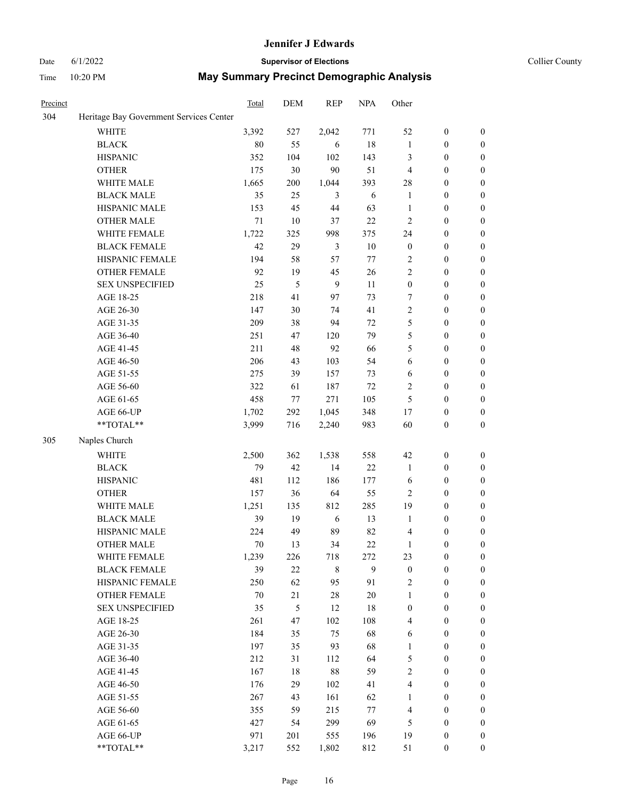#### Date 6/1/2022 **Supervisor of Elections Supervisor of Elections** Collier County

| Precinct |                                         | Total | DEM     | <b>REP</b>  | <b>NPA</b> | Other            |                  |                  |
|----------|-----------------------------------------|-------|---------|-------------|------------|------------------|------------------|------------------|
| 304      | Heritage Bay Government Services Center |       |         |             |            |                  |                  |                  |
|          | <b>WHITE</b>                            | 3,392 | 527     | 2,042       | 771        | 52               | $\boldsymbol{0}$ | $\boldsymbol{0}$ |
|          | <b>BLACK</b>                            | 80    | 55      | 6           | 18         | $\mathbf{1}$     | $\boldsymbol{0}$ | $\boldsymbol{0}$ |
|          | <b>HISPANIC</b>                         | 352   | 104     | 102         | 143        | 3                | $\boldsymbol{0}$ | $\boldsymbol{0}$ |
|          | <b>OTHER</b>                            | 175   | 30      | 90          | 51         | $\overline{4}$   | $\boldsymbol{0}$ | $\boldsymbol{0}$ |
|          | WHITE MALE                              | 1,665 | 200     | 1,044       | 393        | 28               | $\boldsymbol{0}$ | $\boldsymbol{0}$ |
|          | <b>BLACK MALE</b>                       | 35    | 25      | 3           | 6          | $\mathbf{1}$     | $\boldsymbol{0}$ | $\boldsymbol{0}$ |
|          | HISPANIC MALE                           | 153   | 45      | 44          | 63         | $\mathbf{1}$     | $\boldsymbol{0}$ | $\boldsymbol{0}$ |
|          | <b>OTHER MALE</b>                       | 71    | 10      | 37          | $22\,$     | $\overline{c}$   | $\boldsymbol{0}$ | $\boldsymbol{0}$ |
|          | WHITE FEMALE                            | 1,722 | 325     | 998         | 375        | 24               | $\boldsymbol{0}$ | 0                |
|          | <b>BLACK FEMALE</b>                     | 42    | 29      | 3           | $10\,$     | $\boldsymbol{0}$ | $\boldsymbol{0}$ | 0                |
|          | HISPANIC FEMALE                         | 194   | 58      | 57          | 77         | $\overline{c}$   | $\boldsymbol{0}$ | $\boldsymbol{0}$ |
|          | OTHER FEMALE                            | 92    | 19      | 45          | 26         | $\mathfrak{2}$   | $\boldsymbol{0}$ | $\boldsymbol{0}$ |
|          | <b>SEX UNSPECIFIED</b>                  | 25    | 5       | 9           | 11         | $\boldsymbol{0}$ | $\boldsymbol{0}$ | $\boldsymbol{0}$ |
|          | AGE 18-25                               | 218   | 41      | 97          | 73         | 7                | $\boldsymbol{0}$ | $\boldsymbol{0}$ |
|          | AGE 26-30                               | 147   | 30      | 74          | 41         | $\overline{c}$   | $\boldsymbol{0}$ | $\boldsymbol{0}$ |
|          | AGE 31-35                               | 209   | 38      | 94          | 72         | 5                | $\boldsymbol{0}$ | $\boldsymbol{0}$ |
|          | AGE 36-40                               | 251   | 47      | 120         | 79         | 5                | $\boldsymbol{0}$ | $\boldsymbol{0}$ |
|          | AGE 41-45                               | 211   | 48      | 92          | 66         | 5                | $\boldsymbol{0}$ | $\boldsymbol{0}$ |
|          | AGE 46-50                               | 206   | 43      | 103         | 54         | 6                | $\boldsymbol{0}$ | 0                |
|          | AGE 51-55                               | 275   | 39      | 157         | 73         | 6                | $\boldsymbol{0}$ | 0                |
|          | AGE 56-60                               | 322   | 61      | 187         | 72         | $\overline{2}$   | $\boldsymbol{0}$ | $\boldsymbol{0}$ |
|          | AGE 61-65                               | 458   | $77 \,$ | 271         | 105        | 5                | $\boldsymbol{0}$ | $\boldsymbol{0}$ |
|          | AGE 66-UP                               | 1,702 | 292     | 1,045       | 348        | 17               | $\boldsymbol{0}$ | $\boldsymbol{0}$ |
|          | $**TOTAL**$                             | 3,999 | 716     | 2,240       | 983        | 60               | $\boldsymbol{0}$ | $\boldsymbol{0}$ |
| 305      | Naples Church                           |       |         |             |            |                  |                  |                  |
|          | <b>WHITE</b>                            | 2,500 | 362     | 1,538       | 558        | 42               | $\boldsymbol{0}$ | $\boldsymbol{0}$ |
|          | <b>BLACK</b>                            | 79    | 42      | 14          | 22         | $\mathbf{1}$     | $\boldsymbol{0}$ | $\boldsymbol{0}$ |
|          | <b>HISPANIC</b>                         | 481   | 112     | 186         | 177        | 6                | $\boldsymbol{0}$ | $\boldsymbol{0}$ |
|          | <b>OTHER</b>                            | 157   | 36      | 64          | 55         | $\overline{c}$   | $\boldsymbol{0}$ | $\boldsymbol{0}$ |
|          | WHITE MALE                              | 1,251 | 135     | 812         | 285        | 19               | $\boldsymbol{0}$ | $\boldsymbol{0}$ |
|          | <b>BLACK MALE</b>                       | 39    | 19      | 6           | 13         | $\mathbf{1}$     | $\boldsymbol{0}$ | 0                |
|          | HISPANIC MALE                           | 224   | 49      | 89          | 82         | $\overline{4}$   | $\boldsymbol{0}$ | 0                |
|          | <b>OTHER MALE</b>                       | 70    | 13      | 34          | 22         | $\mathbf{1}$     | $\boldsymbol{0}$ | $\boldsymbol{0}$ |
|          | WHITE FEMALE                            | 1,239 | 226     | 718         | 272        | 23               | $\boldsymbol{0}$ | $\boldsymbol{0}$ |
|          | <b>BLACK FEMALE</b>                     | 39    | $22\,$  | $\,$ 8 $\,$ | 9          | $\boldsymbol{0}$ | $\boldsymbol{0}$ | $\boldsymbol{0}$ |
|          | HISPANIC FEMALE                         | 250   | 62      | 95          | 91         | 2                | $\boldsymbol{0}$ | $\overline{0}$   |
|          | <b>OTHER FEMALE</b>                     | 70    | 21      | $28\,$      | $20\,$     | $\mathbf{1}$     | $\boldsymbol{0}$ | $\overline{0}$   |
|          | <b>SEX UNSPECIFIED</b>                  | 35    | 5       | 12          | $18\,$     | $\boldsymbol{0}$ | $\boldsymbol{0}$ | $\overline{0}$   |
|          | AGE 18-25                               | 261   | 47      | 102         | 108        | 4                | $\boldsymbol{0}$ | $\overline{0}$   |
|          | AGE 26-30                               | 184   | 35      | 75          | 68         | 6                | $\boldsymbol{0}$ | 0                |
|          | AGE 31-35                               | 197   | 35      | 93          | 68         | $\mathbf{1}$     | $\boldsymbol{0}$ | 0                |
|          | AGE 36-40                               | 212   | 31      | 112         | 64         | $\mathfrak{S}$   | $\boldsymbol{0}$ | $\boldsymbol{0}$ |
|          | AGE 41-45                               | 167   | 18      | $88\,$      | 59         | $\sqrt{2}$       | $\boldsymbol{0}$ | $\boldsymbol{0}$ |
|          | AGE 46-50                               | 176   | 29      | 102         | 41         | 4                | $\boldsymbol{0}$ | $\boldsymbol{0}$ |
|          | AGE 51-55                               | 267   | 43      | 161         | 62         | $\mathbf{1}$     | $\boldsymbol{0}$ | $\boldsymbol{0}$ |
|          | AGE 56-60                               | 355   | 59      | 215         | 77         | $\overline{4}$   | $\boldsymbol{0}$ | $\overline{0}$   |
|          | AGE 61-65                               | 427   | 54      | 299         | 69         | $\mathfrak{S}$   | $\boldsymbol{0}$ | $\overline{0}$   |
|          | AGE 66-UP                               | 971   | 201     | 555         | 196        | 19               | $\boldsymbol{0}$ | $\overline{0}$   |
|          | **TOTAL**                               | 3,217 | 552     | 1,802       | 812        | 51               | $\boldsymbol{0}$ | $\boldsymbol{0}$ |
|          |                                         |       |         |             |            |                  |                  |                  |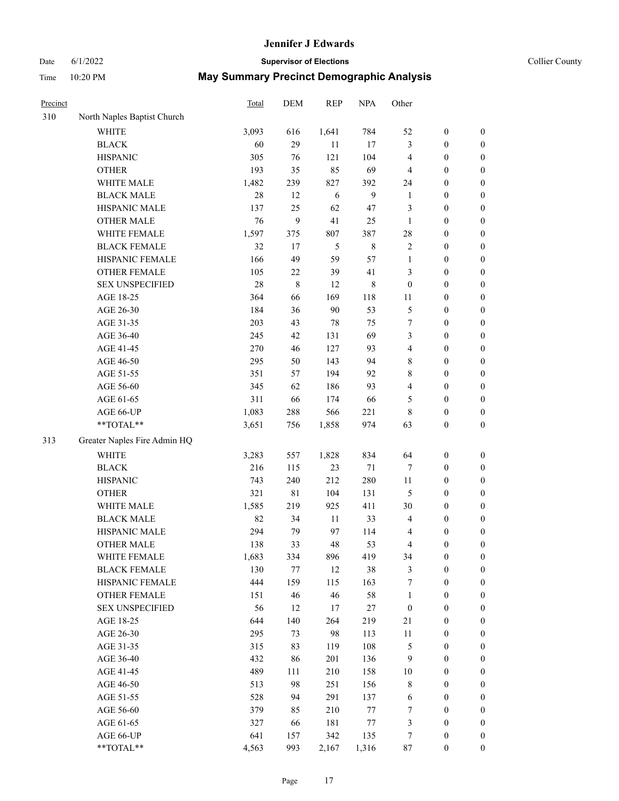#### Date 6/1/2022 **Supervisor of Elections Supervisor of Elections** Collier County

| Precinct |                              | Total | DEM         | <b>REP</b> | <b>NPA</b>  | Other                   |                  |                  |
|----------|------------------------------|-------|-------------|------------|-------------|-------------------------|------------------|------------------|
| 310      | North Naples Baptist Church  |       |             |            |             |                         |                  |                  |
|          | <b>WHITE</b>                 | 3,093 | 616         | 1,641      | 784         | 52                      | $\boldsymbol{0}$ | 0                |
|          | <b>BLACK</b>                 | 60    | 29          | 11         | 17          | 3                       | $\boldsymbol{0}$ | $\boldsymbol{0}$ |
|          | <b>HISPANIC</b>              | 305   | 76          | 121        | 104         | 4                       | $\boldsymbol{0}$ | $\boldsymbol{0}$ |
|          | <b>OTHER</b>                 | 193   | 35          | 85         | 69          | 4                       | $\boldsymbol{0}$ | $\boldsymbol{0}$ |
|          | WHITE MALE                   | 1,482 | 239         | 827        | 392         | 24                      | $\boldsymbol{0}$ | $\boldsymbol{0}$ |
|          | <b>BLACK MALE</b>            | 28    | 12          | 6          | 9           | $\mathbf{1}$            | $\boldsymbol{0}$ | $\boldsymbol{0}$ |
|          | HISPANIC MALE                | 137   | 25          | 62         | 47          | 3                       | $\boldsymbol{0}$ | $\boldsymbol{0}$ |
|          | <b>OTHER MALE</b>            | 76    | 9           | 41         | 25          | $\mathbf{1}$            | $\boldsymbol{0}$ | $\boldsymbol{0}$ |
|          | WHITE FEMALE                 | 1,597 | 375         | 807        | 387         | 28                      | $\boldsymbol{0}$ | $\boldsymbol{0}$ |
|          | <b>BLACK FEMALE</b>          | 32    | 17          | 5          | $\,$ 8 $\,$ | $\sqrt{2}$              | $\boldsymbol{0}$ | $\boldsymbol{0}$ |
|          | HISPANIC FEMALE              | 166   | 49          | 59         | 57          | $\mathbf{1}$            | $\boldsymbol{0}$ | 0                |
|          | OTHER FEMALE                 | 105   | $22\,$      | 39         | 41          | 3                       | $\boldsymbol{0}$ | $\boldsymbol{0}$ |
|          | <b>SEX UNSPECIFIED</b>       | 28    | 8           | 12         | $\,$ 8 $\,$ | $\boldsymbol{0}$        | $\boldsymbol{0}$ | $\boldsymbol{0}$ |
|          | AGE 18-25                    | 364   | 66          | 169        | 118         | 11                      | $\boldsymbol{0}$ | $\boldsymbol{0}$ |
|          | AGE 26-30                    | 184   | 36          | 90         | 53          | 5                       | $\boldsymbol{0}$ | $\boldsymbol{0}$ |
|          | AGE 31-35                    | 203   | 43          | 78         | 75          | 7                       | $\boldsymbol{0}$ | $\boldsymbol{0}$ |
|          | AGE 36-40                    | 245   | 42          | 131        | 69          | 3                       | $\boldsymbol{0}$ | $\boldsymbol{0}$ |
|          | AGE 41-45                    | 270   | 46          | 127        | 93          | $\overline{\mathbf{4}}$ | $\boldsymbol{0}$ | $\boldsymbol{0}$ |
|          | AGE 46-50                    | 295   | 50          | 143        | 94          | 8                       | $\boldsymbol{0}$ | $\boldsymbol{0}$ |
|          | AGE 51-55                    | 351   | 57          | 194        | 92          | 8                       | $\boldsymbol{0}$ | $\boldsymbol{0}$ |
|          | AGE 56-60                    | 345   | 62          | 186        | 93          | $\overline{\mathbf{4}}$ | $\boldsymbol{0}$ | 0                |
|          | AGE 61-65                    | 311   | 66          | 174        | 66          | 5                       | $\boldsymbol{0}$ | 0                |
|          | AGE 66-UP                    | 1,083 | 288         | 566        | 221         | 8                       | $\boldsymbol{0}$ | $\boldsymbol{0}$ |
|          | **TOTAL**                    | 3,651 | 756         | 1,858      | 974         | 63                      | $\boldsymbol{0}$ | $\boldsymbol{0}$ |
| 313      | Greater Naples Fire Admin HQ |       |             |            |             |                         |                  |                  |
|          | <b>WHITE</b>                 | 3,283 | 557         | 1,828      | 834         | 64                      | $\boldsymbol{0}$ | $\boldsymbol{0}$ |
|          | <b>BLACK</b>                 | 216   | 115         | 23         | 71          | 7                       | $\boldsymbol{0}$ | $\boldsymbol{0}$ |
|          | <b>HISPANIC</b>              | 743   | 240         | 212        | 280         | 11                      | $\boldsymbol{0}$ | $\boldsymbol{0}$ |
|          | <b>OTHER</b>                 | 321   | $8\sqrt{1}$ | 104        | 131         | 5                       | $\boldsymbol{0}$ | $\boldsymbol{0}$ |
|          | WHITE MALE                   | 1,585 | 219         | 925        | 411         | 30                      | $\boldsymbol{0}$ | $\boldsymbol{0}$ |
|          | <b>BLACK MALE</b>            | 82    | 34          | 11         | 33          | 4                       | $\boldsymbol{0}$ | $\boldsymbol{0}$ |
|          | HISPANIC MALE                | 294   | 79          | 97         | 114         | 4                       | $\boldsymbol{0}$ | $\boldsymbol{0}$ |
|          | <b>OTHER MALE</b>            | 138   | 33          | 48         | 53          | 4                       | $\boldsymbol{0}$ | $\boldsymbol{0}$ |
|          | WHITE FEMALE                 | 1,683 | 334         | 896        | 419         | 34                      | $\boldsymbol{0}$ | 0                |
|          | <b>BLACK FEMALE</b>          | 130   | 77          | 12         | 38          | 3                       | $\boldsymbol{0}$ | $\boldsymbol{0}$ |
|          | HISPANIC FEMALE              | 444   | 159         | 115        | 163         | 7                       | $\boldsymbol{0}$ | $\overline{0}$   |
|          | OTHER FEMALE                 | 151   | 46          | 46         | 58          | $\mathbf{1}$            | $\boldsymbol{0}$ | $\overline{0}$   |
|          | <b>SEX UNSPECIFIED</b>       | 56    | 12          | 17         | 27          | $\boldsymbol{0}$        | $\boldsymbol{0}$ | $\overline{0}$   |
|          | AGE 18-25                    | 644   | 140         | 264        | 219         | 21                      | $\boldsymbol{0}$ | $\overline{0}$   |
|          | AGE 26-30                    | 295   | 73          | 98         | 113         | 11                      | $\boldsymbol{0}$ | 0                |
|          | AGE 31-35                    | 315   | 83          | 119        | 108         | 5                       | $\boldsymbol{0}$ | 0                |
|          | AGE 36-40                    | 432   | 86          | 201        | 136         | $\overline{9}$          | $\boldsymbol{0}$ | 0                |
|          | AGE 41-45                    | 489   | 111         | 210        | 158         | $10\,$                  | $\boldsymbol{0}$ | 0                |
|          | AGE 46-50                    | 513   | 98          | 251        | 156         | 8                       | $\boldsymbol{0}$ | 0                |
|          | AGE 51-55                    | 528   | 94          | 291        | 137         | 6                       | $\boldsymbol{0}$ | $\boldsymbol{0}$ |
|          | AGE 56-60                    | 379   | 85          | 210        | $77\,$      | 7                       | $\boldsymbol{0}$ | $\boldsymbol{0}$ |
|          | AGE 61-65                    | 327   | 66          | 181        | 77          | 3                       | $\boldsymbol{0}$ | $\overline{0}$   |
|          | AGE 66-UP                    | 641   | 157         | 342        | 135         | 7                       | $\boldsymbol{0}$ | 0                |
|          | **TOTAL**                    | 4,563 | 993         | 2,167      | 1,316       | 87                      | $\boldsymbol{0}$ | $\boldsymbol{0}$ |
|          |                              |       |             |            |             |                         |                  |                  |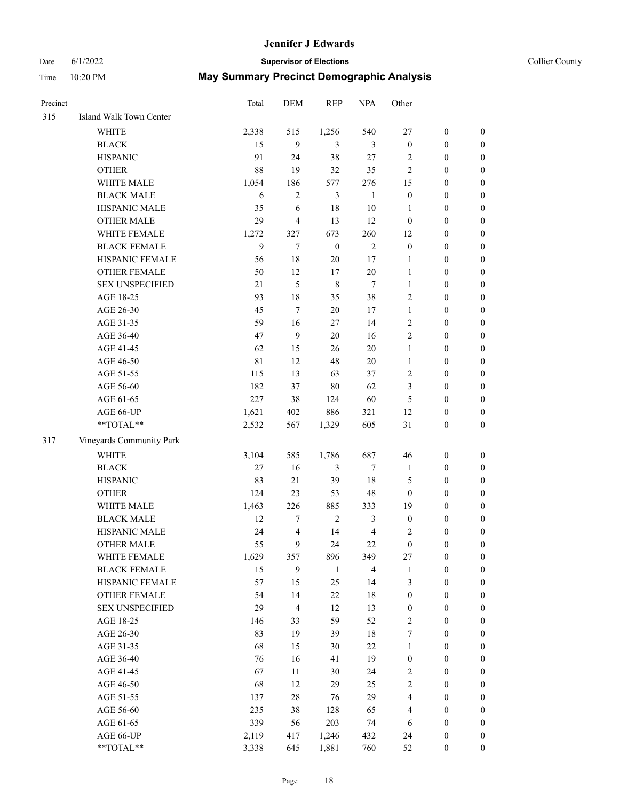# Date 6/1/2022 **Supervisor of Elections** Collier County

| Precinct |                          | Total | DEM                     | <b>REP</b>       | <b>NPA</b>              | Other            |                  |                  |
|----------|--------------------------|-------|-------------------------|------------------|-------------------------|------------------|------------------|------------------|
| 315      | Island Walk Town Center  |       |                         |                  |                         |                  |                  |                  |
|          | <b>WHITE</b>             | 2,338 | 515                     | 1,256            | 540                     | 27               | $\boldsymbol{0}$ | $\boldsymbol{0}$ |
|          | <b>BLACK</b>             | 15    | 9                       | 3                | 3                       | $\boldsymbol{0}$ | $\boldsymbol{0}$ | $\boldsymbol{0}$ |
|          | <b>HISPANIC</b>          | 91    | 24                      | 38               | 27                      | 2                | $\boldsymbol{0}$ | $\boldsymbol{0}$ |
|          | <b>OTHER</b>             | 88    | 19                      | 32               | 35                      | $\overline{c}$   | $\boldsymbol{0}$ | $\boldsymbol{0}$ |
|          | WHITE MALE               | 1,054 | 186                     | 577              | 276                     | 15               | $\boldsymbol{0}$ | $\boldsymbol{0}$ |
|          | <b>BLACK MALE</b>        | 6     | $\overline{c}$          | 3                | $\mathbf{1}$            | $\boldsymbol{0}$ | $\boldsymbol{0}$ | $\boldsymbol{0}$ |
|          | HISPANIC MALE            | 35    | 6                       | 18               | 10                      | 1                | $\boldsymbol{0}$ | $\boldsymbol{0}$ |
|          | <b>OTHER MALE</b>        | 29    | $\overline{\mathbf{4}}$ | 13               | 12                      | $\boldsymbol{0}$ | $\boldsymbol{0}$ | $\boldsymbol{0}$ |
|          | WHITE FEMALE             | 1,272 | 327                     | 673              | 260                     | 12               | $\boldsymbol{0}$ | 0                |
|          | <b>BLACK FEMALE</b>      | 9     | $\tau$                  | $\boldsymbol{0}$ | $\mathbf{2}$            | $\boldsymbol{0}$ | $\boldsymbol{0}$ | $\boldsymbol{0}$ |
|          | HISPANIC FEMALE          | 56    | 18                      | $20\,$           | 17                      | $\mathbf{1}$     | $\boldsymbol{0}$ | $\boldsymbol{0}$ |
|          | OTHER FEMALE             | 50    | 12                      | 17               | $20\,$                  | $\mathbf{1}$     | $\boldsymbol{0}$ | $\boldsymbol{0}$ |
|          | <b>SEX UNSPECIFIED</b>   | 21    | 5                       | $\,$ 8 $\,$      | 7                       | $\mathbf{1}$     | $\boldsymbol{0}$ | $\boldsymbol{0}$ |
|          | AGE 18-25                | 93    | 18                      | 35               | 38                      | $\overline{c}$   | $\boldsymbol{0}$ | $\boldsymbol{0}$ |
|          | AGE 26-30                | 45    | $\tau$                  | 20               | 17                      | $\mathbf{1}$     | $\boldsymbol{0}$ | $\boldsymbol{0}$ |
|          | AGE 31-35                | 59    | 16                      | 27               | 14                      | $\mathfrak{2}$   | $\boldsymbol{0}$ | $\boldsymbol{0}$ |
|          | AGE 36-40                | 47    | 9                       | $20\,$           | 16                      | $\overline{c}$   | $\boldsymbol{0}$ | $\boldsymbol{0}$ |
|          | AGE 41-45                | 62    | 15                      | 26               | $20\,$                  | $\mathbf{1}$     | $\boldsymbol{0}$ | $\boldsymbol{0}$ |
|          | AGE 46-50                | 81    | 12                      | 48               | 20                      | $\mathbf{1}$     | $\boldsymbol{0}$ | 0                |
|          | AGE 51-55                | 115   | 13                      | 63               | 37                      | $\overline{2}$   | $\boldsymbol{0}$ | 0                |
|          | AGE 56-60                | 182   | 37                      | 80               | 62                      | 3                | $\boldsymbol{0}$ | $\boldsymbol{0}$ |
|          | AGE 61-65                | 227   | 38                      | 124              | 60                      | 5                | $\boldsymbol{0}$ | $\boldsymbol{0}$ |
|          | AGE 66-UP                | 1,621 | 402                     | 886              | 321                     | 12               | $\boldsymbol{0}$ | $\boldsymbol{0}$ |
|          | $**TOTAL**$              | 2,532 | 567                     | 1,329            | 605                     | 31               | $\boldsymbol{0}$ | $\boldsymbol{0}$ |
| 317      | Vineyards Community Park |       |                         |                  |                         |                  |                  |                  |
|          | <b>WHITE</b>             | 3,104 | 585                     | 1,786            | 687                     | 46               | $\boldsymbol{0}$ | $\boldsymbol{0}$ |
|          | <b>BLACK</b>             | 27    | 16                      | $\mathfrak{Z}$   | $\tau$                  | $\mathbf{1}$     | $\boldsymbol{0}$ | $\boldsymbol{0}$ |
|          | <b>HISPANIC</b>          | 83    | 21                      | 39               | $18\,$                  | 5                | $\boldsymbol{0}$ | $\boldsymbol{0}$ |
|          | <b>OTHER</b>             | 124   | 23                      | 53               | 48                      | $\boldsymbol{0}$ | $\boldsymbol{0}$ | $\boldsymbol{0}$ |
|          | WHITE MALE               | 1,463 | 226                     | 885              | 333                     | 19               | $\boldsymbol{0}$ | $\boldsymbol{0}$ |
|          | <b>BLACK MALE</b>        | 12    | 7                       | $\mathbf{2}$     | 3                       | $\boldsymbol{0}$ | $\boldsymbol{0}$ | 0                |
|          | HISPANIC MALE            | 24    | 4                       | 14               | $\overline{\mathbf{4}}$ | 2                | $\boldsymbol{0}$ | 0                |
|          | <b>OTHER MALE</b>        | 55    | 9                       | 24               | 22                      | $\boldsymbol{0}$ | $\boldsymbol{0}$ | $\boldsymbol{0}$ |
|          | WHITE FEMALE             | 1,629 | 357                     | 896              | 349                     | $27\,$           | $\boldsymbol{0}$ | $\boldsymbol{0}$ |
|          | <b>BLACK FEMALE</b>      | 15    | 9                       | $\mathbf{1}$     | $\overline{4}$          | $\mathbf{1}$     | $\boldsymbol{0}$ | $\boldsymbol{0}$ |
|          | HISPANIC FEMALE          | 57    | 15                      | 25               | 14                      | 3                | $\boldsymbol{0}$ | $\overline{0}$   |
|          | <b>OTHER FEMALE</b>      | 54    | 14                      | $22\,$           | $18\,$                  | $\boldsymbol{0}$ | $\boldsymbol{0}$ | $\overline{0}$   |
|          | <b>SEX UNSPECIFIED</b>   | 29    | 4                       | $12\,$           | 13                      | $\boldsymbol{0}$ | $\boldsymbol{0}$ | $\overline{0}$   |
|          | AGE 18-25                | 146   | 33                      | 59               | 52                      | $\sqrt{2}$       | $\boldsymbol{0}$ | $\overline{0}$   |
|          | AGE 26-30                | 83    | 19                      | 39               | $18\,$                  | 7                | $\boldsymbol{0}$ | 0                |
|          | AGE 31-35                | 68    | 15                      | $30\,$           | 22                      | $\mathbf{1}$     | $\boldsymbol{0}$ | 0                |
|          | AGE 36-40                | 76    | 16                      | 41               | 19                      | $\boldsymbol{0}$ | $\boldsymbol{0}$ | 0                |
|          | AGE 41-45                | 67    | 11                      | $30\,$           | 24                      | 2                | $\boldsymbol{0}$ | $\boldsymbol{0}$ |
|          | AGE 46-50                | 68    | 12                      | 29               | 25                      | $\sqrt{2}$       | $\boldsymbol{0}$ | $\boldsymbol{0}$ |
|          | AGE 51-55                | 137   | $28\,$                  | 76               | 29                      | 4                | $\boldsymbol{0}$ | $\boldsymbol{0}$ |
|          | AGE 56-60                | 235   | 38                      | 128              | 65                      | $\overline{4}$   | $\boldsymbol{0}$ | $\boldsymbol{0}$ |
|          | AGE 61-65                | 339   | 56                      | 203              | 74                      | 6                | $\boldsymbol{0}$ | $\boldsymbol{0}$ |
|          | AGE 66-UP                | 2,119 | 417                     | 1,246            | 432                     | 24               | $\boldsymbol{0}$ | $\boldsymbol{0}$ |
|          | **TOTAL**                | 3,338 | 645                     | 1,881            | 760                     | 52               | $\boldsymbol{0}$ | $\overline{0}$   |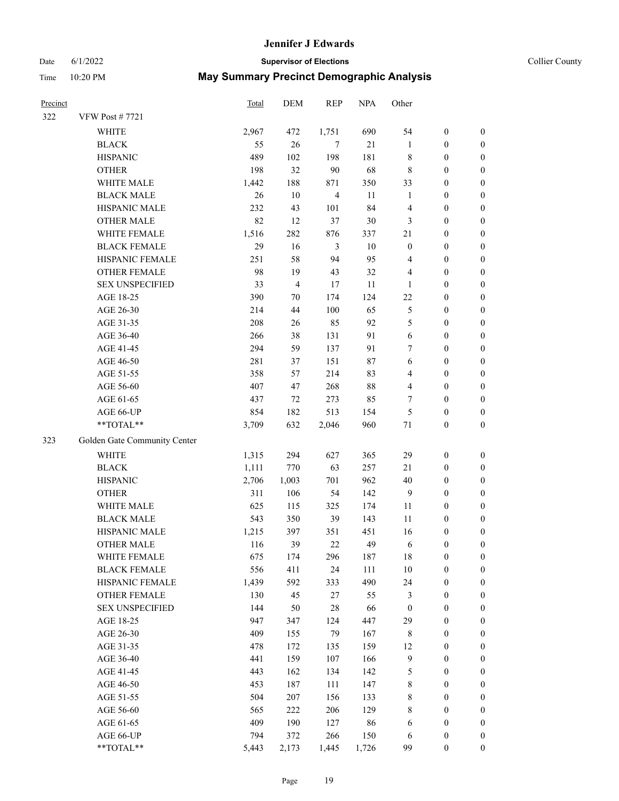# Date 6/1/2022 **Supervisor of Elections Supervisor of Elections** Collier County

| Precinct |                              | <b>Total</b> | <b>DEM</b>     | <b>REP</b>              | <b>NPA</b> | Other            |                  |                  |
|----------|------------------------------|--------------|----------------|-------------------------|------------|------------------|------------------|------------------|
| 322      | <b>VFW Post #7721</b>        |              |                |                         |            |                  |                  |                  |
|          | WHITE                        | 2,967        | 472            | 1,751                   | 690        | 54               | $\boldsymbol{0}$ | 0                |
|          | <b>BLACK</b>                 | 55           | 26             | 7                       | $21\,$     | $\mathbf{1}$     | $\boldsymbol{0}$ | 0                |
|          | <b>HISPANIC</b>              | 489          | 102            | 198                     | 181        | 8                | $\boldsymbol{0}$ | $\boldsymbol{0}$ |
|          | <b>OTHER</b>                 | 198          | 32             | 90                      | 68         | 8                | $\boldsymbol{0}$ | $\boldsymbol{0}$ |
|          | WHITE MALE                   | 1,442        | 188            | 871                     | 350        | 33               | $\boldsymbol{0}$ | $\boldsymbol{0}$ |
|          | <b>BLACK MALE</b>            | 26           | 10             | $\overline{\mathbf{4}}$ | $11\,$     | $\mathbf{1}$     | $\boldsymbol{0}$ | $\boldsymbol{0}$ |
|          | HISPANIC MALE                | 232          | 43             | 101                     | 84         | 4                | $\boldsymbol{0}$ | $\boldsymbol{0}$ |
|          | <b>OTHER MALE</b>            | 82           | 12             | 37                      | $30\,$     | 3                | $\boldsymbol{0}$ | $\boldsymbol{0}$ |
|          | WHITE FEMALE                 | 1,516        | 282            | 876                     | 337        | 21               | $\boldsymbol{0}$ | $\boldsymbol{0}$ |
|          | <b>BLACK FEMALE</b>          | 29           | 16             | $\mathfrak{Z}$          | $10\,$     | $\boldsymbol{0}$ | $\boldsymbol{0}$ | 0                |
|          | HISPANIC FEMALE              | 251          | 58             | 94                      | 95         | 4                | $\boldsymbol{0}$ | 0                |
|          | OTHER FEMALE                 | 98           | 19             | 43                      | 32         | 4                | $\boldsymbol{0}$ | 0                |
|          | <b>SEX UNSPECIFIED</b>       | 33           | $\overline{4}$ | 17                      | $11\,$     | 1                | $\boldsymbol{0}$ | $\boldsymbol{0}$ |
|          | AGE 18-25                    | 390          | $70\,$         | 174                     | 124        | 22               | $\boldsymbol{0}$ | $\boldsymbol{0}$ |
|          | AGE 26-30                    | 214          | $44\,$         | 100                     | 65         | 5                | $\boldsymbol{0}$ | $\boldsymbol{0}$ |
|          | AGE 31-35                    | 208          | 26             | 85                      | 92         | 5                | $\boldsymbol{0}$ | $\boldsymbol{0}$ |
|          | AGE 36-40                    | 266          | 38             | 131                     | 91         | $\sqrt{6}$       | $\boldsymbol{0}$ | $\boldsymbol{0}$ |
|          | AGE 41-45                    | 294          | 59             | 137                     | 91         | 7                | $\boldsymbol{0}$ | $\boldsymbol{0}$ |
|          | AGE 46-50                    | 281          | 37             | 151                     | $87\,$     | $\sqrt{6}$       | $\boldsymbol{0}$ | $\boldsymbol{0}$ |
|          | AGE 51-55                    | 358          | 57             | 214                     | 83         | 4                | $\boldsymbol{0}$ | 0                |
|          | AGE 56-60                    | 407          | 47             | 268                     | 88         | $\overline{4}$   | $\boldsymbol{0}$ | 0                |
|          | AGE 61-65                    | 437          | 72             | 273                     | 85         | 7                | $\boldsymbol{0}$ | 0                |
|          | AGE 66-UP                    | 854          | 182            | 513                     | 154        | 5                | $\boldsymbol{0}$ | $\boldsymbol{0}$ |
|          | $**TOTAL**$                  | 3,709        | 632            | 2,046                   | 960        | $71\,$           | $\boldsymbol{0}$ | $\boldsymbol{0}$ |
| 323      | Golden Gate Community Center |              |                |                         |            |                  |                  |                  |
|          | <b>WHITE</b>                 | 1,315        | 294            | 627                     | 365        | 29               | $\boldsymbol{0}$ | $\boldsymbol{0}$ |
|          | <b>BLACK</b>                 | 1,111        | 770            | 63                      | 257        | 21               | $\boldsymbol{0}$ | $\boldsymbol{0}$ |
|          | <b>HISPANIC</b>              | 2,706        | 1,003          | 701                     | 962        | 40               | $\boldsymbol{0}$ | $\boldsymbol{0}$ |
|          | <b>OTHER</b>                 | 311          | 106            | 54                      | 142        | $\overline{9}$   | $\boldsymbol{0}$ | $\boldsymbol{0}$ |
|          | WHITE MALE                   | 625          | 115            | 325                     | 174        | 11               | $\boldsymbol{0}$ | $\boldsymbol{0}$ |
|          | <b>BLACK MALE</b>            | 543          | 350            | 39                      | 143        | 11               | $\boldsymbol{0}$ | $\boldsymbol{0}$ |
|          | HISPANIC MALE                | 1,215        | 397            | 351                     | 451        | 16               | $\boldsymbol{0}$ | $\boldsymbol{0}$ |
|          | <b>OTHER MALE</b>            | 116          | 39             | 22                      | 49         | 6                | $\boldsymbol{0}$ | $\boldsymbol{0}$ |
|          | WHITE FEMALE                 | 675          | 174            | 296                     | 187        | 18               | $\boldsymbol{0}$ | 0                |
|          | <b>BLACK FEMALE</b>          | 556          | 411            | 24                      | 111        | $10\,$           | $\boldsymbol{0}$ | 0                |
|          | HISPANIC FEMALE              | 1,439        | 592            | 333                     | 490        | 24               | $\boldsymbol{0}$ | $\overline{0}$   |
|          | <b>OTHER FEMALE</b>          | 130          | 45             | 27                      | 55         | 3                | $\boldsymbol{0}$ | $\overline{0}$   |
|          | <b>SEX UNSPECIFIED</b>       | 144          | 50             | $28\,$                  | 66         | $\boldsymbol{0}$ | $\boldsymbol{0}$ | 0                |
|          | AGE 18-25                    | 947          | 347            | 124                     | 447        | 29               | $\boldsymbol{0}$ | 0                |
|          | AGE 26-30                    | 409          | 155            | 79                      | 167        | 8                | $\boldsymbol{0}$ | 0                |
|          | AGE 31-35                    | 478          | 172            | 135                     | 159        | 12               | $\boldsymbol{0}$ | 0                |
|          | AGE 36-40                    | 441          | 159            | 107                     | 166        | 9                | $\boldsymbol{0}$ | 0                |
|          | AGE 41-45                    | 443          | 162            | 134                     | 142        | 5                | $\boldsymbol{0}$ | 0                |
|          | AGE 46-50                    | 453          | 187            | 111                     | 147        | $\,$ 8 $\,$      | $\boldsymbol{0}$ | 0                |
|          | AGE 51-55                    | 504          | 207            | 156                     | 133        | $\,$ 8 $\,$      | $\boldsymbol{0}$ | $\boldsymbol{0}$ |
|          | AGE 56-60                    | 565          | 222            | 206                     | 129        | 8                | $\boldsymbol{0}$ | $\overline{0}$   |
|          | AGE 61-65                    | 409          | 190            | 127                     | 86         | 6                | $\boldsymbol{0}$ | $\overline{0}$   |
|          | AGE 66-UP                    | 794          | 372            | 266                     | 150        | 6                | $\boldsymbol{0}$ | $\boldsymbol{0}$ |
|          | **TOTAL**                    | 5,443        | 2,173          | 1,445                   | 1,726      | 99               | $\boldsymbol{0}$ | $\overline{0}$   |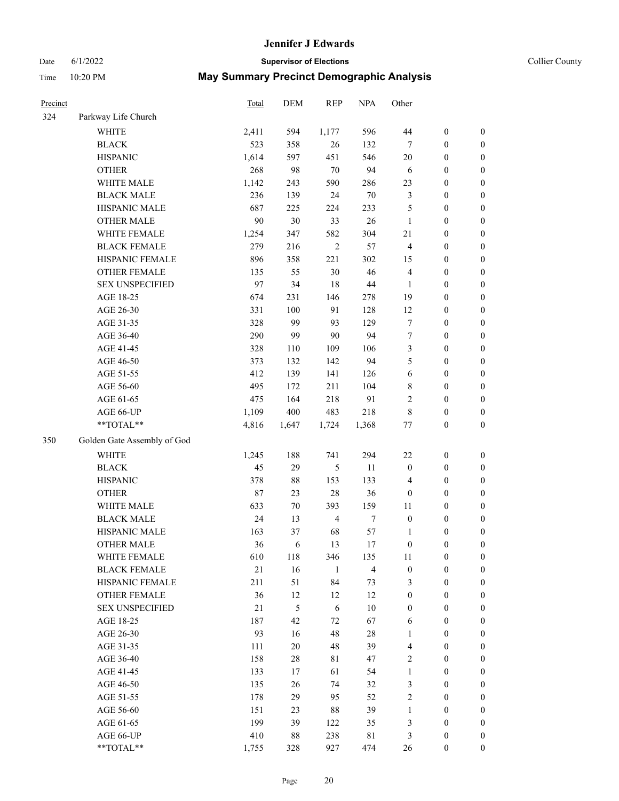# Date 6/1/2022 **Supervisor of Elections** Collier County

| Precinct |                             | Total  | DEM    | <b>REP</b>     | <b>NPA</b>     | Other            |                  |                  |
|----------|-----------------------------|--------|--------|----------------|----------------|------------------|------------------|------------------|
| 324      | Parkway Life Church         |        |        |                |                |                  |                  |                  |
|          | <b>WHITE</b>                | 2,411  | 594    | 1,177          | 596            | 44               | $\boldsymbol{0}$ | $\boldsymbol{0}$ |
|          | <b>BLACK</b>                | 523    | 358    | 26             | 132            | $\tau$           | $\boldsymbol{0}$ | $\boldsymbol{0}$ |
|          | <b>HISPANIC</b>             | 1,614  | 597    | 451            | 546            | 20               | $\boldsymbol{0}$ | $\boldsymbol{0}$ |
|          | <b>OTHER</b>                | 268    | 98     | 70             | 94             | 6                | $\boldsymbol{0}$ | $\boldsymbol{0}$ |
|          | WHITE MALE                  | 1,142  | 243    | 590            | 286            | 23               | $\boldsymbol{0}$ | $\boldsymbol{0}$ |
|          | <b>BLACK MALE</b>           | 236    | 139    | 24             | $70\,$         | 3                | $\boldsymbol{0}$ | $\boldsymbol{0}$ |
|          | HISPANIC MALE               | 687    | 225    | 224            | 233            | 5                | $\boldsymbol{0}$ | $\boldsymbol{0}$ |
|          | <b>OTHER MALE</b>           | 90     | 30     | 33             | 26             | $\mathbf{1}$     | $\boldsymbol{0}$ | $\boldsymbol{0}$ |
|          | WHITE FEMALE                | 1,254  | 347    | 582            | 304            | 21               | $\boldsymbol{0}$ | $\boldsymbol{0}$ |
|          | <b>BLACK FEMALE</b>         | 279    | 216    | $\overline{2}$ | 57             | 4                | $\boldsymbol{0}$ | $\boldsymbol{0}$ |
|          | HISPANIC FEMALE             | 896    | 358    | 221            | 302            | 15               | $\boldsymbol{0}$ | 0                |
|          | <b>OTHER FEMALE</b>         | 135    | 55     | 30             | 46             | $\overline{4}$   | $\boldsymbol{0}$ | $\boldsymbol{0}$ |
|          | <b>SEX UNSPECIFIED</b>      | 97     | 34     | 18             | $44\,$         | $\mathbf{1}$     | $\boldsymbol{0}$ | $\boldsymbol{0}$ |
|          | AGE 18-25                   | 674    | 231    | 146            | 278            | 19               | $\boldsymbol{0}$ | $\boldsymbol{0}$ |
|          | AGE 26-30                   | 331    | 100    | 91             | 128            | 12               | $\boldsymbol{0}$ | $\boldsymbol{0}$ |
|          | AGE 31-35                   | 328    | 99     | 93             | 129            | $\boldsymbol{7}$ | $\boldsymbol{0}$ | $\boldsymbol{0}$ |
|          | AGE 36-40                   | 290    | 99     | 90             | 94             | 7                | $\boldsymbol{0}$ | $\boldsymbol{0}$ |
|          | AGE 41-45                   | 328    | 110    | 109            | 106            | 3                | $\boldsymbol{0}$ | $\boldsymbol{0}$ |
|          | AGE 46-50                   | 373    | 132    | 142            | 94             | 5                | $\boldsymbol{0}$ | $\boldsymbol{0}$ |
|          | AGE 51-55                   | 412    | 139    | 141            | 126            | 6                | $\boldsymbol{0}$ | $\boldsymbol{0}$ |
|          | AGE 56-60                   | 495    | 172    | 211            | 104            | 8                | $\boldsymbol{0}$ | 0                |
|          | AGE 61-65                   | 475    | 164    | 218            | 91             | 2                | $\boldsymbol{0}$ | $\boldsymbol{0}$ |
|          | AGE 66-UP                   | 1,109  | 400    | 483            | 218            | 8                | $\boldsymbol{0}$ | $\boldsymbol{0}$ |
|          | **TOTAL**                   | 4,816  | 1,647  | 1,724          | 1,368          | $77 \,$          | $\boldsymbol{0}$ | $\boldsymbol{0}$ |
| 350      | Golden Gate Assembly of God |        |        |                |                |                  |                  |                  |
|          | <b>WHITE</b>                | 1,245  | 188    | 741            | 294            | $22\,$           | $\boldsymbol{0}$ | $\boldsymbol{0}$ |
|          | <b>BLACK</b>                | 45     | 29     | 5              | 11             | $\boldsymbol{0}$ | $\boldsymbol{0}$ | $\boldsymbol{0}$ |
|          | <b>HISPANIC</b>             | 378    | $88\,$ | 153            | 133            | 4                | $\boldsymbol{0}$ | $\boldsymbol{0}$ |
|          | <b>OTHER</b>                | $87\,$ | 23     | 28             | 36             | $\boldsymbol{0}$ | $\boldsymbol{0}$ | $\boldsymbol{0}$ |
|          | WHITE MALE                  | 633    | $70\,$ | 393            | 159            | $11\,$           | $\boldsymbol{0}$ | $\boldsymbol{0}$ |
|          | <b>BLACK MALE</b>           | 24     | 13     | $\overline{4}$ | $\tau$         | $\boldsymbol{0}$ | $\boldsymbol{0}$ | $\boldsymbol{0}$ |
|          | HISPANIC MALE               | 163    | 37     | 68             | 57             | 1                | $\boldsymbol{0}$ | $\boldsymbol{0}$ |
|          | <b>OTHER MALE</b>           | 36     | 6      | 13             | 17             | $\boldsymbol{0}$ | $\boldsymbol{0}$ | $\boldsymbol{0}$ |
|          | WHITE FEMALE                | 610    | 118    | 346            | 135            | 11               | $\boldsymbol{0}$ | 0                |
|          | <b>BLACK FEMALE</b>         | 21     | 16     | $\mathbf{1}$   | $\overline{4}$ | $\boldsymbol{0}$ | $\boldsymbol{0}$ | $\overline{0}$   |
|          | HISPANIC FEMALE             | 211    | 51     | 84             | 73             | 3                | $\boldsymbol{0}$ | $\overline{0}$   |
|          | OTHER FEMALE                | 36     | 12     | 12             | 12             | $\boldsymbol{0}$ | $\boldsymbol{0}$ | $\overline{0}$   |
|          | <b>SEX UNSPECIFIED</b>      | 21     | 5      | 6              | $10\,$         | $\boldsymbol{0}$ | $\boldsymbol{0}$ | 0                |
|          | AGE 18-25                   | 187    | 42     | 72             | 67             | 6                | $\boldsymbol{0}$ | 0                |
|          | AGE 26-30                   | 93     | 16     | 48             | $28\,$         | $\mathbf{1}$     | $\boldsymbol{0}$ | 0                |
|          | AGE 31-35                   | 111    | $20\,$ | 48             | 39             | 4                | $\boldsymbol{0}$ | 0                |
|          | AGE 36-40                   | 158    | $28\,$ | 81             | 47             | 2                | $\boldsymbol{0}$ | 0                |
|          | AGE 41-45                   | 133    | 17     | 61             | 54             | $\mathbf{1}$     | $\boldsymbol{0}$ | 0                |
|          | AGE 46-50                   | 135    | 26     | 74             | 32             | 3                | $\boldsymbol{0}$ | 0                |
|          | AGE 51-55                   | 178    | 29     | 95             | 52             | 2                | $\boldsymbol{0}$ | 0                |
|          | AGE 56-60                   | 151    | 23     | 88             | 39             | 1                | $\boldsymbol{0}$ | $\overline{0}$   |
|          | AGE 61-65                   | 199    | 39     | 122            | 35             | 3                | $\boldsymbol{0}$ | $\overline{0}$   |
|          | AGE 66-UP                   | 410    | 88     | 238            | 81             | 3                | $\boldsymbol{0}$ | 0                |
|          | **TOTAL**                   | 1,755  | 328    | 927            | 474            | 26               | $\boldsymbol{0}$ | $\boldsymbol{0}$ |
|          |                             |        |        |                |                |                  |                  |                  |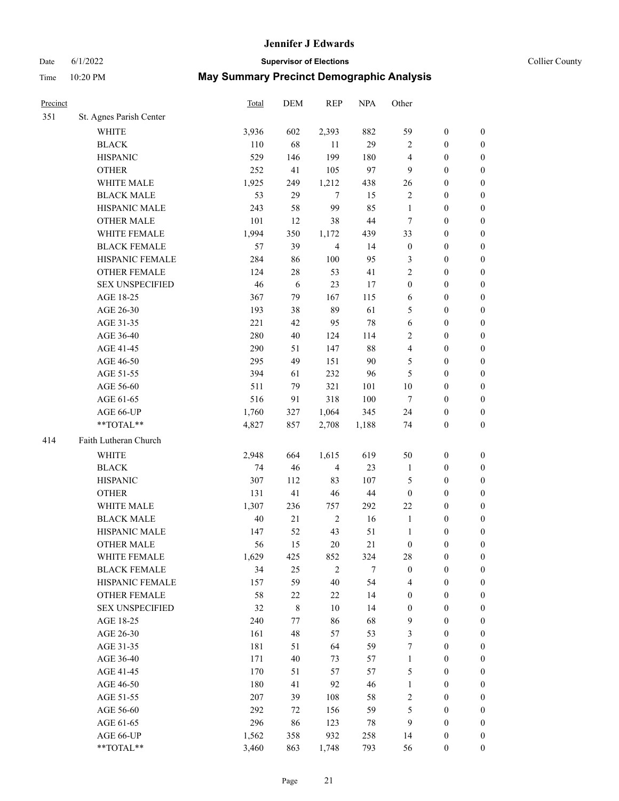# Date 6/1/2022 **Supervisor of Elections Supervisor of Elections** Collier County

| Precinct |                         | Total | DEM         | <b>REP</b>              | <b>NPA</b> | Other            |                  |                  |
|----------|-------------------------|-------|-------------|-------------------------|------------|------------------|------------------|------------------|
| 351      | St. Agnes Parish Center |       |             |                         |            |                  |                  |                  |
|          | <b>WHITE</b>            | 3,936 | 602         | 2,393                   | 882        | 59               | $\boldsymbol{0}$ | 0                |
|          | <b>BLACK</b>            | 110   | 68          | 11                      | 29         | $\overline{c}$   | $\boldsymbol{0}$ | $\boldsymbol{0}$ |
|          | <b>HISPANIC</b>         | 529   | 146         | 199                     | 180        | 4                | $\boldsymbol{0}$ | $\boldsymbol{0}$ |
|          | <b>OTHER</b>            | 252   | 41          | 105                     | 97         | 9                | $\boldsymbol{0}$ | $\boldsymbol{0}$ |
|          | WHITE MALE              | 1,925 | 249         | 1,212                   | 438        | 26               | $\boldsymbol{0}$ | $\boldsymbol{0}$ |
|          | <b>BLACK MALE</b>       | 53    | 29          | $\tau$                  | 15         | $\overline{c}$   | $\boldsymbol{0}$ | $\boldsymbol{0}$ |
|          | HISPANIC MALE           | 243   | 58          | 99                      | 85         | $\mathbf{1}$     | $\boldsymbol{0}$ | $\boldsymbol{0}$ |
|          | <b>OTHER MALE</b>       | 101   | 12          | 38                      | 44         | $\tau$           | $\boldsymbol{0}$ | $\boldsymbol{0}$ |
|          | WHITE FEMALE            | 1,994 | 350         | 1,172                   | 439        | 33               | $\boldsymbol{0}$ | $\boldsymbol{0}$ |
|          | <b>BLACK FEMALE</b>     | 57    | 39          | $\overline{\mathbf{4}}$ | 14         | $\boldsymbol{0}$ | $\boldsymbol{0}$ | $\boldsymbol{0}$ |
|          | HISPANIC FEMALE         | 284   | 86          | 100                     | 95         | 3                | $\boldsymbol{0}$ | $\boldsymbol{0}$ |
|          | <b>OTHER FEMALE</b>     | 124   | 28          | 53                      | 41         | $\overline{c}$   | $\boldsymbol{0}$ | $\boldsymbol{0}$ |
|          | <b>SEX UNSPECIFIED</b>  | 46    | 6           | 23                      | 17         | $\boldsymbol{0}$ | $\boldsymbol{0}$ | $\boldsymbol{0}$ |
|          | AGE 18-25               | 367   | 79          | 167                     | 115        | 6                | $\boldsymbol{0}$ | $\boldsymbol{0}$ |
|          | AGE 26-30               | 193   | 38          | 89                      | 61         | 5                | $\boldsymbol{0}$ | $\boldsymbol{0}$ |
|          | AGE 31-35               | 221   | 42          | 95                      | 78         | 6                | $\boldsymbol{0}$ | $\boldsymbol{0}$ |
|          | AGE 36-40               | 280   | 40          | 124                     | 114        | 2                | $\boldsymbol{0}$ | $\boldsymbol{0}$ |
|          | AGE 41-45               | 290   | 51          | 147                     | 88         | 4                | $\boldsymbol{0}$ | $\boldsymbol{0}$ |
|          | AGE 46-50               | 295   | 49          | 151                     | 90         | 5                | $\boldsymbol{0}$ | $\boldsymbol{0}$ |
|          | AGE 51-55               | 394   | 61          | 232                     | 96         | 5                | $\boldsymbol{0}$ | $\boldsymbol{0}$ |
|          | AGE 56-60               | 511   | 79          | 321                     | 101        | 10               | $\boldsymbol{0}$ | 0                |
|          | AGE 61-65               | 516   | 91          | 318                     | 100        | $\tau$           | $\boldsymbol{0}$ | $\boldsymbol{0}$ |
|          | AGE 66-UP               | 1,760 | 327         | 1,064                   | 345        | 24               | $\boldsymbol{0}$ | $\boldsymbol{0}$ |
|          | $**TOTAL**$             | 4,827 | 857         | 2,708                   | 1,188      | 74               | $\boldsymbol{0}$ | $\boldsymbol{0}$ |
| 414      | Faith Lutheran Church   |       |             |                         |            |                  |                  |                  |
|          | <b>WHITE</b>            | 2,948 | 664         | 1,615                   | 619        | 50               | $\boldsymbol{0}$ | $\boldsymbol{0}$ |
|          | <b>BLACK</b>            | 74    | 46          | $\overline{4}$          | 23         | $\mathbf{1}$     | $\boldsymbol{0}$ | $\boldsymbol{0}$ |
|          | <b>HISPANIC</b>         | 307   | 112         | 83                      | 107        | 5                | $\boldsymbol{0}$ | $\boldsymbol{0}$ |
|          | <b>OTHER</b>            | 131   | 41          | 46                      | 44         | $\boldsymbol{0}$ | $\boldsymbol{0}$ | $\boldsymbol{0}$ |
|          | WHITE MALE              | 1,307 | 236         | 757                     | 292        | 22               | $\boldsymbol{0}$ | $\boldsymbol{0}$ |
|          | <b>BLACK MALE</b>       | 40    | 21          | $\sqrt{2}$              | 16         | $\mathbf{1}$     | $\boldsymbol{0}$ | $\boldsymbol{0}$ |
|          | HISPANIC MALE           | 147   | 52          | 43                      | 51         | $\mathbf{1}$     | $\boldsymbol{0}$ | 0                |
|          | <b>OTHER MALE</b>       | 56    | 15          | 20                      | 21         | $\boldsymbol{0}$ | $\boldsymbol{0}$ | $\boldsymbol{0}$ |
|          | WHITE FEMALE            | 1,629 | 425         | 852                     | 324        | 28               | 0                | 0                |
|          | <b>BLACK FEMALE</b>     | 34    | 25          | $\overline{c}$          | 7          | $\boldsymbol{0}$ | $\boldsymbol{0}$ | $\overline{0}$   |
|          | HISPANIC FEMALE         | 157   | 59          | 40                      | 54         | 4                | $\boldsymbol{0}$ | $\overline{0}$   |
|          | OTHER FEMALE            | 58    | $22\,$      | 22                      | 14         | $\boldsymbol{0}$ | $\boldsymbol{0}$ | $\overline{0}$   |
|          | <b>SEX UNSPECIFIED</b>  | 32    | $\,$ 8 $\,$ | 10                      | 14         | $\boldsymbol{0}$ | $\boldsymbol{0}$ | 0                |
|          | AGE 18-25               | 240   | 77          | 86                      | 68         | 9                | $\boldsymbol{0}$ | $\theta$         |
|          | AGE 26-30               | 161   | 48          | 57                      | 53         | 3                | $\boldsymbol{0}$ | 0                |
|          | AGE 31-35               | 181   | 51          | 64                      | 59         | 7                | $\boldsymbol{0}$ | 0                |
|          | AGE 36-40               | 171   | 40          | 73                      | 57         | 1                | $\boldsymbol{0}$ | 0                |
|          | AGE 41-45               | 170   | 51          | 57                      | 57         | 5                | $\boldsymbol{0}$ | 0                |
|          | AGE 46-50               | 180   | 41          | 92                      | 46         | 1                | $\boldsymbol{0}$ | 0                |
|          | AGE 51-55               | 207   | 39          | 108                     | 58         | 2                | $\boldsymbol{0}$ | 0                |
|          | AGE 56-60               | 292   | 72          | 156                     | 59         | 5                | $\boldsymbol{0}$ | $\overline{0}$   |
|          | AGE 61-65               | 296   | 86          | 123                     | 78         | 9                | $\boldsymbol{0}$ | $\overline{0}$   |
|          | AGE 66-UP               | 1,562 | 358         | 932                     | 258        | 14               | $\boldsymbol{0}$ | 0                |
|          | **TOTAL**               | 3,460 | 863         | 1,748                   | 793        | 56               | $\boldsymbol{0}$ | $\boldsymbol{0}$ |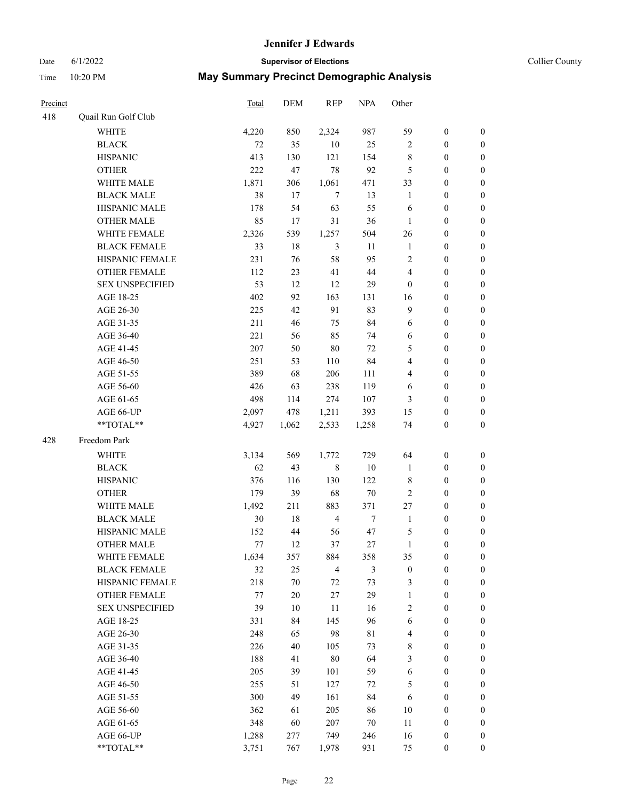# Date 6/1/2022 **Supervisor of Elections Supervisor of Elections** Collier County

| Precinct |                        | <b>Total</b> | DEM    | <b>REP</b>     | <b>NPA</b>       | Other            |                  |                  |
|----------|------------------------|--------------|--------|----------------|------------------|------------------|------------------|------------------|
| 418      | Quail Run Golf Club    |              |        |                |                  |                  |                  |                  |
|          | <b>WHITE</b>           | 4,220        | 850    | 2,324          | 987              | 59               | $\boldsymbol{0}$ | $\boldsymbol{0}$ |
|          | <b>BLACK</b>           | 72           | 35     | $10\,$         | 25               | 2                | $\boldsymbol{0}$ | $\boldsymbol{0}$ |
|          | <b>HISPANIC</b>        | 413          | 130    | 121            | 154              | 8                | $\boldsymbol{0}$ | $\boldsymbol{0}$ |
|          | <b>OTHER</b>           | 222          | 47     | 78             | 92               | 5                | $\boldsymbol{0}$ | $\boldsymbol{0}$ |
|          | WHITE MALE             | 1,871        | 306    | 1,061          | 471              | 33               | $\boldsymbol{0}$ | $\boldsymbol{0}$ |
|          | <b>BLACK MALE</b>      | 38           | 17     | $\tau$         | 13               | $\mathbf{1}$     | $\boldsymbol{0}$ | $\boldsymbol{0}$ |
|          | HISPANIC MALE          | 178          | 54     | 63             | 55               | 6                | $\boldsymbol{0}$ | $\boldsymbol{0}$ |
|          | <b>OTHER MALE</b>      | 85           | 17     | 31             | 36               | $\mathbf{1}$     | $\boldsymbol{0}$ | $\boldsymbol{0}$ |
|          | <b>WHITE FEMALE</b>    | 2,326        | 539    | 1,257          | 504              | 26               | $\boldsymbol{0}$ | $\boldsymbol{0}$ |
|          | <b>BLACK FEMALE</b>    | 33           | 18     | $\mathfrak{Z}$ | 11               | $\mathbf{1}$     | $\boldsymbol{0}$ | 0                |
|          | HISPANIC FEMALE        | 231          | 76     | 58             | 95               | $\sqrt{2}$       | $\boldsymbol{0}$ | 0                |
|          | <b>OTHER FEMALE</b>    | 112          | 23     | 41             | 44               | 4                | $\boldsymbol{0}$ | 0                |
|          | <b>SEX UNSPECIFIED</b> | 53           | 12     | 12             | 29               | $\boldsymbol{0}$ | $\boldsymbol{0}$ | $\boldsymbol{0}$ |
|          | AGE 18-25              | 402          | 92     | 163            | 131              | 16               | $\boldsymbol{0}$ | $\boldsymbol{0}$ |
|          | AGE 26-30              | 225          | 42     | 91             | 83               | 9                | $\boldsymbol{0}$ | $\boldsymbol{0}$ |
|          | AGE 31-35              | 211          | 46     | 75             | 84               | 6                | $\boldsymbol{0}$ | $\boldsymbol{0}$ |
|          | AGE 36-40              | 221          | 56     | 85             | 74               | 6                | $\boldsymbol{0}$ | $\boldsymbol{0}$ |
|          | AGE 41-45              | 207          | 50     | 80             | 72               | 5                | $\boldsymbol{0}$ | $\boldsymbol{0}$ |
|          | AGE 46-50              | 251          | 53     | 110            | 84               | 4                | $\boldsymbol{0}$ | $\boldsymbol{0}$ |
|          | AGE 51-55              | 389          | 68     | 206            | 111              | 4                | $\boldsymbol{0}$ | $\boldsymbol{0}$ |
|          | AGE 56-60              | 426          | 63     | 238            | 119              | 6                | $\boldsymbol{0}$ | 0                |
|          | AGE 61-65              | 498          | 114    | 274            | 107              | 3                | $\boldsymbol{0}$ | 0                |
|          | AGE 66-UP              | 2,097        | 478    | 1,211          | 393              | 15               | $\boldsymbol{0}$ | $\boldsymbol{0}$ |
|          | **TOTAL**              | 4,927        | 1,062  | 2,533          | 1,258            | 74               | $\boldsymbol{0}$ | $\boldsymbol{0}$ |
| 428      | Freedom Park           |              |        |                |                  |                  |                  |                  |
|          | <b>WHITE</b>           | 3,134        | 569    | 1,772          | 729              | 64               | $\boldsymbol{0}$ | $\boldsymbol{0}$ |
|          | <b>BLACK</b>           | 62           | 43     | 8              | $10\,$           | $\mathbf{1}$     | $\boldsymbol{0}$ | $\boldsymbol{0}$ |
|          | <b>HISPANIC</b>        | 376          | 116    | 130            | 122              | 8                | $\boldsymbol{0}$ | $\boldsymbol{0}$ |
|          | <b>OTHER</b>           | 179          | 39     | 68             | $70\,$           | $\overline{c}$   | $\boldsymbol{0}$ | $\boldsymbol{0}$ |
|          | WHITE MALE             | 1,492        | 211    | 883            | 371              | 27               | $\boldsymbol{0}$ | $\boldsymbol{0}$ |
|          | <b>BLACK MALE</b>      | 30           | 18     | $\overline{4}$ | $\boldsymbol{7}$ | $\mathbf{1}$     | $\boldsymbol{0}$ | $\boldsymbol{0}$ |
|          | HISPANIC MALE          | 152          | 44     | 56             | 47               | 5                | $\boldsymbol{0}$ | 0                |
|          | <b>OTHER MALE</b>      | 77           | 12     | 37             | 27               | $\mathbf{1}$     | $\boldsymbol{0}$ | $\boldsymbol{0}$ |
|          | WHITE FEMALE           | 1,634        | 357    | 884            | 358              | 35               | $\boldsymbol{0}$ | 0                |
|          | <b>BLACK FEMALE</b>    | 32           | 25     | $\overline{4}$ | 3                | $\boldsymbol{0}$ | $\boldsymbol{0}$ | $\boldsymbol{0}$ |
|          | HISPANIC FEMALE        | 218          | $70\,$ | 72             | 73               | 3                | $\boldsymbol{0}$ | $\overline{0}$   |
|          | OTHER FEMALE           | 77           | $20\,$ | 27             | 29               | $\mathbf{1}$     | $\boldsymbol{0}$ | $\overline{0}$   |
|          | <b>SEX UNSPECIFIED</b> | 39           | 10     | 11             | 16               | 2                | $\boldsymbol{0}$ | 0                |
|          | AGE 18-25              | 331          | 84     | 145            | 96               | 6                | $\boldsymbol{0}$ | $\theta$         |
|          | AGE 26-30              | 248          | 65     | 98             | $8\sqrt{1}$      | 4                | $\boldsymbol{0}$ | 0                |
|          | AGE 31-35              | 226          | 40     | 105            | 73               | 8                | $\boldsymbol{0}$ | 0                |
|          | AGE 36-40              | 188          | 41     | $80\,$         | 64               | 3                | $\boldsymbol{0}$ | 0                |
|          | AGE 41-45              | 205          | 39     | 101            | 59               | 6                | $\boldsymbol{0}$ | 0                |
|          | AGE 46-50              | 255          | 51     | 127            | 72               | 5                | $\boldsymbol{0}$ | 0                |
|          | AGE 51-55              | 300          | 49     | 161            | 84               | 6                | $\boldsymbol{0}$ | $\overline{0}$   |
|          | AGE 56-60              | 362          | 61     | 205            | 86               | 10               | $\boldsymbol{0}$ | $\overline{0}$   |
|          | AGE 61-65              | 348          | 60     | 207            | $70\,$           | 11               | $\boldsymbol{0}$ | $\overline{0}$   |
|          | AGE 66-UP              | 1,288        | 277    | 749            | 246              | 16               | $\boldsymbol{0}$ | 0                |
|          | **TOTAL**              | 3,751        | 767    | 1,978          | 931              | 75               | $\boldsymbol{0}$ | $\boldsymbol{0}$ |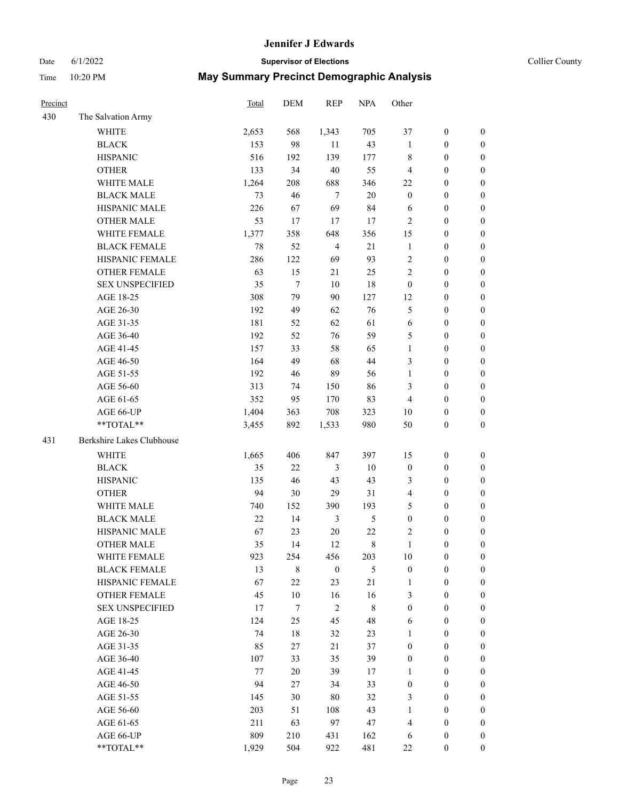# Date 6/1/2022 **Supervisor of Elections Supervisor of Elections** Collier County

| Precinct |                           | Total | DEM              | <b>REP</b>       | <b>NPA</b>  | Other            |                  |                  |
|----------|---------------------------|-------|------------------|------------------|-------------|------------------|------------------|------------------|
| 430      | The Salvation Army        |       |                  |                  |             |                  |                  |                  |
|          | <b>WHITE</b>              | 2,653 | 568              | 1,343            | 705         | 37               | $\boldsymbol{0}$ | $\boldsymbol{0}$ |
|          | <b>BLACK</b>              | 153   | 98               | 11               | 43          | 1                | $\boldsymbol{0}$ | $\boldsymbol{0}$ |
|          | <b>HISPANIC</b>           | 516   | 192              | 139              | 177         | 8                | $\boldsymbol{0}$ | $\boldsymbol{0}$ |
|          | <b>OTHER</b>              | 133   | 34               | 40               | 55          | 4                | $\boldsymbol{0}$ | $\boldsymbol{0}$ |
|          | WHITE MALE                | 1,264 | 208              | 688              | 346         | $22\,$           | $\boldsymbol{0}$ | $\boldsymbol{0}$ |
|          | <b>BLACK MALE</b>         | 73    | 46               | $\tau$           | 20          | $\boldsymbol{0}$ | $\boldsymbol{0}$ | $\boldsymbol{0}$ |
|          | HISPANIC MALE             | 226   | 67               | 69               | 84          | 6                | $\boldsymbol{0}$ | $\boldsymbol{0}$ |
|          | <b>OTHER MALE</b>         | 53    | 17               | 17               | 17          | 2                | $\boldsymbol{0}$ | $\boldsymbol{0}$ |
|          | WHITE FEMALE              | 1,377 | 358              | 648              | 356         | 15               | $\boldsymbol{0}$ | $\boldsymbol{0}$ |
|          | <b>BLACK FEMALE</b>       | 78    | 52               | $\overline{4}$   | 21          | $\mathbf{1}$     | $\boldsymbol{0}$ | 0                |
|          | HISPANIC FEMALE           | 286   | 122              | 69               | 93          | $\overline{2}$   | $\boldsymbol{0}$ | 0                |
|          | <b>OTHER FEMALE</b>       | 63    | 15               | 21               | 25          | $\overline{2}$   | $\boldsymbol{0}$ | $\boldsymbol{0}$ |
|          | <b>SEX UNSPECIFIED</b>    | 35    | $\tau$           | 10               | 18          | $\boldsymbol{0}$ | $\boldsymbol{0}$ | $\boldsymbol{0}$ |
|          | AGE 18-25                 | 308   | 79               | 90               | 127         | 12               | $\boldsymbol{0}$ | $\boldsymbol{0}$ |
|          | AGE 26-30                 | 192   | 49               | 62               | 76          | 5                | $\boldsymbol{0}$ | $\boldsymbol{0}$ |
|          | AGE 31-35                 | 181   | 52               | 62               | 61          | 6                | $\boldsymbol{0}$ | $\boldsymbol{0}$ |
|          | AGE 36-40                 | 192   | 52               | 76               | 59          | 5                | $\boldsymbol{0}$ | $\boldsymbol{0}$ |
|          | AGE 41-45                 | 157   | 33               | 58               | 65          | $\mathbf{1}$     | $\boldsymbol{0}$ | $\boldsymbol{0}$ |
|          | AGE 46-50                 | 164   | 49               | 68               | 44          | 3                | $\boldsymbol{0}$ | $\boldsymbol{0}$ |
|          | AGE 51-55                 | 192   | 46               | 89               | 56          | $\mathbf{1}$     | $\boldsymbol{0}$ | $\boldsymbol{0}$ |
|          | AGE 56-60                 | 313   | 74               | 150              | 86          | 3                | $\boldsymbol{0}$ | 0                |
|          | AGE 61-65                 | 352   | 95               | 170              | 83          | 4                | $\boldsymbol{0}$ | $\boldsymbol{0}$ |
|          | AGE 66-UP                 | 1,404 | 363              | 708              | 323         | 10               | $\boldsymbol{0}$ | $\boldsymbol{0}$ |
|          | **TOTAL**                 | 3,455 | 892              | 1,533            | 980         | 50               | $\boldsymbol{0}$ | $\boldsymbol{0}$ |
| 431      | Berkshire Lakes Clubhouse |       |                  |                  |             |                  |                  |                  |
|          | <b>WHITE</b>              | 1,665 | 406              | 847              | 397         | 15               | $\boldsymbol{0}$ | $\boldsymbol{0}$ |
|          | <b>BLACK</b>              | 35    | 22               | 3                | $10\,$      | $\boldsymbol{0}$ | $\boldsymbol{0}$ | $\boldsymbol{0}$ |
|          | <b>HISPANIC</b>           | 135   | 46               | 43               | 43          | 3                | $\boldsymbol{0}$ | $\boldsymbol{0}$ |
|          | <b>OTHER</b>              | 94    | $30\,$           | 29               | 31          | 4                | $\boldsymbol{0}$ | $\boldsymbol{0}$ |
|          | WHITE MALE                | 740   | 152              | 390              | 193         | 5                | $\boldsymbol{0}$ | $\boldsymbol{0}$ |
|          | <b>BLACK MALE</b>         | 22    | 14               | $\mathfrak{Z}$   | 5           | $\boldsymbol{0}$ | $\boldsymbol{0}$ | $\boldsymbol{0}$ |
|          | HISPANIC MALE             | 67    | 23               | $20\,$           | $22\,$      | 2                | $\boldsymbol{0}$ | 0                |
|          | <b>OTHER MALE</b>         | 35    | 14               | 12               | $\,$ 8 $\,$ | $\mathbf{1}$     | $\boldsymbol{0}$ | $\boldsymbol{0}$ |
|          | WHITE FEMALE              | 923   | 254              | 456              | 203         | 10               | 0                | 0                |
|          | <b>BLACK FEMALE</b>       | 13    | 8                | $\boldsymbol{0}$ | 5           | $\boldsymbol{0}$ | $\boldsymbol{0}$ | $\overline{0}$   |
|          | HISPANIC FEMALE           | 67    | $22\,$           | 23               | 21          | $\mathbf{1}$     | $\boldsymbol{0}$ | $\overline{0}$   |
|          | <b>OTHER FEMALE</b>       | 45    | $10\,$           | 16               | 16          | 3                | $\boldsymbol{0}$ | $\overline{0}$   |
|          | <b>SEX UNSPECIFIED</b>    | 17    | $\boldsymbol{7}$ | $\overline{c}$   | $\,$ 8 $\,$ | $\boldsymbol{0}$ | $\boldsymbol{0}$ | 0                |
|          | AGE 18-25                 | 124   | 25               | 45               | 48          | 6                | $\boldsymbol{0}$ | $\theta$         |
|          | AGE 26-30                 | 74    | 18               | 32               | 23          | $\mathbf{1}$     | $\boldsymbol{0}$ | 0                |
|          | AGE 31-35                 | 85    | 27               | 21               | 37          | $\boldsymbol{0}$ | $\boldsymbol{0}$ | 0                |
|          | AGE 36-40                 | 107   | 33               | 35               | 39          | $\boldsymbol{0}$ | $\boldsymbol{0}$ | 0                |
|          | AGE 41-45                 | 77    | 20               | 39               | 17          | $\mathbf{1}$     | $\boldsymbol{0}$ | 0                |
|          | AGE 46-50                 | 94    | 27               | 34               | 33          | $\boldsymbol{0}$ | $\boldsymbol{0}$ | 0                |
|          | AGE 51-55                 | 145   | 30               | 80               | 32          | 3                | $\boldsymbol{0}$ | $\overline{0}$   |
|          | AGE 56-60                 | 203   | 51               | 108              | 43          | $\mathbf{1}$     | $\boldsymbol{0}$ | $\overline{0}$   |
|          | AGE 61-65                 | 211   | 63               | 97               | 47          | 4                | $\boldsymbol{0}$ | $\overline{0}$   |
|          | AGE 66-UP                 | 809   | 210              | 431              | 162         | 6                | $\boldsymbol{0}$ | 0                |
|          | **TOTAL**                 | 1,929 | 504              | 922              | 481         | $22\,$           | $\boldsymbol{0}$ | $\boldsymbol{0}$ |
|          |                           |       |                  |                  |             |                  |                  |                  |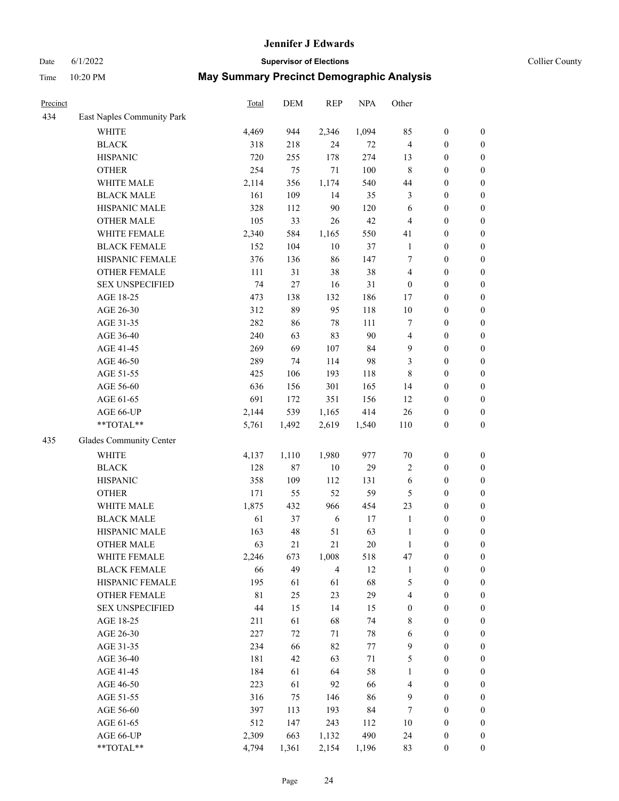# Date 6/1/2022 **Supervisor of Elections Supervisor of Elections** Collier County

| Precinct |                            | <b>Total</b> | DEM   | <b>REP</b>     | <b>NPA</b> | Other            |                  |                  |
|----------|----------------------------|--------------|-------|----------------|------------|------------------|------------------|------------------|
| 434      | East Naples Community Park |              |       |                |            |                  |                  |                  |
|          | <b>WHITE</b>               | 4,469        | 944   | 2,346          | 1,094      | 85               | $\boldsymbol{0}$ | $\boldsymbol{0}$ |
|          | <b>BLACK</b>               | 318          | 218   | 24             | $72\,$     | $\overline{4}$   | $\boldsymbol{0}$ | $\boldsymbol{0}$ |
|          | <b>HISPANIC</b>            | 720          | 255   | 178            | 274        | 13               | $\boldsymbol{0}$ | $\boldsymbol{0}$ |
|          | <b>OTHER</b>               | 254          | 75    | 71             | 100        | 8                | $\boldsymbol{0}$ | $\boldsymbol{0}$ |
|          | WHITE MALE                 | 2,114        | 356   | 1,174          | 540        | 44               | $\boldsymbol{0}$ | $\boldsymbol{0}$ |
|          | <b>BLACK MALE</b>          | 161          | 109   | 14             | 35         | 3                | $\boldsymbol{0}$ | $\boldsymbol{0}$ |
|          | HISPANIC MALE              | 328          | 112   | 90             | 120        | 6                | $\boldsymbol{0}$ | $\boldsymbol{0}$ |
|          | <b>OTHER MALE</b>          | 105          | 33    | 26             | 42         | 4                | $\boldsymbol{0}$ | $\boldsymbol{0}$ |
|          | WHITE FEMALE               | 2,340        | 584   | 1,165          | 550        | 41               | $\boldsymbol{0}$ | $\boldsymbol{0}$ |
|          | <b>BLACK FEMALE</b>        | 152          | 104   | $10\,$         | 37         | $\mathbf{1}$     | $\boldsymbol{0}$ | $\boldsymbol{0}$ |
|          | HISPANIC FEMALE            | 376          | 136   | 86             | 147        | 7                | $\boldsymbol{0}$ | $\boldsymbol{0}$ |
|          | <b>OTHER FEMALE</b>        | 111          | 31    | 38             | 38         | 4                | $\boldsymbol{0}$ | $\boldsymbol{0}$ |
|          | <b>SEX UNSPECIFIED</b>     | 74           | 27    | 16             | 31         | $\boldsymbol{0}$ | $\boldsymbol{0}$ | $\boldsymbol{0}$ |
|          | AGE 18-25                  | 473          | 138   | 132            | 186        | 17               | $\boldsymbol{0}$ | $\boldsymbol{0}$ |
|          | AGE 26-30                  | 312          | 89    | 95             | 118        | 10               | $\boldsymbol{0}$ | $\boldsymbol{0}$ |
|          | AGE 31-35                  | 282          | 86    | 78             | 111        | 7                | $\boldsymbol{0}$ | $\boldsymbol{0}$ |
|          | AGE 36-40                  | 240          | 63    | 83             | 90         | 4                | $\boldsymbol{0}$ | $\boldsymbol{0}$ |
|          | AGE 41-45                  | 269          | 69    | 107            | 84         | 9                | $\boldsymbol{0}$ | $\boldsymbol{0}$ |
|          | AGE 46-50                  | 289          | 74    | 114            | 98         | 3                | $\boldsymbol{0}$ | $\boldsymbol{0}$ |
|          | AGE 51-55                  | 425          | 106   | 193            | 118        | 8                | $\boldsymbol{0}$ | $\boldsymbol{0}$ |
|          | AGE 56-60                  | 636          | 156   | 301            | 165        | 14               | $\boldsymbol{0}$ | $\boldsymbol{0}$ |
|          | AGE 61-65                  | 691          | 172   | 351            | 156        | 12               | $\boldsymbol{0}$ | $\boldsymbol{0}$ |
|          | AGE 66-UP                  | 2,144        | 539   | 1,165          | 414        | 26               | $\boldsymbol{0}$ | $\boldsymbol{0}$ |
|          | **TOTAL**                  | 5,761        | 1,492 | 2,619          | 1,540      | 110              | $\boldsymbol{0}$ | $\boldsymbol{0}$ |
| 435      | Glades Community Center    |              |       |                |            |                  |                  |                  |
|          | WHITE                      | 4,137        | 1,110 | 1,980          | 977        | $70\,$           | $\boldsymbol{0}$ | $\boldsymbol{0}$ |
|          | <b>BLACK</b>               | 128          | 87    | $10\,$         | 29         | 2                | $\boldsymbol{0}$ | $\boldsymbol{0}$ |
|          | <b>HISPANIC</b>            | 358          | 109   | 112            | 131        | 6                | $\boldsymbol{0}$ | $\boldsymbol{0}$ |
|          | <b>OTHER</b>               | 171          | 55    | 52             | 59         | 5                | $\boldsymbol{0}$ | $\boldsymbol{0}$ |
|          | WHITE MALE                 | 1,875        | 432   | 966            | 454        | 23               | $\boldsymbol{0}$ | $\boldsymbol{0}$ |
|          | <b>BLACK MALE</b>          | 61           | 37    | 6              | 17         | $\mathbf{1}$     | $\boldsymbol{0}$ | $\boldsymbol{0}$ |
|          | HISPANIC MALE              | 163          | 48    | 51             | 63         | $\mathbf{1}$     | $\boldsymbol{0}$ | $\boldsymbol{0}$ |
|          | <b>OTHER MALE</b>          | 63           | 21    | 21             | 20         | $\mathbf{1}$     | $\boldsymbol{0}$ | $\boldsymbol{0}$ |
|          | WHITE FEMALE               | 2,246        | 673   | 1,008          | 518        | 47               | $\boldsymbol{0}$ | 0                |
|          | <b>BLACK FEMALE</b>        | 66           | 49    | $\overline{4}$ | 12         | $\mathbf{1}$     | $\boldsymbol{0}$ | $\boldsymbol{0}$ |
|          | HISPANIC FEMALE            | 195          | 61    | 61             | 68         | 5                | $\boldsymbol{0}$ | $\overline{0}$   |
|          | OTHER FEMALE               | $8\sqrt{1}$  | 25    | 23             | 29         | 4                | $\boldsymbol{0}$ | $\overline{0}$   |
|          | <b>SEX UNSPECIFIED</b>     | 44           | 15    | 14             | 15         | $\boldsymbol{0}$ | $\boldsymbol{0}$ | 0                |
|          | AGE 18-25                  | 211          | 61    | 68             | 74         | 8                | $\boldsymbol{0}$ | $\overline{0}$   |
|          | AGE 26-30                  | 227          | 72    | 71             | $78\,$     | 6                | $\boldsymbol{0}$ | 0                |
|          | AGE 31-35                  | 234          | 66    | 82             | $77\,$     | $\mathbf{9}$     | $\boldsymbol{0}$ | 0                |
|          | AGE 36-40                  | 181          | 42    | 63             | 71         | 5                | $\boldsymbol{0}$ | 0                |
|          | AGE 41-45                  | 184          | 61    | 64             | 58         | $\mathbf{1}$     | $\boldsymbol{0}$ | 0                |
|          | AGE 46-50                  | 223          | 61    | 92             | 66         | 4                | $\boldsymbol{0}$ | 0                |
|          | AGE 51-55                  | 316          | 75    | 146            | 86         | 9                | $\boldsymbol{0}$ | $\boldsymbol{0}$ |
|          | AGE 56-60                  | 397          | 113   | 193            | 84         | 7                | $\boldsymbol{0}$ | $\boldsymbol{0}$ |
|          | AGE 61-65                  | 512          | 147   | 243            | 112        | 10               | $\boldsymbol{0}$ | $\boldsymbol{0}$ |
|          | AGE 66-UP                  | 2,309        | 663   | 1,132          | 490        | 24               | $\boldsymbol{0}$ | 0                |
|          | **TOTAL**                  | 4,794        | 1,361 | 2,154          | 1,196      | 83               | $\boldsymbol{0}$ | $\boldsymbol{0}$ |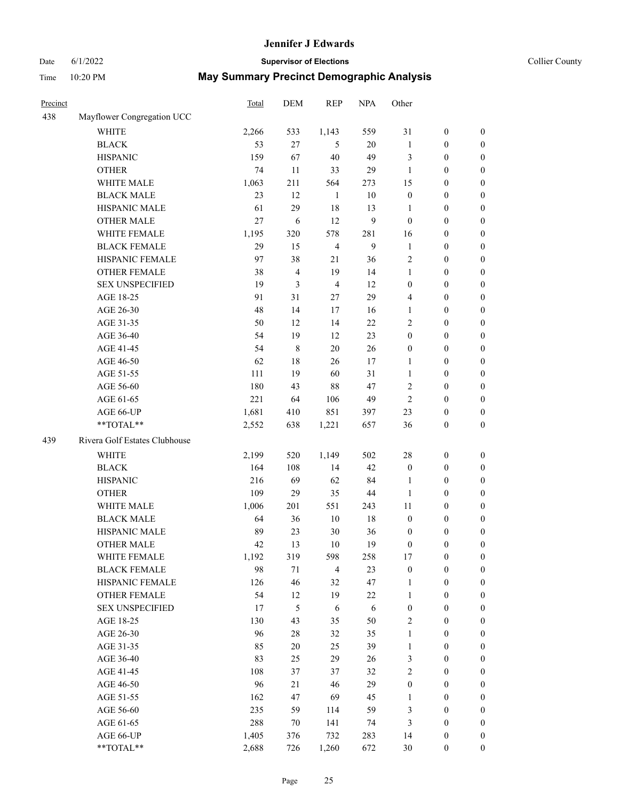# Date 6/1/2022 **Supervisor of Elections Supervisor of Elections** Collier County

| <b>Precinct</b> |                               | Total | DEM         | <b>REP</b>     | <b>NPA</b> | Other            |                  |                  |
|-----------------|-------------------------------|-------|-------------|----------------|------------|------------------|------------------|------------------|
| 438             | Mayflower Congregation UCC    |       |             |                |            |                  |                  |                  |
|                 | <b>WHITE</b>                  | 2,266 | 533         | 1,143          | 559        | 31               | $\boldsymbol{0}$ | $\boldsymbol{0}$ |
|                 | <b>BLACK</b>                  | 53    | 27          | 5              | 20         | $\mathbf{1}$     | $\boldsymbol{0}$ | $\boldsymbol{0}$ |
|                 | <b>HISPANIC</b>               | 159   | 67          | 40             | 49         | 3                | $\boldsymbol{0}$ | $\boldsymbol{0}$ |
|                 | <b>OTHER</b>                  | 74    | 11          | 33             | 29         | 1                | $\boldsymbol{0}$ | $\boldsymbol{0}$ |
|                 | WHITE MALE                    | 1,063 | 211         | 564            | 273        | 15               | $\boldsymbol{0}$ | $\boldsymbol{0}$ |
|                 | <b>BLACK MALE</b>             | 23    | 12          | $\mathbf{1}$   | 10         | $\boldsymbol{0}$ | $\boldsymbol{0}$ | $\boldsymbol{0}$ |
|                 | HISPANIC MALE                 | 61    | 29          | 18             | 13         | $\mathbf{1}$     | $\boldsymbol{0}$ | $\boldsymbol{0}$ |
|                 | <b>OTHER MALE</b>             | 27    | 6           | 12             | 9          | $\boldsymbol{0}$ | $\boldsymbol{0}$ | $\boldsymbol{0}$ |
|                 | WHITE FEMALE                  | 1,195 | 320         | 578            | 281        | 16               | $\boldsymbol{0}$ | $\boldsymbol{0}$ |
|                 | <b>BLACK FEMALE</b>           | 29    | 15          | $\overline{4}$ | 9          | $\mathbf{1}$     | $\boldsymbol{0}$ | $\boldsymbol{0}$ |
|                 | HISPANIC FEMALE               | 97    | 38          | 21             | 36         | $\overline{c}$   | $\boldsymbol{0}$ | 0                |
|                 | <b>OTHER FEMALE</b>           | 38    | 4           | 19             | 14         | 1                | $\boldsymbol{0}$ | $\boldsymbol{0}$ |
|                 | <b>SEX UNSPECIFIED</b>        | 19    | 3           | $\overline{4}$ | 12         | $\boldsymbol{0}$ | $\boldsymbol{0}$ | $\boldsymbol{0}$ |
|                 | AGE 18-25                     | 91    | 31          | $27\,$         | 29         | 4                | $\boldsymbol{0}$ | $\boldsymbol{0}$ |
|                 | AGE 26-30                     | 48    | 14          | 17             | 16         | $\mathbf{1}$     | $\boldsymbol{0}$ | $\boldsymbol{0}$ |
|                 | AGE 31-35                     | 50    | 12          | 14             | 22         | $\overline{c}$   | $\boldsymbol{0}$ | $\boldsymbol{0}$ |
|                 | AGE 36-40                     | 54    | 19          | 12             | 23         | $\boldsymbol{0}$ | $\boldsymbol{0}$ | $\boldsymbol{0}$ |
|                 | AGE 41-45                     | 54    | $\,$ 8 $\,$ | 20             | 26         | $\boldsymbol{0}$ | $\boldsymbol{0}$ | $\boldsymbol{0}$ |
|                 | AGE 46-50                     | 62    | 18          | 26             | 17         | $\mathbf{1}$     | $\boldsymbol{0}$ | $\boldsymbol{0}$ |
|                 | AGE 51-55                     | 111   | 19          | 60             | 31         | 1                | $\boldsymbol{0}$ | $\boldsymbol{0}$ |
|                 | AGE 56-60                     | 180   | 43          | 88             | 47         | $\overline{c}$   | $\boldsymbol{0}$ | $\boldsymbol{0}$ |
|                 | AGE 61-65                     | 221   | 64          | 106            | 49         | $\mathfrak{2}$   | $\boldsymbol{0}$ | $\boldsymbol{0}$ |
|                 | AGE 66-UP                     | 1,681 | 410         | 851            | 397        | 23               | $\boldsymbol{0}$ | $\boldsymbol{0}$ |
|                 | **TOTAL**                     | 2,552 | 638         | 1,221          | 657        | 36               | $\boldsymbol{0}$ | $\mathbf{0}$     |
| 439             | Rivera Golf Estates Clubhouse |       |             |                |            |                  |                  |                  |
|                 | <b>WHITE</b>                  | 2,199 | 520         | 1,149          | 502        | 28               | $\boldsymbol{0}$ | $\boldsymbol{0}$ |
|                 | <b>BLACK</b>                  | 164   | 108         | 14             | 42         | $\boldsymbol{0}$ | $\boldsymbol{0}$ | $\boldsymbol{0}$ |
|                 | <b>HISPANIC</b>               | 216   | 69          | 62             | 84         | 1                | $\boldsymbol{0}$ | $\boldsymbol{0}$ |
|                 | <b>OTHER</b>                  | 109   | 29          | 35             | 44         | 1                | $\boldsymbol{0}$ | $\boldsymbol{0}$ |
|                 | WHITE MALE                    | 1,006 | 201         | 551            | 243        | 11               | $\boldsymbol{0}$ | $\boldsymbol{0}$ |
|                 | <b>BLACK MALE</b>             | 64    | 36          | 10             | 18         | $\boldsymbol{0}$ | $\boldsymbol{0}$ | $\boldsymbol{0}$ |
|                 | HISPANIC MALE                 | 89    | 23          | 30             | 36         | $\boldsymbol{0}$ | $\boldsymbol{0}$ | $\boldsymbol{0}$ |
|                 | <b>OTHER MALE</b>             | 42    | 13          | 10             | 19         | $\boldsymbol{0}$ | $\boldsymbol{0}$ | $\boldsymbol{0}$ |
|                 | WHITE FEMALE                  | 1,192 | 319         | 598            | 258        | 17               | $\boldsymbol{0}$ | $\theta$         |
|                 | <b>BLACK FEMALE</b>           | 98    | 71          | $\overline{4}$ | 23         | $\boldsymbol{0}$ | $\boldsymbol{0}$ | $\boldsymbol{0}$ |
|                 | HISPANIC FEMALE               | 126   | 46          | 32             | 47         | 1                | $\boldsymbol{0}$ | $\theta$         |
|                 | OTHER FEMALE                  | 54    | 12          | 19             | 22         | $\mathbf{1}$     | $\boldsymbol{0}$ | $\boldsymbol{0}$ |
|                 | <b>SEX UNSPECIFIED</b>        | 17    | 5           | 6              | 6          | $\boldsymbol{0}$ | $\boldsymbol{0}$ | $\overline{0}$   |
|                 | AGE 18-25                     | 130   | 43          | 35             | 50         | $\mathbf{2}$     | $\boldsymbol{0}$ | $\overline{0}$   |
|                 | AGE 26-30                     | 96    | $28\,$      | 32             | 35         | $\mathbf{1}$     | $\boldsymbol{0}$ | 0                |
|                 | AGE 31-35                     | 85    | $20\,$      | 25             | 39         | $\mathbf{1}$     | $\boldsymbol{0}$ | 0                |
|                 | AGE 36-40                     | 83    | 25          | 29             | 26         | 3                | $\boldsymbol{0}$ | 0                |
|                 | AGE 41-45                     | 108   | 37          | 37             | 32         | $\sqrt{2}$       | $\boldsymbol{0}$ | 0                |
|                 | AGE 46-50                     | 96    | 21          | 46             | 29         | $\boldsymbol{0}$ | $\boldsymbol{0}$ | $\boldsymbol{0}$ |
|                 | AGE 51-55                     | 162   | 47          | 69             | 45         | $\mathbf{1}$     | $\boldsymbol{0}$ | $\boldsymbol{0}$ |
|                 | AGE 56-60                     | 235   | 59          | 114            | 59         | 3                | $\boldsymbol{0}$ | $\boldsymbol{0}$ |
|                 | AGE 61-65                     | 288   | 70          | 141            | 74         | 3                | $\boldsymbol{0}$ | $\boldsymbol{0}$ |
|                 | AGE 66-UP                     | 1,405 | 376         | 732            | 283        | 14               | $\boldsymbol{0}$ | $\boldsymbol{0}$ |
|                 | **TOTAL**                     | 2,688 | 726         | 1,260          | 672        | 30               | $\boldsymbol{0}$ | $\boldsymbol{0}$ |
|                 |                               |       |             |                |            |                  |                  |                  |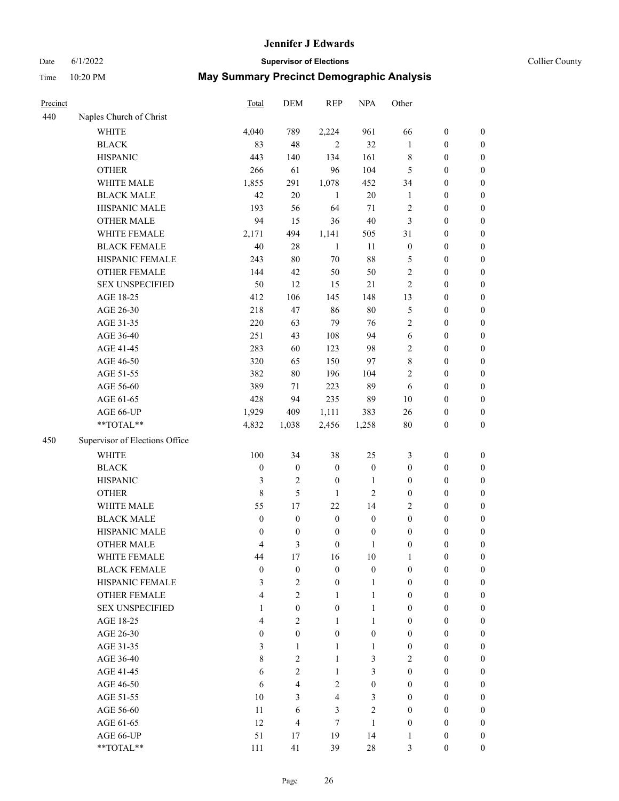#### Date 6/1/2022 **Supervisor of Elections** Collier County

| Precinct |                                | Total            | DEM              | <b>REP</b>       | <b>NPA</b>       | Other            |                  |                  |
|----------|--------------------------------|------------------|------------------|------------------|------------------|------------------|------------------|------------------|
| 440      | Naples Church of Christ        |                  |                  |                  |                  |                  |                  |                  |
|          | <b>WHITE</b>                   | 4,040            | 789              | 2,224            | 961              | 66               | $\boldsymbol{0}$ | $\boldsymbol{0}$ |
|          | <b>BLACK</b>                   | 83               | 48               | 2                | 32               | 1                | $\boldsymbol{0}$ | $\boldsymbol{0}$ |
|          | <b>HISPANIC</b>                | 443              | 140              | 134              | 161              | 8                | $\boldsymbol{0}$ | $\boldsymbol{0}$ |
|          | <b>OTHER</b>                   | 266              | 61               | 96               | 104              | 5                | $\boldsymbol{0}$ | $\boldsymbol{0}$ |
|          | WHITE MALE                     | 1,855            | 291              | 1,078            | 452              | 34               | $\boldsymbol{0}$ | $\boldsymbol{0}$ |
|          | <b>BLACK MALE</b>              | 42               | 20               | 1                | $20\,$           | $\mathbf{1}$     | $\boldsymbol{0}$ | $\boldsymbol{0}$ |
|          | HISPANIC MALE                  | 193              | 56               | 64               | 71               | $\overline{c}$   | $\boldsymbol{0}$ | $\boldsymbol{0}$ |
|          | <b>OTHER MALE</b>              | 94               | 15               | 36               | $40\,$           | 3                | $\boldsymbol{0}$ | $\boldsymbol{0}$ |
|          | WHITE FEMALE                   | 2,171            | 494              | 1,141            | 505              | 31               | $\boldsymbol{0}$ | $\boldsymbol{0}$ |
|          | <b>BLACK FEMALE</b>            | 40               | $28\,$           | $\mathbf{1}$     | 11               | $\boldsymbol{0}$ | $\boldsymbol{0}$ | 0                |
|          | HISPANIC FEMALE                | 243              | 80               | $70\,$           | $88\,$           | 5                | $\boldsymbol{0}$ | 0                |
|          | <b>OTHER FEMALE</b>            | 144              | 42               | 50               | 50               | $\mathfrak{2}$   | $\boldsymbol{0}$ | $\boldsymbol{0}$ |
|          | <b>SEX UNSPECIFIED</b>         | 50               | 12               | 15               | $21\,$           | $\mathfrak{2}$   | $\boldsymbol{0}$ | $\boldsymbol{0}$ |
|          | AGE 18-25                      | 412              | 106              | 145              | 148              | 13               | $\boldsymbol{0}$ | $\boldsymbol{0}$ |
|          | AGE 26-30                      | 218              | 47               | 86               | $80\,$           | 5                | $\boldsymbol{0}$ | $\boldsymbol{0}$ |
|          | AGE 31-35                      | 220              | 63               | 79               | 76               | $\overline{c}$   | $\boldsymbol{0}$ | $\boldsymbol{0}$ |
|          | AGE 36-40                      | 251              | 43               | 108              | 94               | 6                | $\boldsymbol{0}$ | $\boldsymbol{0}$ |
|          | AGE 41-45                      | 283              | 60               | 123              | 98               | 2                | $\boldsymbol{0}$ | $\boldsymbol{0}$ |
|          | AGE 46-50                      | 320              | 65               | 150              | 97               | $\,$ $\,$        | $\boldsymbol{0}$ | $\boldsymbol{0}$ |
|          | AGE 51-55                      | 382              | 80               | 196              | 104              | 2                | $\boldsymbol{0}$ | $\boldsymbol{0}$ |
|          | AGE 56-60                      | 389              | 71               | 223              | 89               | 6                | $\boldsymbol{0}$ | 0                |
|          | AGE 61-65                      | 428              | 94               | 235              | 89               | 10               | $\boldsymbol{0}$ | 0                |
|          | AGE 66-UP                      | 1,929            | 409              | 1,111            | 383              | 26               | $\boldsymbol{0}$ | $\boldsymbol{0}$ |
|          | **TOTAL**                      | 4,832            | 1,038            | 2,456            | 1,258            | $80\,$           | $\boldsymbol{0}$ | $\boldsymbol{0}$ |
| 450      | Supervisor of Elections Office |                  |                  |                  |                  |                  |                  |                  |
|          | <b>WHITE</b>                   | 100              | 34               | 38               | 25               | 3                | $\boldsymbol{0}$ | $\boldsymbol{0}$ |
|          | <b>BLACK</b>                   | $\boldsymbol{0}$ | $\boldsymbol{0}$ | $\boldsymbol{0}$ | $\boldsymbol{0}$ | $\boldsymbol{0}$ | $\boldsymbol{0}$ | $\boldsymbol{0}$ |
|          | <b>HISPANIC</b>                | 3                | $\mathfrak{2}$   | $\boldsymbol{0}$ | $\mathbf{1}$     | $\boldsymbol{0}$ | $\boldsymbol{0}$ | $\boldsymbol{0}$ |
|          | <b>OTHER</b>                   | $\,8\,$          | 5                | 1                | $\overline{c}$   | $\boldsymbol{0}$ | $\boldsymbol{0}$ | $\boldsymbol{0}$ |
|          | WHITE MALE                     | 55               | 17               | 22               | 14               | 2                | $\boldsymbol{0}$ | $\boldsymbol{0}$ |
|          | <b>BLACK MALE</b>              | $\boldsymbol{0}$ | $\boldsymbol{0}$ | $\boldsymbol{0}$ | $\boldsymbol{0}$ | $\boldsymbol{0}$ | $\boldsymbol{0}$ | $\boldsymbol{0}$ |
|          | HISPANIC MALE                  | $\boldsymbol{0}$ | $\boldsymbol{0}$ | $\boldsymbol{0}$ | $\boldsymbol{0}$ | $\boldsymbol{0}$ | $\boldsymbol{0}$ | $\boldsymbol{0}$ |
|          | <b>OTHER MALE</b>              | 4                | 3                | $\boldsymbol{0}$ | $\mathbf{1}$     | $\boldsymbol{0}$ | $\boldsymbol{0}$ | $\boldsymbol{0}$ |
|          | WHITE FEMALE                   | 44               | 17               | 16               | 10               | 1                | $\boldsymbol{0}$ | 0                |
|          | <b>BLACK FEMALE</b>            | $\boldsymbol{0}$ | $\boldsymbol{0}$ | $\boldsymbol{0}$ | $\boldsymbol{0}$ | $\boldsymbol{0}$ | $\boldsymbol{0}$ | $\overline{0}$   |
|          | HISPANIC FEMALE                | 3                | $\mathbf{2}$     | $\boldsymbol{0}$ | $\mathbf{1}$     | $\boldsymbol{0}$ | $\boldsymbol{0}$ | $\overline{0}$   |
|          | <b>OTHER FEMALE</b>            | $\overline{4}$   | 2                | 1                | $\mathbf{1}$     | $\boldsymbol{0}$ | $\boldsymbol{0}$ | $\overline{0}$   |
|          | <b>SEX UNSPECIFIED</b>         | $\mathbf{1}$     | $\boldsymbol{0}$ | $\boldsymbol{0}$ | $\mathbf{1}$     | $\boldsymbol{0}$ | $\boldsymbol{0}$ | $\overline{0}$   |
|          | AGE 18-25                      | $\overline{4}$   | $\overline{2}$   | $\mathbf{1}$     | $\mathbf{1}$     | $\boldsymbol{0}$ | $\boldsymbol{0}$ | $\theta$         |
|          | AGE 26-30                      | $\boldsymbol{0}$ | $\overline{0}$   | $\boldsymbol{0}$ | $\boldsymbol{0}$ | $\boldsymbol{0}$ | $\boldsymbol{0}$ | $\overline{0}$   |
|          | AGE 31-35                      | 3                | 1                | 1                | $\mathbf{1}$     | $\boldsymbol{0}$ | $\boldsymbol{0}$ | $\overline{0}$   |
|          | AGE 36-40                      | $\,$ 8 $\,$      | 2                | 1                | 3                | 2                | $\boldsymbol{0}$ | 0                |
|          | AGE 41-45                      | 6                | $\overline{2}$   | $\mathbf{1}$     | 3                | $\boldsymbol{0}$ | $\boldsymbol{0}$ | 0                |
|          | AGE 46-50                      | 6                | $\overline{4}$   | $\overline{2}$   | $\mathbf{0}$     | $\boldsymbol{0}$ | $\boldsymbol{0}$ | $\overline{0}$   |
|          | AGE 51-55                      | 10               | 3                | $\overline{4}$   | 3                | $\boldsymbol{0}$ | $\boldsymbol{0}$ | $\overline{0}$   |
|          | AGE 56-60                      | 11               | 6                | 3                | $\overline{c}$   | $\boldsymbol{0}$ | $\boldsymbol{0}$ | $\overline{0}$   |
|          | AGE 61-65                      | 12               | $\overline{4}$   | $\tau$           | $\mathbf{1}$     | $\boldsymbol{0}$ | $\boldsymbol{0}$ | $\overline{0}$   |
|          | AGE 66-UP                      | 51               | 17               | 19               | 14               | 1                | $\boldsymbol{0}$ | $\boldsymbol{0}$ |
|          | **TOTAL**                      | 111              | 41               | 39               | $28\,$           | 3                | $\boldsymbol{0}$ | $\boldsymbol{0}$ |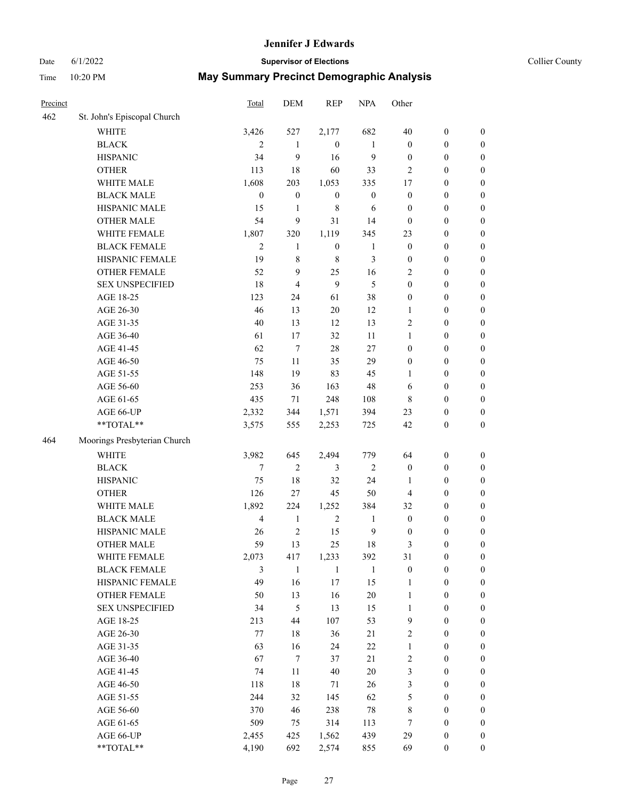#### Date 6/1/2022 **Supervisor of Elections Supervisor of Elections** Collier County

| Precinct |                              | Total            | DEM              | <b>REP</b>       | <b>NPA</b>       | Other            |                  |                  |
|----------|------------------------------|------------------|------------------|------------------|------------------|------------------|------------------|------------------|
| 462      | St. John's Episcopal Church  |                  |                  |                  |                  |                  |                  |                  |
|          | <b>WHITE</b>                 | 3,426            | 527              | 2,177            | 682              | 40               | $\boldsymbol{0}$ | $\boldsymbol{0}$ |
|          | <b>BLACK</b>                 | 2                | $\mathbf{1}$     | $\mathbf{0}$     | $\mathbf{1}$     | $\boldsymbol{0}$ | $\boldsymbol{0}$ | $\boldsymbol{0}$ |
|          | <b>HISPANIC</b>              | 34               | 9                | 16               | 9                | $\boldsymbol{0}$ | $\boldsymbol{0}$ | $\boldsymbol{0}$ |
|          | <b>OTHER</b>                 | 113              | 18               | 60               | 33               | $\overline{2}$   | $\boldsymbol{0}$ | $\boldsymbol{0}$ |
|          | WHITE MALE                   | 1,608            | 203              | 1,053            | 335              | 17               | $\boldsymbol{0}$ | $\boldsymbol{0}$ |
|          | <b>BLACK MALE</b>            | $\boldsymbol{0}$ | $\boldsymbol{0}$ | $\boldsymbol{0}$ | $\boldsymbol{0}$ | $\boldsymbol{0}$ | $\boldsymbol{0}$ | $\boldsymbol{0}$ |
|          | HISPANIC MALE                | 15               | $\mathbf{1}$     | $\,$ 8 $\,$      | 6                | $\boldsymbol{0}$ | $\boldsymbol{0}$ | $\boldsymbol{0}$ |
|          | <b>OTHER MALE</b>            | 54               | 9                | 31               | 14               | $\boldsymbol{0}$ | $\boldsymbol{0}$ | $\boldsymbol{0}$ |
|          | WHITE FEMALE                 | 1,807            | 320              | 1,119            | 345              | 23               | $\boldsymbol{0}$ | $\boldsymbol{0}$ |
|          | <b>BLACK FEMALE</b>          | $\mathfrak{2}$   | $\mathbf{1}$     | $\boldsymbol{0}$ | $\mathbf{1}$     | $\boldsymbol{0}$ | $\boldsymbol{0}$ | $\boldsymbol{0}$ |
|          | HISPANIC FEMALE              | 19               | 8                | $\,8\,$          | 3                | $\boldsymbol{0}$ | $\boldsymbol{0}$ | 0                |
|          | <b>OTHER FEMALE</b>          | 52               | 9                | 25               | 16               | 2                | $\boldsymbol{0}$ | $\boldsymbol{0}$ |
|          | <b>SEX UNSPECIFIED</b>       | 18               | $\overline{4}$   | 9                | 5                | $\boldsymbol{0}$ | $\boldsymbol{0}$ | $\boldsymbol{0}$ |
|          | AGE 18-25                    | 123              | 24               | 61               | 38               | $\boldsymbol{0}$ | $\boldsymbol{0}$ | $\boldsymbol{0}$ |
|          | AGE 26-30                    | 46               | 13               | 20               | 12               | $\mathbf{1}$     | $\boldsymbol{0}$ | $\boldsymbol{0}$ |
|          | AGE 31-35                    | 40               | 13               | 12               | 13               | $\overline{c}$   | $\boldsymbol{0}$ | $\boldsymbol{0}$ |
|          | AGE 36-40                    | 61               | 17               | 32               | 11               | $\mathbf{1}$     | $\boldsymbol{0}$ | $\boldsymbol{0}$ |
|          | AGE 41-45                    | 62               | $\tau$           | 28               | 27               | $\boldsymbol{0}$ | $\boldsymbol{0}$ | $\boldsymbol{0}$ |
|          | AGE 46-50                    | 75               | 11               | 35               | 29               | $\boldsymbol{0}$ | $\boldsymbol{0}$ | $\boldsymbol{0}$ |
|          | AGE 51-55                    | 148              | 19               | 83               | 45               | 1                | $\boldsymbol{0}$ | $\boldsymbol{0}$ |
|          | AGE 56-60                    | 253              | 36               | 163              | 48               | 6                | $\boldsymbol{0}$ | 0                |
|          | AGE 61-65                    | 435              | 71               | 248              | 108              | 8                | $\boldsymbol{0}$ | 0                |
|          | AGE 66-UP                    | 2,332            | 344              | 1,571            | 394              | 23               | $\boldsymbol{0}$ | $\boldsymbol{0}$ |
|          | **TOTAL**                    | 3,575            | 555              | 2,253            | 725              | 42               | $\boldsymbol{0}$ | $\boldsymbol{0}$ |
| 464      | Moorings Presbyterian Church |                  |                  |                  |                  |                  |                  |                  |
|          | <b>WHITE</b>                 | 3,982            | 645              | 2,494            | 779              | 64               | $\boldsymbol{0}$ | $\boldsymbol{0}$ |
|          | <b>BLACK</b>                 | 7                | 2                | $\mathfrak{Z}$   | $\sqrt{2}$       | $\boldsymbol{0}$ | $\boldsymbol{0}$ | $\boldsymbol{0}$ |
|          | <b>HISPANIC</b>              | 75               | 18               | 32               | 24               | $\mathbf{1}$     | $\boldsymbol{0}$ | $\boldsymbol{0}$ |
|          | <b>OTHER</b>                 | 126              | 27               | 45               | 50               | 4                | $\boldsymbol{0}$ | $\boldsymbol{0}$ |
|          | WHITE MALE                   | 1,892            | 224              | 1,252            | 384              | 32               | $\boldsymbol{0}$ | $\boldsymbol{0}$ |
|          | <b>BLACK MALE</b>            | $\overline{4}$   | $\mathbf{1}$     | $\overline{2}$   | $\mathbf{1}$     | $\boldsymbol{0}$ | $\boldsymbol{0}$ | $\boldsymbol{0}$ |
|          | HISPANIC MALE                | 26               | 2                | 15               | $\mathbf{9}$     | $\boldsymbol{0}$ | $\boldsymbol{0}$ | $\boldsymbol{0}$ |
|          | OTHER MALE                   | 59               | 13               | 25               | 18               | 3                | $\boldsymbol{0}$ | $\boldsymbol{0}$ |
|          | WHITE FEMALE                 | 2,073            | 417              | 1,233            | 392              | 31               | $\boldsymbol{0}$ | 0                |
|          | <b>BLACK FEMALE</b>          | 3                | $\mathbf{1}$     | $\mathbf{1}$     | $\mathbf{1}$     | $\boldsymbol{0}$ | $\boldsymbol{0}$ | $\boldsymbol{0}$ |
|          | HISPANIC FEMALE              | 49               | 16               | $17\,$           | 15               | $\mathbf{1}$     | $\boldsymbol{0}$ | $\overline{0}$   |
|          | OTHER FEMALE                 | 50               | 13               | 16               | $20\,$           | $\mathbf{1}$     | $\boldsymbol{0}$ | $\overline{0}$   |
|          | <b>SEX UNSPECIFIED</b>       | 34               | 5                | 13               | 15               | $\mathbf{1}$     | $\boldsymbol{0}$ | 0                |
|          | AGE 18-25                    | 213              | 44               | 107              | 53               | 9                | $\boldsymbol{0}$ | $\overline{0}$   |
|          | AGE 26-30                    | 77               | $18\,$           | 36               | 21               | $\overline{c}$   | $\boldsymbol{0}$ | 0                |
|          | AGE 31-35                    | 63               | 16               | 24               | $22\,$           | $\mathbf{1}$     | $\boldsymbol{0}$ | 0                |
|          | AGE 36-40                    | 67               | $\tau$           | 37               | $21\,$           | 2                | $\boldsymbol{0}$ | 0                |
|          | AGE 41-45                    | 74               | 11               | 40               | 20               | 3                | $\boldsymbol{0}$ | 0                |
|          | AGE 46-50                    | 118              | $18\,$           | 71               | 26               | 3                | $\boldsymbol{0}$ | 0                |
|          | AGE 51-55                    | 244              | 32               | 145              | 62               | 5                | $\boldsymbol{0}$ | $\overline{0}$   |
|          | AGE 56-60                    | 370              | 46               | 238              | $78\,$           | 8                | $\boldsymbol{0}$ | $\boldsymbol{0}$ |
|          | AGE 61-65                    | 509              | 75               | 314              | 113              | 7                | $\boldsymbol{0}$ | $\overline{0}$   |
|          | AGE 66-UP                    | 2,455            | 425              | 1,562            | 439              | 29               | $\boldsymbol{0}$ | 0                |
|          | **TOTAL**                    | 4,190            | 692              | 2,574            | 855              | 69               | $\boldsymbol{0}$ | $\boldsymbol{0}$ |
|          |                              |                  |                  |                  |                  |                  |                  |                  |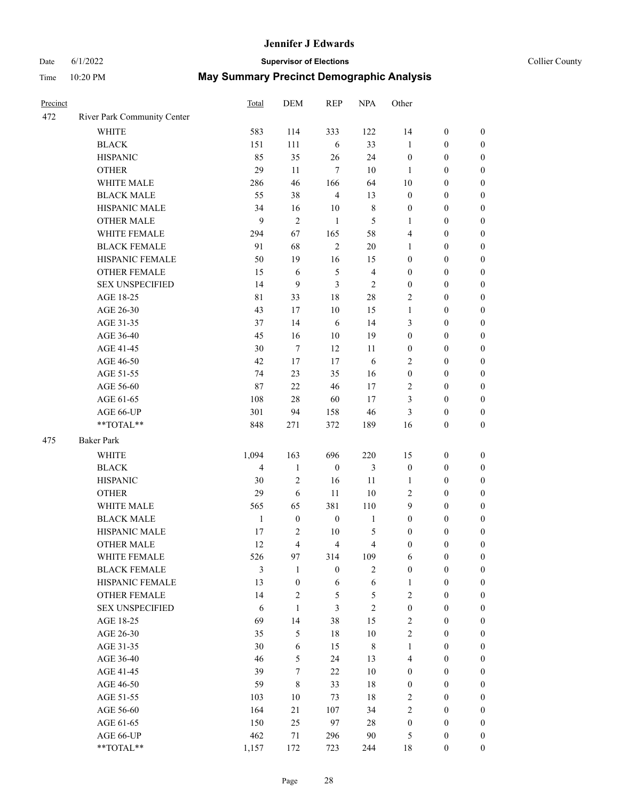# Date 6/1/2022 **Supervisor of Elections Supervisor of Elections** Collier County

| Precinct |                                               | Total        | <b>DEM</b>                       | <b>REP</b>       | <b>NPA</b>                       | Other                            |                                      |                                    |
|----------|-----------------------------------------------|--------------|----------------------------------|------------------|----------------------------------|----------------------------------|--------------------------------------|------------------------------------|
| 472      | River Park Community Center                   |              |                                  |                  |                                  |                                  |                                      |                                    |
|          | <b>WHITE</b>                                  | 583          | 114                              | 333              | 122                              | 14                               | $\boldsymbol{0}$                     | $\boldsymbol{0}$                   |
|          | <b>BLACK</b>                                  | 151          | 111                              | 6                | 33                               | 1                                | $\boldsymbol{0}$                     | $\boldsymbol{0}$                   |
|          | <b>HISPANIC</b>                               | 85           | 35                               | 26               | 24                               | $\boldsymbol{0}$                 | $\boldsymbol{0}$                     | $\boldsymbol{0}$                   |
|          | <b>OTHER</b>                                  | 29           | 11                               | $\tau$           | 10                               | 1                                | $\boldsymbol{0}$                     | $\boldsymbol{0}$                   |
|          | WHITE MALE                                    | 286          | 46                               | 166              | 64                               | 10                               | $\boldsymbol{0}$                     | $\boldsymbol{0}$                   |
|          | <b>BLACK MALE</b>                             | 55           | 38                               | $\overline{4}$   | 13                               | $\boldsymbol{0}$                 | $\boldsymbol{0}$                     | $\boldsymbol{0}$                   |
|          | HISPANIC MALE                                 | 34           | 16                               | 10               | $\,8\,$                          | $\boldsymbol{0}$                 | $\boldsymbol{0}$                     | $\boldsymbol{0}$                   |
|          | <b>OTHER MALE</b>                             | 9            | $\overline{c}$                   | $\mathbf{1}$     | 5                                | $\mathbf{1}$                     | $\boldsymbol{0}$                     | $\boldsymbol{0}$                   |
|          | WHITE FEMALE                                  | 294          | 67                               | 165              | 58                               | 4                                | $\boldsymbol{0}$                     | $\boldsymbol{0}$                   |
|          | <b>BLACK FEMALE</b>                           | 91           | 68                               | $\sqrt{2}$       | $20\,$                           | $\mathbf{1}$                     | $\boldsymbol{0}$                     | $\boldsymbol{0}$                   |
|          | HISPANIC FEMALE                               | 50           | 19                               | 16               | 15                               | $\boldsymbol{0}$                 | $\boldsymbol{0}$                     | $\boldsymbol{0}$                   |
|          | <b>OTHER FEMALE</b>                           | 15           | 6                                | 5                | $\overline{4}$                   | $\boldsymbol{0}$                 | $\boldsymbol{0}$                     | $\boldsymbol{0}$                   |
|          | <b>SEX UNSPECIFIED</b>                        | 14           | 9                                | 3                | $\mathfrak{2}$                   | $\boldsymbol{0}$                 | $\boldsymbol{0}$                     | $\boldsymbol{0}$                   |
|          | AGE 18-25                                     | 81           | 33                               | 18               | 28                               | 2                                | $\boldsymbol{0}$                     | $\boldsymbol{0}$                   |
|          | AGE 26-30                                     | 43           | 17                               | 10               | 15                               | $\mathbf{1}$                     | $\boldsymbol{0}$                     | $\boldsymbol{0}$                   |
|          | AGE 31-35                                     | 37           | 14                               | 6                | 14                               | 3                                | $\boldsymbol{0}$                     | $\boldsymbol{0}$                   |
|          | AGE 36-40                                     | 45           | 16                               | 10               | 19                               | $\boldsymbol{0}$                 | $\boldsymbol{0}$                     | $\boldsymbol{0}$                   |
|          | AGE 41-45                                     | 30           | $\tau$                           | 12               | 11                               | $\boldsymbol{0}$                 | $\boldsymbol{0}$                     | $\boldsymbol{0}$                   |
|          | AGE 46-50                                     | 42           | 17                               | 17               | 6                                | 2                                | $\boldsymbol{0}$                     | $\boldsymbol{0}$                   |
|          | AGE 51-55                                     | 74           | 23                               | 35               | 16                               | $\boldsymbol{0}$                 | $\boldsymbol{0}$                     | $\boldsymbol{0}$                   |
|          | AGE 56-60                                     | 87           | 22                               | 46               | 17                               | $\mathfrak{2}$                   | $\boldsymbol{0}$                     | 0                                  |
|          | AGE 61-65                                     | 108          | 28                               | 60               | 17                               | 3                                | $\boldsymbol{0}$                     | $\boldsymbol{0}$                   |
|          | AGE 66-UP                                     | 301          | 94                               | 158              | 46                               | 3                                | $\boldsymbol{0}$                     | $\boldsymbol{0}$                   |
|          | **TOTAL**                                     | 848          | 271                              | 372              | 189                              | 16                               | $\boldsymbol{0}$                     | $\boldsymbol{0}$                   |
| 475      | <b>Baker Park</b>                             |              |                                  |                  |                                  |                                  |                                      |                                    |
|          |                                               |              |                                  |                  |                                  |                                  |                                      |                                    |
|          | <b>WHITE</b>                                  | 1,094        | 163                              | 696              | 220                              | 15                               | $\boldsymbol{0}$                     | $\boldsymbol{0}$                   |
|          | <b>BLACK</b>                                  | 4            | $\mathbf{1}$                     | $\boldsymbol{0}$ | 3                                | $\boldsymbol{0}$                 | $\boldsymbol{0}$                     | $\boldsymbol{0}$                   |
|          | <b>HISPANIC</b>                               | 30           | $\overline{c}$                   | 16               | 11                               | $\mathbf{1}$                     | $\boldsymbol{0}$                     | $\boldsymbol{0}$                   |
|          | <b>OTHER</b>                                  | 29           | 6                                | 11               | 10                               | $\overline{c}$                   | $\boldsymbol{0}$                     | $\boldsymbol{0}$                   |
|          | WHITE MALE                                    | 565          | 65                               | 381              | 110                              | 9                                | $\boldsymbol{0}$                     | $\boldsymbol{0}$                   |
|          | <b>BLACK MALE</b><br>HISPANIC MALE            | $\mathbf{1}$ | $\boldsymbol{0}$                 | $\boldsymbol{0}$ | $\mathbf{1}$                     | $\boldsymbol{0}$                 | $\boldsymbol{0}$                     | $\boldsymbol{0}$                   |
|          |                                               | 17           | $\overline{c}$                   | 10               | 5<br>$\overline{\mathbf{4}}$     | $\boldsymbol{0}$                 | $\boldsymbol{0}$                     | $\boldsymbol{0}$                   |
|          | <b>OTHER MALE</b>                             | 12           | 4                                | $\overline{4}$   |                                  | $\boldsymbol{0}$                 | $\boldsymbol{0}$                     | $\boldsymbol{0}$                   |
|          | WHITE FEMALE                                  | 526          | 97                               | 314              | 109                              | 6                                | $\boldsymbol{0}$                     | 0                                  |
|          | <b>BLACK FEMALE</b><br>HISPANIC FEMALE        | 3<br>13      | $\mathbf{1}$<br>$\boldsymbol{0}$ | $\boldsymbol{0}$ | $\overline{2}$<br>$\sqrt{6}$     | $\boldsymbol{0}$                 | $\boldsymbol{0}$<br>$\boldsymbol{0}$ | $\overline{0}$<br>$\overline{0}$   |
|          |                                               |              |                                  | 6                |                                  | 1                                |                                      |                                    |
|          | <b>OTHER FEMALE</b><br><b>SEX UNSPECIFIED</b> | 14<br>6      | $\mathbf{2}$<br>$\mathbf{1}$     | 5<br>3           | $\mathfrak{S}$<br>$\overline{c}$ | $\mathbf{2}$<br>$\boldsymbol{0}$ | $\boldsymbol{0}$<br>$\boldsymbol{0}$ | $\overline{0}$<br>$\overline{0}$   |
|          | AGE 18-25                                     | 69           | 14                               | 38               | 15                               | 2                                | $\boldsymbol{0}$                     | $\overline{0}$                     |
|          | AGE 26-30                                     | 35           | 5                                | 18               | $10\,$                           | 2                                | $\boldsymbol{0}$                     | $\overline{0}$                     |
|          | AGE 31-35                                     | 30           | 6                                | 15               | $\,$ 8 $\,$                      | $\mathbf{1}$                     | $\boldsymbol{0}$                     | 0                                  |
|          | AGE 36-40                                     | 46           | 5                                | 24               | 13                               | $\overline{\mathbf{4}}$          | $\boldsymbol{0}$                     | 0                                  |
|          | AGE 41-45                                     | 39           | $\tau$                           | 22               | 10                               | $\boldsymbol{0}$                 | $\boldsymbol{0}$                     | 0                                  |
|          |                                               | 59           | 8                                | 33               | 18                               |                                  | $\boldsymbol{0}$                     | $\boldsymbol{0}$                   |
|          | AGE 46-50                                     |              |                                  |                  |                                  | $\boldsymbol{0}$                 |                                      |                                    |
|          | AGE 51-55<br>AGE 56-60                        | 103<br>164   | 10<br>21                         | 73<br>107        | 18<br>34                         | 2<br>2                           | $\boldsymbol{0}$<br>$\boldsymbol{0}$ | $\overline{0}$<br>$\overline{0}$   |
|          |                                               |              |                                  |                  |                                  |                                  |                                      |                                    |
|          | AGE 61-65<br>AGE 66-UP                        | 150<br>462   | 25                               | 97               | $28\,$<br>90                     | $\boldsymbol{0}$<br>5            | $\boldsymbol{0}$<br>$\boldsymbol{0}$ | $\overline{0}$<br>$\boldsymbol{0}$ |
|          | **TOTAL**                                     |              | 71                               | 296              |                                  |                                  | $\boldsymbol{0}$                     |                                    |
|          |                                               | 1,157        | 172                              | 723              | 244                              | 18                               |                                      | $\boldsymbol{0}$                   |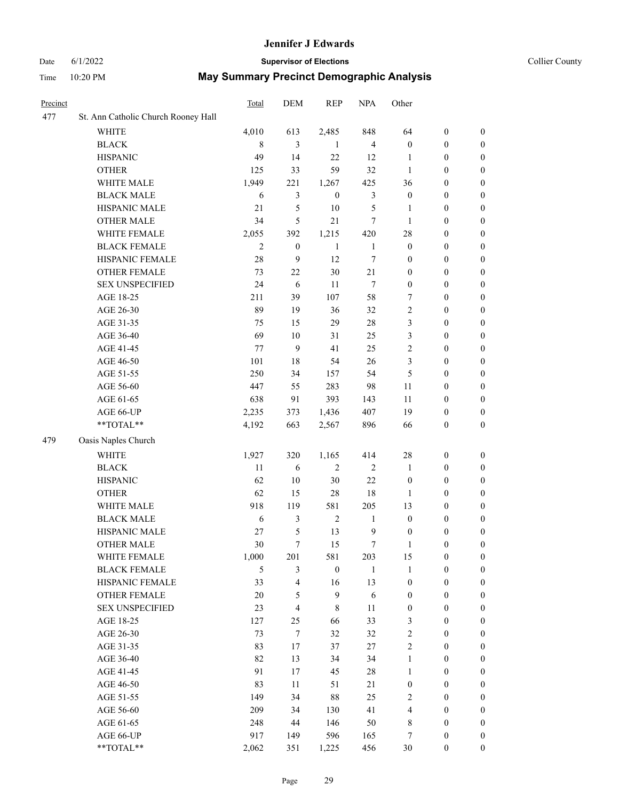#### Date 6/1/2022 **Supervisor of Elections Supervisor of Elections** Collier County

| Precinct |                                     | Total        | DEM                     | <b>REP</b>       | <b>NPA</b>       | Other            |                  |                  |
|----------|-------------------------------------|--------------|-------------------------|------------------|------------------|------------------|------------------|------------------|
| 477      | St. Ann Catholic Church Rooney Hall |              |                         |                  |                  |                  |                  |                  |
|          | <b>WHITE</b>                        | 4,010        | 613                     | 2,485            | 848              | 64               | $\boldsymbol{0}$ | $\boldsymbol{0}$ |
|          | <b>BLACK</b>                        | 8            | 3                       | 1                | $\overline{4}$   | $\boldsymbol{0}$ | $\boldsymbol{0}$ | 0                |
|          | <b>HISPANIC</b>                     | 49           | 14                      | 22               | 12               | 1                | $\boldsymbol{0}$ | $\boldsymbol{0}$ |
|          | <b>OTHER</b>                        | 125          | 33                      | 59               | 32               | $\mathbf{1}$     | $\boldsymbol{0}$ | $\boldsymbol{0}$ |
|          | WHITE MALE                          | 1,949        | 221                     | 1,267            | 425              | 36               | $\boldsymbol{0}$ | $\boldsymbol{0}$ |
|          | <b>BLACK MALE</b>                   | 6            | $\mathfrak{Z}$          | $\boldsymbol{0}$ | $\mathfrak{Z}$   | $\boldsymbol{0}$ | $\boldsymbol{0}$ | $\boldsymbol{0}$ |
|          | HISPANIC MALE                       | 21           | 5                       | 10               | 5                | $\mathbf{1}$     | $\boldsymbol{0}$ | $\boldsymbol{0}$ |
|          | <b>OTHER MALE</b>                   | 34           | 5                       | 21               | $\tau$           | $\mathbf{1}$     | $\boldsymbol{0}$ | $\boldsymbol{0}$ |
|          | WHITE FEMALE                        | 2,055        | 392                     | 1,215            | 420              | 28               | $\boldsymbol{0}$ | $\boldsymbol{0}$ |
|          | <b>BLACK FEMALE</b>                 | $\mathbf{2}$ | $\boldsymbol{0}$        | $\mathbf{1}$     | $\mathbf{1}$     | $\boldsymbol{0}$ | $\boldsymbol{0}$ | 0                |
|          | HISPANIC FEMALE                     | $28\,$       | $\mathbf{9}$            | 12               | 7                | $\boldsymbol{0}$ | $\boldsymbol{0}$ | 0                |
|          | OTHER FEMALE                        | 73           | 22                      | 30               | 21               | $\boldsymbol{0}$ | $\boldsymbol{0}$ | 0                |
|          | <b>SEX UNSPECIFIED</b>              | 24           | 6                       | 11               | $\tau$           | $\boldsymbol{0}$ | $\boldsymbol{0}$ | $\boldsymbol{0}$ |
|          | AGE 18-25                           | 211          | 39                      | 107              | 58               | 7                | $\boldsymbol{0}$ | $\boldsymbol{0}$ |
|          | AGE 26-30                           | 89           | 19                      | 36               | 32               | 2                | $\boldsymbol{0}$ | $\boldsymbol{0}$ |
|          | AGE 31-35                           | 75           | 15                      | 29               | 28               | 3                | $\boldsymbol{0}$ | $\boldsymbol{0}$ |
|          | AGE 36-40                           | 69           | 10                      | 31               | 25               | 3                | $\boldsymbol{0}$ | $\boldsymbol{0}$ |
|          | AGE 41-45                           | 77           | 9                       | 41               | 25               | $\mathbf{2}$     | $\boldsymbol{0}$ | $\boldsymbol{0}$ |
|          | AGE 46-50                           | 101          | $18\,$                  | 54               | 26               | 3                | $\boldsymbol{0}$ | $\boldsymbol{0}$ |
|          | AGE 51-55                           | 250          | 34                      | 157              | 54               | 5                | $\boldsymbol{0}$ | $\boldsymbol{0}$ |
|          | AGE 56-60                           | 447          | 55                      | 283              | 98               | 11               | $\boldsymbol{0}$ | 0                |
|          | AGE 61-65                           | 638          | 91                      | 393              | 143              | $11\,$           | $\boldsymbol{0}$ | 0                |
|          | AGE 66-UP                           | 2,235        | 373                     | 1,436            | 407              | 19               | $\boldsymbol{0}$ | $\boldsymbol{0}$ |
|          | **TOTAL**                           | 4,192        | 663                     | 2,567            | 896              | 66               | $\boldsymbol{0}$ | $\boldsymbol{0}$ |
| 479      | Oasis Naples Church                 |              |                         |                  |                  |                  |                  |                  |
|          | <b>WHITE</b>                        | 1,927        | 320                     | 1,165            | 414              | 28               | $\boldsymbol{0}$ | $\boldsymbol{0}$ |
|          | <b>BLACK</b>                        | 11           | $\sqrt{6}$              | $\sqrt{2}$       | $\sqrt{2}$       | $\mathbf{1}$     | $\boldsymbol{0}$ | $\boldsymbol{0}$ |
|          | <b>HISPANIC</b>                     | 62           | 10                      | 30               | 22               | $\boldsymbol{0}$ | $\boldsymbol{0}$ | $\boldsymbol{0}$ |
|          | <b>OTHER</b>                        | 62           | 15                      | 28               | $18\,$           | $\mathbf{1}$     | $\boldsymbol{0}$ | $\boldsymbol{0}$ |
|          | WHITE MALE                          | 918          | 119                     | 581              | 205              | 13               | $\boldsymbol{0}$ | $\boldsymbol{0}$ |
|          | <b>BLACK MALE</b>                   | $\sqrt{6}$   | 3                       | $\sqrt{2}$       | $\mathbf{1}$     | $\boldsymbol{0}$ | $\boldsymbol{0}$ | $\boldsymbol{0}$ |
|          | HISPANIC MALE                       | $27\,$       | $\mathfrak{S}$          | 13               | $\mathbf{9}$     | $\boldsymbol{0}$ | $\boldsymbol{0}$ | $\boldsymbol{0}$ |
|          | <b>OTHER MALE</b>                   | 30           | $\tau$                  | 15               | $\boldsymbol{7}$ | $\mathbf{1}$     | $\boldsymbol{0}$ | $\boldsymbol{0}$ |
|          | WHITE FEMALE                        | 1,000        | 201                     | 581              | 203              | 15               | $\boldsymbol{0}$ | 0                |
|          | <b>BLACK FEMALE</b>                 | 5            | 3                       | $\boldsymbol{0}$ | 1                | $\mathbf{1}$     | $\boldsymbol{0}$ | $\boldsymbol{0}$ |
|          | HISPANIC FEMALE                     | 33           | 4                       | 16               | 13               | $\boldsymbol{0}$ | $\boldsymbol{0}$ | $\overline{0}$   |
|          | OTHER FEMALE                        | $20\,$       | 5                       | $\boldsymbol{9}$ | 6                | $\boldsymbol{0}$ | $\boldsymbol{0}$ | $\overline{0}$   |
|          | <b>SEX UNSPECIFIED</b>              | 23           | $\overline{\mathbf{4}}$ | $\,$ 8 $\,$      | 11               | $\boldsymbol{0}$ | $\boldsymbol{0}$ | $\overline{0}$   |
|          | AGE 18-25                           | 127          | 25                      | 66               | 33               | 3                | $\boldsymbol{0}$ | $\overline{0}$   |
|          | AGE 26-30                           | 73           | $\tau$                  | 32               | 32               | 2                | $\boldsymbol{0}$ | $\overline{0}$   |
|          | AGE 31-35                           | 83           | 17                      | 37               | 27               | $\overline{c}$   | $\boldsymbol{0}$ | 0                |
|          | AGE 36-40                           | 82           | 13                      | 34               | 34               | $\mathbf{1}$     | $\boldsymbol{0}$ | 0                |
|          | AGE 41-45                           | 91           | 17                      | 45               | $28\,$           | $\mathbf{1}$     | $\boldsymbol{0}$ | 0                |
|          | AGE 46-50                           | 83           | 11                      | 51               | 21               | $\boldsymbol{0}$ | $\boldsymbol{0}$ | 0                |
|          | AGE 51-55                           | 149          | 34                      | 88               | 25               | 2                | $\boldsymbol{0}$ | $\overline{0}$   |
|          | AGE 56-60                           | 209          | 34                      | 130              | 41               | 4                | $\boldsymbol{0}$ | $\overline{0}$   |
|          | AGE 61-65                           | 248          | 44                      | 146              | 50               | 8                | $\boldsymbol{0}$ | $\overline{0}$   |
|          | AGE 66-UP                           | 917          | 149                     | 596              | 165              | 7                | $\boldsymbol{0}$ | 0                |
|          | **TOTAL**                           | 2,062        | 351                     | 1,225            | 456              | 30               | $\boldsymbol{0}$ | $\boldsymbol{0}$ |
|          |                                     |              |                         |                  |                  |                  |                  |                  |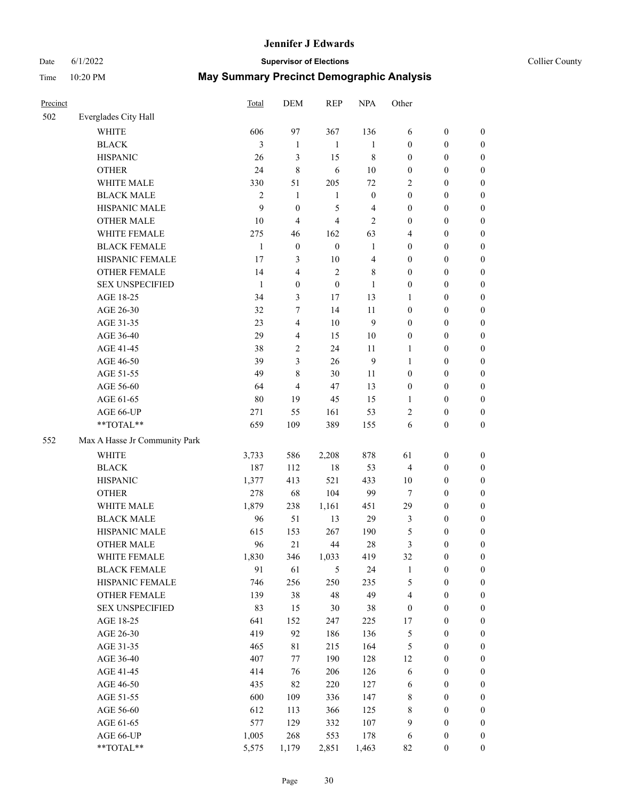# Date 6/1/2022 **Supervisor of Elections Supervisor of Elections** Collier County

| Precinct |                                    | Total        | DEM              | <b>REP</b>       | <b>NPA</b>       | Other            |                  |                  |
|----------|------------------------------------|--------------|------------------|------------------|------------------|------------------|------------------|------------------|
| 502      | Everglades City Hall               |              |                  |                  |                  |                  |                  |                  |
|          | <b>WHITE</b>                       | 606          | 97               | 367              | 136              | 6                | $\boldsymbol{0}$ | 0                |
|          | <b>BLACK</b>                       | 3            | $\mathbf{1}$     | $\mathbf{1}$     | $\mathbf{1}$     | $\boldsymbol{0}$ | $\boldsymbol{0}$ | 0                |
|          | <b>HISPANIC</b>                    | 26           | 3                | 15               | $\,$ 8 $\,$      | $\boldsymbol{0}$ | $\boldsymbol{0}$ | $\boldsymbol{0}$ |
|          | <b>OTHER</b>                       | 24           | $\,8\,$          | $\sqrt{6}$       | $10\,$           | $\boldsymbol{0}$ | $\boldsymbol{0}$ | $\boldsymbol{0}$ |
|          | WHITE MALE                         | 330          | 51               | 205              | $72\,$           | 2                | $\boldsymbol{0}$ | $\boldsymbol{0}$ |
|          | <b>BLACK MALE</b>                  | $\sqrt{2}$   | $\mathbf{1}$     | $\mathbf{1}$     | $\boldsymbol{0}$ | $\boldsymbol{0}$ | $\boldsymbol{0}$ | $\boldsymbol{0}$ |
|          | HISPANIC MALE                      | 9            | $\boldsymbol{0}$ | 5                | 4                | $\boldsymbol{0}$ | $\boldsymbol{0}$ | $\boldsymbol{0}$ |
|          | <b>OTHER MALE</b>                  | $10\,$       | $\overline{4}$   | $\overline{4}$   | $\mathbf{2}$     | $\boldsymbol{0}$ | $\boldsymbol{0}$ | $\boldsymbol{0}$ |
|          | WHITE FEMALE                       | 275          | 46               | 162              | 63               | 4                | $\boldsymbol{0}$ | $\boldsymbol{0}$ |
|          | <b>BLACK FEMALE</b>                | $\mathbf{1}$ | $\boldsymbol{0}$ | $\boldsymbol{0}$ | $\mathbf{1}$     | $\boldsymbol{0}$ | $\boldsymbol{0}$ | 0                |
|          | HISPANIC FEMALE                    | 17           | 3                | $10\,$           | $\overline{4}$   | $\boldsymbol{0}$ | $\boldsymbol{0}$ | 0                |
|          | OTHER FEMALE                       | 14           | $\overline{4}$   | $\overline{2}$   | 8                | $\boldsymbol{0}$ | $\boldsymbol{0}$ | 0                |
|          | <b>SEX UNSPECIFIED</b>             | $\mathbf{1}$ | $\boldsymbol{0}$ | $\boldsymbol{0}$ | $\mathbf{1}$     | $\boldsymbol{0}$ | $\boldsymbol{0}$ | $\boldsymbol{0}$ |
|          | AGE 18-25                          | 34           | $\mathfrak{Z}$   | 17               | 13               | 1                | $\boldsymbol{0}$ | $\boldsymbol{0}$ |
|          | AGE 26-30                          | 32           | 7                | 14               | 11               | $\boldsymbol{0}$ | $\boldsymbol{0}$ | $\boldsymbol{0}$ |
|          | AGE 31-35                          | 23           | $\overline{4}$   | 10               | $\mathbf{9}$     | $\boldsymbol{0}$ | $\boldsymbol{0}$ | $\boldsymbol{0}$ |
|          | AGE 36-40                          | 29           | $\overline{4}$   | 15               | 10               | $\boldsymbol{0}$ | $\boldsymbol{0}$ | $\boldsymbol{0}$ |
|          | AGE 41-45                          | 38           | $\mathbf{2}$     | 24               | 11               | $\mathbf{1}$     | $\boldsymbol{0}$ | $\boldsymbol{0}$ |
|          | AGE 46-50                          | 39           | $\mathfrak{Z}$   | 26               | $\overline{9}$   | $\mathbf{1}$     | $\boldsymbol{0}$ | $\boldsymbol{0}$ |
|          | AGE 51-55                          | 49           | $\,$ $\,$        | 30               | 11               | $\boldsymbol{0}$ | $\boldsymbol{0}$ | 0                |
|          | AGE 56-60                          | 64           | $\overline{4}$   | 47               | 13               | $\boldsymbol{0}$ | $\boldsymbol{0}$ | 0                |
|          | AGE 61-65                          | $80\,$       | 19               | 45               | 15               | $\mathbf{1}$     | $\boldsymbol{0}$ | 0                |
|          | AGE 66-UP                          | 271          | 55               | 161              | 53               | $\sqrt{2}$       | $\boldsymbol{0}$ | $\boldsymbol{0}$ |
|          | **TOTAL**                          | 659          | 109              | 389              | 155              | 6                | $\boldsymbol{0}$ | $\boldsymbol{0}$ |
| 552      | Max A Hasse Jr Community Park      |              |                  |                  |                  |                  |                  |                  |
|          | <b>WHITE</b>                       | 3,733        | 586              | 2,208            | 878              | 61               | $\boldsymbol{0}$ | $\boldsymbol{0}$ |
|          | <b>BLACK</b>                       | 187          | 112              | $18\,$           | 53               | 4                | $\boldsymbol{0}$ | $\boldsymbol{0}$ |
|          | <b>HISPANIC</b>                    | 1,377        | 413              | 521              | 433              | 10               | $\boldsymbol{0}$ | $\boldsymbol{0}$ |
|          |                                    | 278          | 68               | 104              | 99               |                  | $\boldsymbol{0}$ | $\boldsymbol{0}$ |
|          | <b>OTHER</b>                       |              |                  |                  |                  | 7                |                  |                  |
|          | WHITE MALE                         | 1,879<br>96  | 238<br>51        | 1,161            | 451<br>29        | 29               | $\boldsymbol{0}$ | $\boldsymbol{0}$ |
|          | <b>BLACK MALE</b><br>HISPANIC MALE |              |                  | 13               |                  | 3                | $\boldsymbol{0}$ | $\boldsymbol{0}$ |
|          |                                    | 615          | 153              | 267              | 190              | 5                | $\boldsymbol{0}$ | $\boldsymbol{0}$ |
|          | <b>OTHER MALE</b>                  | 96           | 21               | 44               | 28               | 3                | $\boldsymbol{0}$ | $\boldsymbol{0}$ |
|          | WHITE FEMALE                       | 1,830        | 346              | 1,033            | 419              | 32               | $\boldsymbol{0}$ | 0                |
|          | <b>BLACK FEMALE</b>                | 91           | 61               | 5                | 24               | $\mathbf{1}$     | $\boldsymbol{0}$ | 0                |
|          | HISPANIC FEMALE                    | 746          | 256              | 250              | 235              | 5                | $\boldsymbol{0}$ | $\boldsymbol{0}$ |
|          | <b>OTHER FEMALE</b>                | 139          | 38               | 48               | 49               | $\overline{4}$   | $\boldsymbol{0}$ | $\overline{0}$   |
|          | <b>SEX UNSPECIFIED</b>             | 83           | 15               | 30               | $38\,$           | $\boldsymbol{0}$ | $\boldsymbol{0}$ | 0                |
|          | AGE 18-25                          | 641          | 152              | 247              | 225              | 17               | $\boldsymbol{0}$ | 0                |
|          | AGE 26-30                          | 419          | 92               | 186              | 136              | 5                | $\boldsymbol{0}$ | 0                |
|          | AGE 31-35                          | 465          | 81               | 215              | 164              | 5                | $\boldsymbol{0}$ | 0                |
|          | AGE 36-40                          | 407          | 77               | 190              | 128              | 12               | $\boldsymbol{0}$ | 0                |
|          | AGE 41-45                          | 414          | 76               | 206              | 126              | 6                | $\boldsymbol{0}$ | 0                |
|          | AGE 46-50                          | 435          | 82               | 220              | 127              | 6                | $\boldsymbol{0}$ | 0                |
|          | AGE 51-55                          | 600          | 109              | 336              | 147              | $\,$ $\,$        | $\boldsymbol{0}$ | $\boldsymbol{0}$ |
|          | AGE 56-60                          | 612          | 113              | 366              | 125              | $\,$ $\,$        | $\boldsymbol{0}$ | $\boldsymbol{0}$ |
|          | AGE 61-65                          | 577          | 129              | 332              | 107              | 9                | $\boldsymbol{0}$ | $\overline{0}$   |
|          | AGE 66-UP                          | 1,005        | 268              | 553              | 178              | 6                | $\boldsymbol{0}$ | 0                |
|          | **TOTAL**                          | 5,575        | 1,179            | 2,851            | 1,463            | 82               | $\boldsymbol{0}$ | $\boldsymbol{0}$ |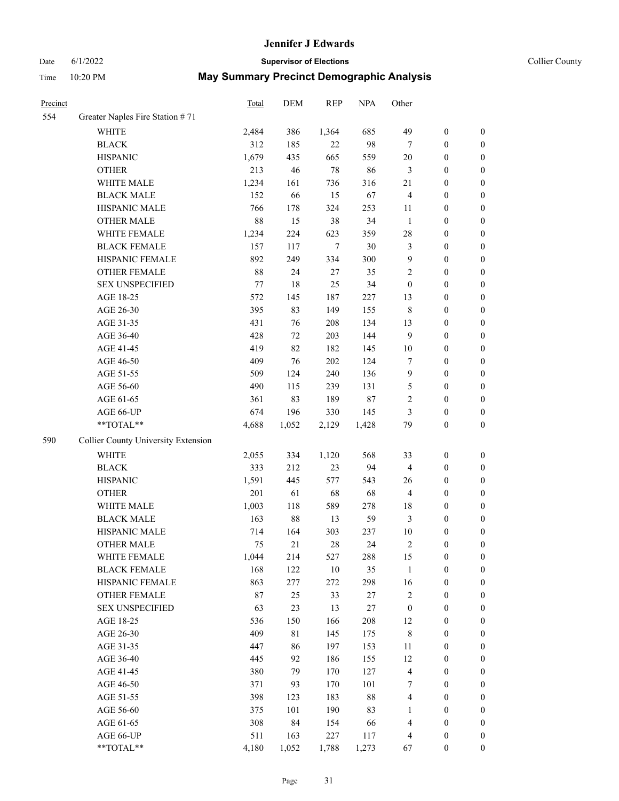# Date 6/1/2022 **Supervisor of Elections Supervisor of Elections** Collier County

| Precinct |                                     | Total | <b>DEM</b> | <b>REP</b> | <b>NPA</b> | Other                   |                  |                  |
|----------|-------------------------------------|-------|------------|------------|------------|-------------------------|------------------|------------------|
| 554      | Greater Naples Fire Station #71     |       |            |            |            |                         |                  |                  |
|          | <b>WHITE</b>                        | 2,484 | 386        | 1,364      | 685        | 49                      | $\boldsymbol{0}$ | 0                |
|          | <b>BLACK</b>                        | 312   | 185        | 22         | 98         | 7                       | $\boldsymbol{0}$ | 0                |
|          | <b>HISPANIC</b>                     | 1,679 | 435        | 665        | 559        | 20                      | $\boldsymbol{0}$ | $\boldsymbol{0}$ |
|          | <b>OTHER</b>                        | 213   | 46         | 78         | 86         | 3                       | $\boldsymbol{0}$ | $\boldsymbol{0}$ |
|          | WHITE MALE                          | 1,234 | 161        | 736        | 316        | 21                      | $\boldsymbol{0}$ | $\boldsymbol{0}$ |
|          | <b>BLACK MALE</b>                   | 152   | 66         | 15         | 67         | 4                       | $\boldsymbol{0}$ | $\boldsymbol{0}$ |
|          | HISPANIC MALE                       | 766   | 178        | 324        | 253        | 11                      | $\boldsymbol{0}$ | $\boldsymbol{0}$ |
|          | <b>OTHER MALE</b>                   | 88    | 15         | 38         | 34         | $\mathbf{1}$            | $\boldsymbol{0}$ | $\boldsymbol{0}$ |
|          | WHITE FEMALE                        | 1,234 | 224        | 623        | 359        | 28                      | $\boldsymbol{0}$ | $\boldsymbol{0}$ |
|          | <b>BLACK FEMALE</b>                 | 157   | 117        | 7          | 30         | 3                       | $\boldsymbol{0}$ | $\boldsymbol{0}$ |
|          | HISPANIC FEMALE                     | 892   | 249        | 334        | 300        | 9                       | $\boldsymbol{0}$ | 0                |
|          | OTHER FEMALE                        | 88    | 24         | 27         | 35         | $\overline{c}$          | $\boldsymbol{0}$ | $\boldsymbol{0}$ |
|          | <b>SEX UNSPECIFIED</b>              | 77    | 18         | 25         | 34         | $\boldsymbol{0}$        | $\boldsymbol{0}$ | $\boldsymbol{0}$ |
|          | AGE 18-25                           | 572   | 145        | 187        | 227        | 13                      | $\boldsymbol{0}$ | $\boldsymbol{0}$ |
|          | AGE 26-30                           | 395   | 83         | 149        | 155        | 8                       | $\boldsymbol{0}$ | $\boldsymbol{0}$ |
|          | AGE 31-35                           | 431   | 76         | 208        | 134        | 13                      | $\boldsymbol{0}$ | $\boldsymbol{0}$ |
|          | AGE 36-40                           | 428   | 72         | 203        | 144        | 9                       | $\boldsymbol{0}$ | $\boldsymbol{0}$ |
|          | AGE 41-45                           | 419   | 82         | 182        | 145        | 10                      | $\boldsymbol{0}$ | $\boldsymbol{0}$ |
|          | AGE 46-50                           | 409   | 76         | 202        | 124        | 7                       | $\boldsymbol{0}$ | $\boldsymbol{0}$ |
|          | AGE 51-55                           | 509   | 124        | 240        | 136        | 9                       | $\boldsymbol{0}$ | $\boldsymbol{0}$ |
|          | AGE 56-60                           | 490   | 115        | 239        | 131        | 5                       | $\boldsymbol{0}$ | 0                |
|          | AGE 61-65                           | 361   | 83         | 189        | $87\,$     | 2                       | $\boldsymbol{0}$ | 0                |
|          | AGE 66-UP                           | 674   | 196        | 330        | 145        | 3                       | $\boldsymbol{0}$ | $\boldsymbol{0}$ |
|          | $**TOTAL**$                         | 4,688 | 1,052      | 2,129      | 1,428      | 79                      | $\boldsymbol{0}$ | $\boldsymbol{0}$ |
| 590      | Collier County University Extension |       |            |            |            |                         |                  |                  |
|          | <b>WHITE</b>                        | 2,055 | 334        | 1,120      | 568        | 33                      | $\boldsymbol{0}$ | $\boldsymbol{0}$ |
|          | <b>BLACK</b>                        | 333   | 212        | 23         | 94         | 4                       | $\boldsymbol{0}$ | $\boldsymbol{0}$ |
|          | <b>HISPANIC</b>                     | 1,591 | 445        | 577        | 543        | 26                      | $\boldsymbol{0}$ | $\boldsymbol{0}$ |
|          | <b>OTHER</b>                        | 201   | 61         | 68         | 68         | 4                       | $\boldsymbol{0}$ | $\boldsymbol{0}$ |
|          | WHITE MALE                          | 1,003 | 118        | 589        | 278        | 18                      | $\boldsymbol{0}$ | $\boldsymbol{0}$ |
|          | <b>BLACK MALE</b>                   | 163   | 88         | 13         | 59         | 3                       | $\boldsymbol{0}$ | $\boldsymbol{0}$ |
|          | HISPANIC MALE                       | 714   | 164        | 303        | 237        | 10                      | $\boldsymbol{0}$ | 0                |
|          | <b>OTHER MALE</b>                   | 75    | 21         | 28         | 24         | 2                       | $\boldsymbol{0}$ | $\boldsymbol{0}$ |
|          | WHITE FEMALE                        | 1,044 | 214        | 527        | 288        | 15                      | 0                | 0                |
|          | <b>BLACK FEMALE</b>                 | 168   | 122        | 10         | 35         | $\mathbf{1}$            | $\boldsymbol{0}$ | $\overline{0}$   |
|          | HISPANIC FEMALE                     | 863   | 277        | 272        | 298        | 16                      | $\boldsymbol{0}$ | $\overline{0}$   |
|          | OTHER FEMALE                        | 87    | $25\,$     | 33         | $27\,$     | $\overline{\mathbf{c}}$ | $\boldsymbol{0}$ | $\overline{0}$   |
|          | <b>SEX UNSPECIFIED</b>              | 63    | 23         | 13         | $27\,$     | $\boldsymbol{0}$        | $\boldsymbol{0}$ | 0                |
|          | AGE 18-25                           | 536   | 150        | 166        | 208        | 12                      | $\boldsymbol{0}$ | 0                |
|          | AGE 26-30                           | 409   | 81         | 145        | 175        | 8                       | $\boldsymbol{0}$ | 0                |
|          | AGE 31-35                           | 447   | 86         | 197        | 153        | 11                      | $\boldsymbol{0}$ | 0                |
|          | AGE 36-40                           | 445   | 92         | 186        | 155        | 12                      | $\boldsymbol{0}$ | 0                |
|          | AGE 41-45                           | 380   | 79         | 170        | 127        | $\overline{4}$          | $\boldsymbol{0}$ | 0                |
|          | AGE 46-50                           | 371   | 93         | 170        | 101        | 7                       | $\boldsymbol{0}$ | 0                |
|          | AGE 51-55                           | 398   | 123        | 183        | 88         | 4                       | $\boldsymbol{0}$ | 0                |
|          | AGE 56-60                           | 375   | 101        | 190        | 83         | 1                       | $\boldsymbol{0}$ | $\overline{0}$   |
|          | AGE 61-65                           | 308   | 84         | 154        | 66         | 4                       | $\boldsymbol{0}$ | $\overline{0}$   |
|          | AGE 66-UP                           | 511   | 163        | 227        | 117        | 4                       | $\boldsymbol{0}$ | 0                |
|          | **TOTAL**                           | 4,180 | 1,052      | 1,788      | 1,273      | 67                      | $\boldsymbol{0}$ | $\boldsymbol{0}$ |
|          |                                     |       |            |            |            |                         |                  |                  |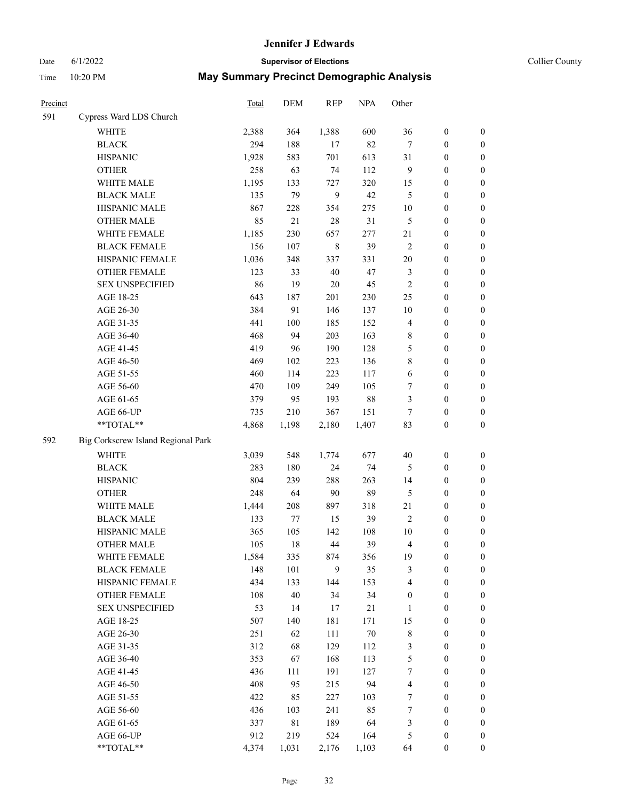#### Date 6/1/2022 **Supervisor of Elections Supervisor of Elections** Collier County

| <b>Precinct</b> |                                    | Total | DEM         | <b>REP</b>  | <b>NPA</b> | Other            |                  |                  |
|-----------------|------------------------------------|-------|-------------|-------------|------------|------------------|------------------|------------------|
| 591             | Cypress Ward LDS Church            |       |             |             |            |                  |                  |                  |
|                 | WHITE                              | 2,388 | 364         | 1,388       | 600        | 36               | $\boldsymbol{0}$ | 0                |
|                 | <b>BLACK</b>                       | 294   | 188         | 17          | 82         | 7                | $\boldsymbol{0}$ | 0                |
|                 | <b>HISPANIC</b>                    | 1,928 | 583         | 701         | 613        | 31               | $\boldsymbol{0}$ | 0                |
|                 | <b>OTHER</b>                       | 258   | 63          | 74          | 112        | 9                | $\boldsymbol{0}$ | $\boldsymbol{0}$ |
|                 | WHITE MALE                         | 1,195 | 133         | 727         | 320        | 15               | $\boldsymbol{0}$ | $\boldsymbol{0}$ |
|                 | <b>BLACK MALE</b>                  | 135   | 79          | 9           | 42         | 5                | $\boldsymbol{0}$ | $\boldsymbol{0}$ |
|                 | HISPANIC MALE                      | 867   | 228         | 354         | 275        | 10               | $\boldsymbol{0}$ | $\boldsymbol{0}$ |
|                 | <b>OTHER MALE</b>                  | 85    | 21          | 28          | 31         | 5                | $\boldsymbol{0}$ | $\boldsymbol{0}$ |
|                 | WHITE FEMALE                       | 1,185 | 230         | 657         | 277        | 21               | $\boldsymbol{0}$ | $\boldsymbol{0}$ |
|                 | <b>BLACK FEMALE</b>                | 156   | 107         | $\,$ 8 $\,$ | 39         | $\overline{c}$   | $\boldsymbol{0}$ | 0                |
|                 | HISPANIC FEMALE                    | 1,036 | 348         | 337         | 331        | 20               | $\boldsymbol{0}$ | 0                |
|                 | <b>OTHER FEMALE</b>                | 123   | 33          | $40\,$      | 47         | 3                | $\boldsymbol{0}$ | 0                |
|                 | <b>SEX UNSPECIFIED</b>             | 86    | 19          | $20\,$      | 45         | $\overline{c}$   | $\boldsymbol{0}$ | $\boldsymbol{0}$ |
|                 | AGE 18-25                          | 643   | 187         | 201         | 230        | 25               | $\boldsymbol{0}$ | $\boldsymbol{0}$ |
|                 | AGE 26-30                          | 384   | 91          | 146         | 137        | 10               | $\boldsymbol{0}$ | $\boldsymbol{0}$ |
|                 | AGE 31-35                          | 441   | 100         | 185         | 152        | 4                | $\boldsymbol{0}$ | $\boldsymbol{0}$ |
|                 | AGE 36-40                          | 468   | 94          | 203         | 163        | 8                | $\boldsymbol{0}$ | $\boldsymbol{0}$ |
|                 | AGE 41-45                          | 419   | 96          | 190         | 128        | 5                | $\boldsymbol{0}$ | $\boldsymbol{0}$ |
|                 | AGE 46-50                          | 469   | 102         | 223         | 136        | 8                | $\boldsymbol{0}$ | $\boldsymbol{0}$ |
|                 | AGE 51-55                          | 460   | 114         | 223         | 117        | 6                | $\boldsymbol{0}$ | 0                |
|                 | AGE 56-60                          | 470   | 109         | 249         | 105        | 7                | $\boldsymbol{0}$ | 0                |
|                 | AGE 61-65                          | 379   | 95          | 193         | $88\,$     | 3                | $\boldsymbol{0}$ | 0                |
|                 | AGE 66-UP                          | 735   | 210         | 367         | 151        | $\tau$           | $\boldsymbol{0}$ | 0                |
|                 | $**TOTAL**$                        | 4,868 | 1,198       | 2,180       | 1,407      | 83               | $\boldsymbol{0}$ | $\boldsymbol{0}$ |
| 592             | Big Corkscrew Island Regional Park |       |             |             |            |                  |                  |                  |
|                 | <b>WHITE</b>                       | 3,039 | 548         | 1,774       | 677        | 40               | $\boldsymbol{0}$ | $\boldsymbol{0}$ |
|                 | <b>BLACK</b>                       | 283   | 180         | 24          | 74         | 5                | $\boldsymbol{0}$ | $\boldsymbol{0}$ |
|                 | <b>HISPANIC</b>                    | 804   | 239         | 288         | 263        | 14               | $\boldsymbol{0}$ | $\boldsymbol{0}$ |
|                 | <b>OTHER</b>                       | 248   | 64          | 90          | 89         | 5                | $\boldsymbol{0}$ | $\boldsymbol{0}$ |
|                 | WHITE MALE                         | 1,444 | 208         | 897         | 318        | 21               | $\boldsymbol{0}$ | $\boldsymbol{0}$ |
|                 | <b>BLACK MALE</b>                  | 133   | 77          | 15          | 39         | $\overline{2}$   | $\boldsymbol{0}$ | 0                |
|                 | HISPANIC MALE                      | 365   | 105         | 142         | 108        | 10               | $\boldsymbol{0}$ | 0                |
|                 | <b>OTHER MALE</b>                  | 105   | 18          | 44          | 39         | 4                | $\boldsymbol{0}$ | 0                |
|                 | WHITE FEMALE                       | 1,584 | 335         | 874         | 356        | 19               | $\boldsymbol{0}$ | 0                |
|                 | <b>BLACK FEMALE</b>                | 148   | 101         | 9           | 35         | 3                | $\boldsymbol{0}$ | $\boldsymbol{0}$ |
|                 | HISPANIC FEMALE                    | 434   | 133         | 144         | 153        | 4                | $\boldsymbol{0}$ | $\overline{0}$   |
|                 | OTHER FEMALE                       | 108   | 40          | 34          | 34         | $\boldsymbol{0}$ | $\boldsymbol{0}$ | $\overline{0}$   |
|                 | <b>SEX UNSPECIFIED</b>             | 53    | 14          | 17          | 21         | $\mathbf{1}$     | $\boldsymbol{0}$ | 0                |
|                 | AGE 18-25                          | 507   | 140         | 181         | 171        | 15               | $\boldsymbol{0}$ | $\overline{0}$   |
|                 | AGE 26-30                          | 251   | 62          | 111         | $70\,$     | $\,$ 8 $\,$      | $\boldsymbol{0}$ | 0                |
|                 | AGE 31-35                          | 312   | 68          | 129         | 112        | 3                | $\boldsymbol{0}$ | 0                |
|                 | AGE 36-40                          | 353   | 67          | 168         | 113        | 5                | $\boldsymbol{0}$ | 0                |
|                 | AGE 41-45                          | 436   | 111         | 191         | 127        | 7                | $\boldsymbol{0}$ | 0                |
|                 | AGE 46-50                          | 408   | 95          | 215         | 94         | 4                | $\boldsymbol{0}$ | 0                |
|                 | AGE 51-55                          | 422   | 85          | 227         | 103        | 7                | $\boldsymbol{0}$ | $\boldsymbol{0}$ |
|                 | AGE 56-60                          | 436   | 103         | 241         | 85         | 7                | $\boldsymbol{0}$ | $\boldsymbol{0}$ |
|                 | AGE 61-65                          | 337   | $8\sqrt{1}$ | 189         | 64         | 3                | $\boldsymbol{0}$ | $\boldsymbol{0}$ |
|                 | AGE 66-UP                          | 912   | 219         | 524         | 164        | 5                | $\boldsymbol{0}$ | $\boldsymbol{0}$ |
|                 | **TOTAL**                          | 4,374 | 1,031       | 2,176       | 1,103      | 64               | $\boldsymbol{0}$ | $\boldsymbol{0}$ |